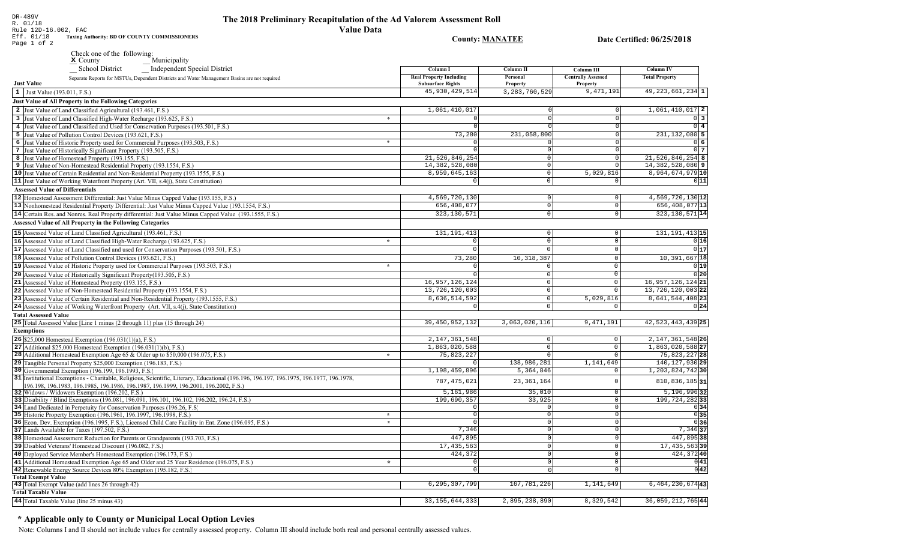## The 2018 Preliminary Recapitulation of the Ad Valorem Assessment Roll **Value Data**

**County: MANATEE** 

Date Certified: 06/25/2018

DR-489V<br>R. 01/18<br>Rule 12D-16.002, FAC<br>Eff. 01/18 Taxing Aud<br>Page 1 of 2 Taxing Authority: BD OF COUNTY COMMISSIONERS

| _ Independent Special District<br><b>School District</b>                                                                                                                   |         | Column I                                                   | Column II            | <b>Column III</b>                     | Column IV             |
|----------------------------------------------------------------------------------------------------------------------------------------------------------------------------|---------|------------------------------------------------------------|----------------------|---------------------------------------|-----------------------|
| Separate Reports for MSTUs, Dependent Districts and Water Management Basins are not required<br><b>Just Value</b>                                                          |         | <b>Real Property Including</b><br><b>Subsurface Rights</b> | Personal<br>Property | <b>Centrally Assessed</b><br>Property | <b>Total Property</b> |
| 1 Just Value (193.011, F.S.)                                                                                                                                               |         | 45, 930, 429, 514                                          | 3, 283, 760, 529     | 9,471,191                             | $49, 223, 661, 234$ 1 |
| <b>Just Value of All Property in the Following Categories</b>                                                                                                              |         |                                                            |                      |                                       |                       |
| 2 Just Value of Land Classified Agricultural (193.461, F.S.)                                                                                                               |         | 1,061,410,017                                              |                      | $\circ$                               | $1,061,410,017$ 2     |
| 3 Just Value of Land Classified High-Water Recharge (193.625, F.S.)                                                                                                        | $\ast$  |                                                            |                      | $\Omega$                              | $0\overline{3}$       |
| 4 Just Value of Land Classified and Used for Conservation Purposes (193.501, F.S.)                                                                                         |         |                                                            |                      | $\Omega$                              | $0\vert 4$            |
| 5 Just Value of Pollution Control Devices (193.621, F.S.)                                                                                                                  |         | 73,280                                                     | 231,058,800          | $\Omega$                              | $231, 132, 080$ 5     |
| 6 Just Value of Historic Property used for Commercial Purposes (193.503, F.S.)                                                                                             | $\ast$  |                                                            |                      | $\Omega$                              | 0 6                   |
| 7 Just Value of Historically Significant Property (193.505, F.S.)                                                                                                          |         |                                                            | $\Omega$             | $\circ$                               | $0\vert 7$            |
| 8 Just Value of Homestead Property (193.155, F.S.)                                                                                                                         |         | 21,526,846,254                                             | $\circ$              | $\overline{0}$                        | $21,526,846,254$ 8    |
| 9 Just Value of Non-Homestead Residential Property (193.1554, F.S.)                                                                                                        |         | 14,382,528,080                                             | $\circ$              | $\mathbb O$                           | $14,382,528,080$ 9    |
| 10 Just Value of Certain Residential and Non-Residential Property (193.1555, F.S.)                                                                                         |         | 8,959,645,163                                              | $\circ$              | 5,029,816                             | 8,964,674,979 10      |
| 11 Just Value of Working Waterfront Property (Art. VII, s.4(j), State Constitution)                                                                                        |         | $\Omega$                                                   | $\circ$              | $\mathbb O$                           | 0 11                  |
|                                                                                                                                                                            |         |                                                            |                      |                                       |                       |
| <b>Assessed Value of Differentials</b>                                                                                                                                     |         |                                                            |                      |                                       |                       |
| 12 Homestead Assessment Differential: Just Value Minus Capped Value (193.155, F.S.)                                                                                        |         | 4,569,720,130                                              | $\circ$              | $\mathbb O$                           | 4,569,720,130 12      |
| 13 Nonhomestead Residential Property Differential: Just Value Minus Capped Value (193.1554, F.S.)                                                                          |         | 656, 408, 077                                              | - 0 l                | $\mathbf 0$                           | 656, 408, 077 13      |
| 14 Certain Res. and Nonres. Real Property differential: Just Value Minus Capped Value (193.1555, F.S.)                                                                     |         | 323, 130, 571                                              | 0                    | $\mathbf 0$                           | 323, 130, 571 14      |
| <b>Assessed Value of All Property in the Following Categories</b>                                                                                                          |         |                                                            |                      |                                       |                       |
| 15 Assessed Value of Land Classified Agricultural (193.461, F.S.)                                                                                                          |         | 131, 191, 413                                              | $\mathbf 0$          | $\mathbf 0$                           | 131, 191, 413 15      |
| 16 Assessed Value of Land Classified High-Water Recharge (193.625, F.S.)                                                                                                   | $\star$ |                                                            | $\circ$              | $\mathsf 0$                           | 0 16                  |
| 17 Assessed Value of Land Classified and used for Conservation Purposes (193.501, F.S.)                                                                                    |         | $\Omega$                                                   | $\Omega$             | $\mathsf 0$                           | 0 17                  |
| 18 Assessed Value of Pollution Control Devices (193.621, F.S.)                                                                                                             |         | 73,280                                                     | 10,318,387           | $\mathbf 0$                           | 10,391,667 18         |
| 19 Assessed Value of Historic Property used for Commercial Purposes (193.503, F.S.)                                                                                        | $\star$ | O                                                          | $\Omega$             | $\Omega$                              | 0 19                  |
| 20 Assessed Value of Historically Significant Property (193.505, F.S.)                                                                                                     |         |                                                            | $\Omega$             | $\overline{0}$                        | 0 20                  |
|                                                                                                                                                                            |         | 16,957,126,124                                             | $\Omega$             | $\mathsf{O}\xspace$                   | 16, 957, 126, 124 21  |
| 21 Assessed Value of Homestead Property (193.155, F.S.)                                                                                                                    |         | 13,726,120,003                                             | $\mathbf 0$          | $\mathbb O$                           | 13, 726, 120, 003 22  |
| 22 Assessed Value of Non-Homestead Residential Property (193.1554, F.S.)                                                                                                   |         |                                                            |                      |                                       |                       |
| 23 Assessed Value of Certain Residential and Non-Residential Property (193.1555, F.S.)                                                                                     |         | 8,636,514,592                                              | $\circ$<br>$\Omega$  | 5,029,816<br>$\Omega$                 | 8, 641, 544, 408 23   |
| 24 Assessed Value of Working Waterfront Property (Art. VII, s.4(j), State Constitution)                                                                                    |         |                                                            |                      |                                       | 0 24                  |
| <b>Total Assessed Value</b>                                                                                                                                                |         |                                                            |                      |                                       |                       |
| 25 Total Assessed Value [Line 1 minus (2 through 11) plus (15 through 24)                                                                                                  |         | 39, 450, 952, 132                                          | 3,063,020,116        | 9,471,191                             | 42, 523, 443, 439 25  |
| <b>Exemptions</b>                                                                                                                                                          |         |                                                            |                      |                                       |                       |
| 26 \$25,000 Homestead Exemption (196.031(1)(a), F.S.)                                                                                                                      |         | 2, 147, 361, 548                                           | 0                    | $\mathbb O$                           | 2, 147, 361, 548 26   |
| 27   Additional $$25,000$ Homestead Exemption (196.031(1)(b), F.S.)                                                                                                        |         | 1,863,020,588                                              | $\circ$              | $\overline{0}$                        | 1,863,020,588 27      |
| <b>28</b> Additional Homestead Exemption Age 65 & Older up to \$50,000 (196.075, F.S.)                                                                                     | $\star$ | 75,823,227                                                 | $\Omega$             | $\circ$                               | 75,823,227 28         |
| 29 Tangible Personal Property \$25,000 Exemption (196.183, F.S.)                                                                                                           |         |                                                            | 138,986,281          | 1,141,649                             | 140, 127, 930 29      |
| 30 Governmental Exemption (196.199, 196.1993, F.S.)                                                                                                                        |         | 1,198,459,896                                              | 5,364,846            | $\Omega$                              | 1, 203, 824, 742 30   |
| 31 Institutional Exemptions - Charitable, Religious, Scientific, Literary, Educational (196.196, 196.197, 196.1975, 196.1977, 196.1978,                                    |         | 787, 475, 021                                              | 23, 361, 164         | $\Omega$                              | 810, 836, 185 31      |
| 196.198, 196.1983, 196.1985, 196.1986, 196.1987, 196.1999, 196.2001, 196.2002, F.S.)                                                                                       |         |                                                            |                      |                                       |                       |
| 32 Widows / Widowers Exemption (196.202, F.S.)                                                                                                                             |         | 5,161,986                                                  | 35,010               | $\mathbf 0$                           | $5,196,996$ 32        |
| 33 Disability / Blind Exemptions (196.081, 196.091, 196.101, 196.102, 196.202, 196.24, F.S.)                                                                               |         | 199,690,357                                                | 33,925<br>$\Omega$   | $\mathbf 0$<br>$\mathbf 0$            | $199, 724, 282$ 33    |
| 34 Land Dedicated in Perpetuity for Conservation Purposes (196.26, F.S.)                                                                                                   | $\star$ | $\Omega$                                                   | 0                    | $\mathbb O$                           | 0 34<br>0 35          |
| 35 Historic Property Exemption (196.1961, 196.1997, 196.1998, F.S.)<br>36 Econ. Dev. Exemption (196.1995, F.S.), Licensed Child Care Facility in Ent. Zone (196.095, F.S.) | $\star$ |                                                            | $\Omega$             | $\mathbb O$                           | 036                   |
| 37 Lands Available for Taxes (197.502, F.S.)                                                                                                                               |         | 7,346                                                      | $\Omega$             | $\mathbb O$                           | $7,346$ 37            |
| 38 Homestead Assessment Reduction for Parents or Grandparents (193.703, F.S.)                                                                                              |         | 447,895                                                    | $\Omega$             | $\overline{0}$                        | 447,895 38            |
|                                                                                                                                                                            |         |                                                            |                      |                                       |                       |
| 39 Disabled Veterans' Homestead Discount (196.082, F.S.)                                                                                                                   |         | 17, 435, 563                                               | $\Omega$             | $\mathsf 0$                           | 17, 435, 563 39       |
| 40 Deployed Service Member's Homestead Exemption (196.173, F.S.)                                                                                                           |         | 424,372                                                    | $\circ$              | $\circ$                               | 424,37240             |
| 41 Additional Homestead Exemption Age 65 and Older and 25 Year Residence (196.075, F.S.)                                                                                   | $\star$ | $\Omega$                                                   | - 0 l                | $\mathsf 0$                           | 0 41                  |
| 42 Renewable Energy Source Devices 80% Exemption (195.182, F.S.)                                                                                                           |         | $\mathbf 0$                                                | $\Omega$             | $\mathbb O$                           | 0 42                  |
| <b>Total Exempt Value</b><br>43 Total Exempt Value (add lines 26 through 42)                                                                                               |         | 6, 295, 307, 799                                           | 167,781,226          | 1,141,649                             | 6, 464, 230, 674 43   |
| <b>Total Taxable Value</b>                                                                                                                                                 |         |                                                            |                      |                                       |                       |
|                                                                                                                                                                            |         |                                                            | 2,895,238,890        |                                       |                       |
| 44 Total Taxable Value (line 25 minus 43)                                                                                                                                  |         | 33, 155, 644, 333                                          |                      | 8,329,542                             | 36,059,212,765 44     |

# \* Applicable only to County or Municipal Local Option Levies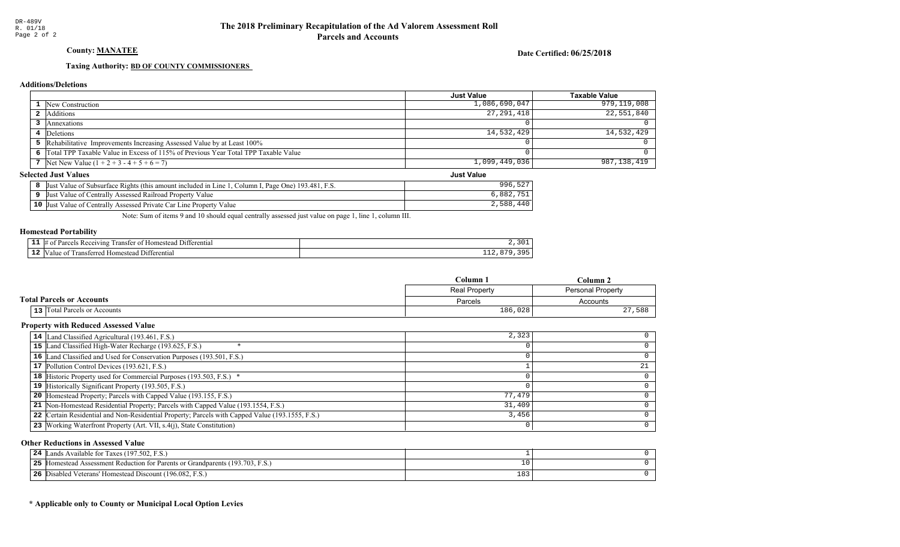County: MANATEE

Date Certified: 06/25/2018

Just Value

## Taxing Authority: **BD OF COUNTY COMMISSIONERS**

## **Additions/Deletions**

|                                                                                      | <b>Just Value</b> | Taxable Value |
|--------------------------------------------------------------------------------------|-------------------|---------------|
| 1 New Construction                                                                   | 1,086,690,047     | 979,119,008   |
| <b>2</b> Additions                                                                   | 27,291,418        | 22,551,840    |
| Annexations                                                                          |                   |               |
| 4 Deletions                                                                          | 14,532,429        | 14,532,429    |
| 5 Rehabilitative Improvements Increasing Assessed Value by at Least 100%             |                   |               |
| 6 Total TPP Taxable Value in Excess of 115% of Previous Year Total TPP Taxable Value |                   |               |
| 7 Net New Value $(1 + 2 + 3 - 4 + 5 + 6 = 7)$                                        | 1,099,449,036     | 987,138,419   |

## **Selected Just Values**

| Page One) 193.481.<br>Column I<br>Value of Subsurface Rights (this amount included in Line )<br>-Just | $-0n$<br>996<br>- 22 |
|-------------------------------------------------------------------------------------------------------|----------------------|
| Assessed Railroad Property Value<br>Value of Centrally<br>IJust                                       | 882                  |
| $10$ Just<br>Assessed Private Car Line Property<br>Value<br>Value of Centrally                        | 2,588                |

Note: Sum of items 9 and 10 should equal centrally assessed just value on page 1, line 1, column III.

### Homestead Portability

|     | 111<br>rerentia.<br>rar<br>0.00111<br>ınc<br>31 F |     |
|-----|---------------------------------------------------|-----|
| -44 | rerenti<br>rans<br>om<br>'tar<br>atan.<br>-11.    | --- |

|                                  | Column               | ∴olumn            |  |
|----------------------------------|----------------------|-------------------|--|
|                                  | <b>Real Property</b> | Personal Property |  |
| <b>Total Parcels or Accounts</b> | Parcels              | Accounts          |  |
| 13 Total Parcels or Accounts     | 186,028              | 27,<br>588        |  |

### Property with Reduced Assessed Value

| 14 Land Classified Agricultural (193.461, F.S.)                                                 | 2,323  |  |
|-------------------------------------------------------------------------------------------------|--------|--|
| 15 Land Classified High-Water Recharge (193.625, F.S.)                                          |        |  |
| 16 Land Classified and Used for Conservation Purposes (193.501, F.S.)                           |        |  |
| 17 Pollution Control Devices (193.621, F.S.)                                                    |        |  |
| 18 Historic Property used for Commercial Purposes (193.503, F.S.) *                             |        |  |
| 19 Historically Significant Property (193.505, F.S.)                                            |        |  |
| <b>20</b> Homestead Property; Parcels with Capped Value (193.155, F.S.)                         | 77,479 |  |
| 21 Non-Homestead Residential Property; Parcels with Capped Value (193.1554, F.S.)               | 31,409 |  |
| 22 Certain Residential and Non-Residential Property; Parcels with Capped Value (193.1555, F.S.) | 3,456  |  |
| 23 Working Waterfront Property (Art. VII, s.4(j), State Constitution)                           |        |  |

## Other Reductions in Assessed Value

| Lands Available for Taxes (197.502, F.S.)<br>24                                  |            |  |
|----------------------------------------------------------------------------------|------------|--|
| 25<br>Homestead Assessment Reduction for Parents or Grandparents (193.703, F.S.) |            |  |
| 26<br><b>6</b> Disabled Veterans' Homestead Discount (196.082, F.S.)             | າດາ<br>183 |  |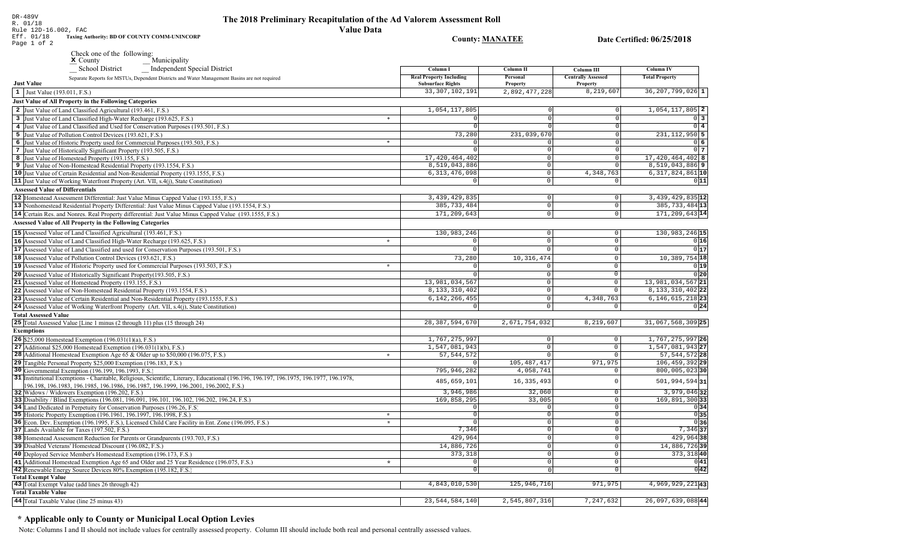## The 2018 Preliminary Recapitulation of the Ad Valorem Assessment Roll **Value Data**

**County: MANATEE** 

Date Certified: 06/25/2018

R. 01/10<br>
Rule 12D-16.002, FAC<br>
Eff. 01/18 Taxing Authority: BD OF COUNTY COMM-UNINCORP<br>
Page 1 of 2

DR-489V<br>R. 01/18

Check one of the following:<br>  $\underline{\mathbf{x}}$  County<br>  $\underline{\mathbf{x}}$  County<br>  $\underline{\mathbf{x}}$  Cohool District<br>
Independent Special District

|                                        | __ School District<br>_ Independent Special District                                                                                                   |         | Column I                                                   | Column II                     | Column III                            | Column IV                     |
|----------------------------------------|--------------------------------------------------------------------------------------------------------------------------------------------------------|---------|------------------------------------------------------------|-------------------------------|---------------------------------------|-------------------------------|
| <b>Just Value</b>                      | Separate Reports for MSTUs, Dependent Districts and Water Management Basins are not required                                                           |         | <b>Real Property Including</b><br><b>Subsurface Rights</b> | Personal<br><b>Property</b>   | <b>Centrally Assessed</b><br>Property | <b>Total Property</b>         |
| 1 Just Value (193.011, F.S.)           |                                                                                                                                                        |         | 33, 307, 102, 191                                          | 2,892,477,228                 | 8,219,607                             | $36, 207, 799, 026$ 1         |
|                                        | <b>Just Value of All Property in the Following Categories</b>                                                                                          |         |                                                            |                               |                                       |                               |
|                                        | 2 Just Value of Land Classified Agricultural (193.461, F.S.)                                                                                           |         | 1,054,117,805                                              |                               |                                       | $1,054,117,805$ 2             |
|                                        | 3 Just Value of Land Classified High-Water Recharge (193.625, F.S.)                                                                                    | $\ast$  |                                                            | $\Omega$                      |                                       | $0 \mid 3$                    |
|                                        | 4 Just Value of Land Classified and Used for Conservation Purposes (193.501, F.S.)                                                                     |         |                                                            |                               |                                       | $0$ 4                         |
|                                        | 5 Just Value of Pollution Control Devices (193.621, F.S.)                                                                                              |         | 73,280                                                     | 231,039,670                   |                                       | 231, 112, 950 5               |
|                                        | 6 Just Value of Historic Property used for Commercial Purposes (193.503, F.S.)                                                                         | $\ast$  |                                                            |                               |                                       | 0 6                           |
|                                        | 7 Just Value of Historically Significant Property (193.505, F.S.)                                                                                      |         |                                                            | $\mathbf 0$                   |                                       | 0 <sub>7</sub>                |
|                                        | 8 Just Value of Homestead Property (193.155, F.S.)                                                                                                     |         | 17, 420, 464, 402                                          | $\Omega$                      |                                       | 17,420,464,402 8              |
|                                        | 9 Just Value of Non-Homestead Residential Property (193.1554, F.S.)                                                                                    |         | 8,519,043,886                                              | $\overline{0}$                | $\Omega$                              | $8,519,043,886$ 9             |
|                                        | 10 Just Value of Certain Residential and Non-Residential Property (193.1555, F.S.)                                                                     |         | 6, 313, 476, 098                                           | $\circ$                       | 4,348,763                             | $6,317,824,861$ 10            |
|                                        | 11 Just Value of Working Waterfront Property (Art. VII, s.4(j), State Constitution)                                                                    |         |                                                            | $\Omega$                      |                                       | 0 11                          |
| <b>Assessed Value of Differentials</b> |                                                                                                                                                        |         |                                                            |                               |                                       |                               |
|                                        | 12 Homestead Assessment Differential: Just Value Minus Capped Value (193.155, F.S.)                                                                    |         | 3, 439, 429, 835                                           | $\overline{0}$                | $\mathbf 0$                           | $3,439,429,835$ <sup>12</sup> |
|                                        | 13 Nonhomestead Residential Property Differential: Just Value Minus Capped Value (193.1554, F.S.)                                                      |         | 385, 733, 484                                              | $\Omega$                      | $\Omega$                              | 385, 733, 484 13              |
|                                        | 14 Certain Res. and Nonres. Real Property differential: Just Value Minus Capped Value (193.1555, F.S.)                                                 |         | 171,209,643                                                | $\circ$                       | $\Omega$                              | 171,209,643 14                |
|                                        | <b>Assessed Value of All Property in the Following Categories</b>                                                                                      |         |                                                            |                               |                                       |                               |
|                                        | 15 Assessed Value of Land Classified Agricultural (193.461, F.S.)                                                                                      |         | 130,983,246                                                | $\overline{0}$                | $\Omega$                              | 130,983,246 15                |
|                                        | 16 Assessed Value of Land Classified High-Water Recharge (193.625, F.S.)                                                                               | $\star$ | $\Omega$                                                   | $\Omega$                      | $\Omega$                              | 0 16                          |
|                                        | 17 Assessed Value of Land Classified and used for Conservation Purposes (193.501, F.S.)                                                                |         | $\overline{0}$                                             | $\Omega$                      | $\Omega$                              | $0\overline{17}$              |
|                                        | 18 Assessed Value of Pollution Control Devices (193.621, F.S.)                                                                                         |         | 73,280                                                     | 10, 316, 474                  | $\Omega$                              | $10,389,754$ 18               |
|                                        | 19 Assessed Value of Historic Property used for Commercial Purposes (193.503, F.S.)                                                                    | $\star$ | $\Omega$                                                   |                               | $\Omega$                              | 0 19                          |
|                                        | 20 Assessed Value of Historically Significant Property (193.505, F.S.)                                                                                 |         | $\Omega$                                                   | $\Omega$                      | $\Omega$                              | 0 20                          |
|                                        | 21 Assessed Value of Homestead Property (193.155, F.S.)                                                                                                |         | 13,981,034,567                                             | $\Omega$                      | $\overline{0}$                        | 13,981,034,567 21             |
|                                        | 22 Assessed Value of Non-Homestead Residential Property (193.1554, F.S.)                                                                               |         | 8, 133, 310, 402                                           | $\overline{0}$                | $\Omega$                              | 8, 133, 310, 402 22           |
|                                        | 23 Assessed Value of Certain Residential and Non-Residential Property (193.1555, F.S.)                                                                 |         | 6, 142, 266, 455                                           | $\Omega$                      | 4,348,763                             | $6, 146, 615, 218$  23        |
|                                        | 24 Assessed Value of Working Waterfront Property (Art. VII, s.4(j), State Constitution)                                                                |         | $\Omega$                                                   | $\Omega$                      |                                       | 0 24                          |
| <b>Total Assessed Value</b>            |                                                                                                                                                        |         |                                                            |                               |                                       |                               |
|                                        | 25 Total Assessed Value [Line 1 minus (2 through 11) plus (15 through 24)                                                                              |         | 28, 387, 594, 670                                          | 2,671,754,032                 | 8,219,607                             | 31,067,568,309 25             |
|                                        |                                                                                                                                                        |         |                                                            |                               |                                       |                               |
| <b>Exemptions</b>                      |                                                                                                                                                        |         | 1,767,275,997                                              |                               |                                       | 1,767,275,997 26              |
|                                        | 26 \$25,000 Homestead Exemption (196.031(1)(a), F.S.)                                                                                                  |         | 1,547,081,943                                              | $\mathsf 0$<br>$\overline{0}$ | $\mathbf 0$<br>$\mathbf 0$            | 1,547,081,943 27              |
|                                        | 27   Additional $$25,000$ Homestead Exemption (196.031(1)(b), F.S.)<br>28 Additional Homestead Exemption Age 65 & Older up to \$50,000 (196.075, F.S.) | $\star$ | 57, 544, 572                                               | $\Omega$                      | $\Omega$                              | 57, 544, 572 28               |
|                                        | 29 Tangible Personal Property \$25,000 Exemption (196.183, F.S.)                                                                                       |         |                                                            | 105, 487, 417                 | 971,975                               | 106, 459, 392 29              |
|                                        | 30 Governmental Exemption (196.199, 196.1993, F.S.)                                                                                                    |         | 795, 946, 282                                              | 4,058,741                     | $\Omega$                              | $800,005,023$ 30              |
|                                        | 31 Institutional Exemptions - Charitable, Religious, Scientific, Literary, Educational (196.196.197, 196.1975, 196.1977, 196.1978,                     |         |                                                            |                               |                                       |                               |
|                                        | 196.198, 196.1983, 196.1985, 196.1986, 196.1987, 196.1999, 196.2001, 196.2002, F.S.)                                                                   |         | 485,659,101                                                | 16, 335, 493                  | $\sqrt{ }$                            | 501,994,594 31                |
|                                        | 32 Widows / Widowers Exemption (196.202, F.S.)                                                                                                         |         | 3,946,986                                                  | 32,060                        | $\Omega$                              | $3,979,046$ 32                |
|                                        | 33 Disability / Blind Exemptions (196.081, 196.091, 196.101, 196.102, 196.202, 196.24, F.S.)                                                           |         | 169,858,295                                                | 33,005                        | $^{\circ}$                            | $169,891,300$ 33              |
|                                        | 34 Land Dedicated in Perpetuity for Conservation Purposes (196.26, F.S.                                                                                |         | $\Omega$                                                   | $\Omega$                      | $\Omega$                              | 0 34                          |
|                                        | 35 Historic Property Exemption (196.1961, 196.1997, 196.1998, F.S.)                                                                                    | $\star$ | $\Omega$                                                   | $\Omega$                      | $\Omega$                              | 0 35                          |
|                                        | 36 Econ. Dev. Exemption (196.1995, F.S.), Licensed Child Care Facility in Ent. Zone (196.095, F.S.)                                                    | $\star$ | $\Omega$                                                   | $\mathbf 0$                   | $\Omega$                              | 036                           |
|                                        | 37 Lands Available for Taxes (197.502, F.S.)                                                                                                           |         | 7,346                                                      | $\Omega$                      | $\Omega$                              | $7,346$ 37                    |
|                                        | 38 Homestead Assessment Reduction for Parents or Grandparents (193.703, F.S.)                                                                          |         | 429,964                                                    | $\Omega$                      | $\Omega$                              | 429,96438                     |
|                                        | 39 Disabled Veterans' Homestead Discount (196.082, F.S.)                                                                                               |         | 14,886,726                                                 | $\mathbf 0$                   | $\mathbf 0$                           | 14,886,72639                  |
|                                        | 40 Deployed Service Member's Homestead Exemption (196.173, F.S.)                                                                                       |         | 373,318                                                    | $\mathsf 0$                   | $\mathbf 0$                           | 373, 318 40                   |
|                                        | 41 Additional Homestead Exemption Age 65 and Older and 25 Year Residence (196.075, F.S.)                                                               | $\star$ | $\mathbf 0$                                                | $\mathbf 0$                   | $\mathsf{O}\xspace$                   | 0 41                          |
|                                        | 42 Renewable Energy Source Devices 80% Exemption (195.182, F.S.)                                                                                       |         | $\overline{0}$                                             | $\mathbf 0$                   | $\overline{0}$                        | $0\overline{42}$              |
| <b>Total Exempt Value</b>              |                                                                                                                                                        |         |                                                            |                               |                                       |                               |
|                                        | 43 Total Exempt Value (add lines 26 through 42)                                                                                                        |         | 4,843,010,530                                              | 125, 946, 716                 | 971,975                               | 4, 969, 929, 221 43           |
| <b>Total Taxable Value</b>             |                                                                                                                                                        |         |                                                            |                               |                                       |                               |
|                                        | 44 Total Taxable Value (line 25 minus 43)                                                                                                              |         | 23, 544, 584, 140                                          | 2,545,807,316                 | 7,247,632                             | 26,097,639,08844              |

# \* Applicable only to County or Municipal Local Option Levies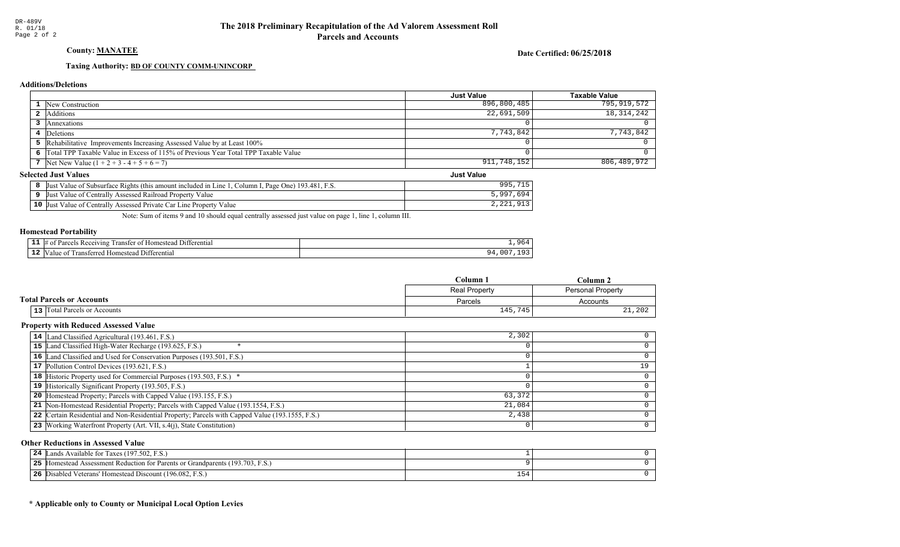## County: MANATEE

Date Certified: 06/25/2018

Just Value

## Taxing Authority: **BD OF COUNTY COMM-UNINCORP**

## **Additions/Deletions**

|                                                                                      | <b>Just Value</b> | Taxable Value |
|--------------------------------------------------------------------------------------|-------------------|---------------|
| 1 New Construction                                                                   | 896,800,485       | 795,919,572   |
| <b>2</b> Additions                                                                   | 22,691,509        | 18, 314, 242  |
| Annexations                                                                          |                   |               |
| 4 Deletions                                                                          | 7,743,842         | 7.743.842     |
| 5 Rehabilitative Improvements Increasing Assessed Value by at Least 100%             |                   |               |
| 6 Total TPP Taxable Value in Excess of 115% of Previous Year Total TPP Taxable Value |                   |               |
| 7 Net New Value $(1 + 2 + 3 - 4 + 5 + 6 = 7)$                                        | 911,748,152       | 806,489,972   |

## **Selected Just Values**

|    | $193.481$ , F.S.<br>Column I. Page One)<br><i>a</i> ne<br>e of Subsurface Rights (this amount included in )<br> Just<br>Value | ∩∩⊏                                 |
|----|-------------------------------------------------------------------------------------------------------------------------------|-------------------------------------|
|    | Value<br>Assessed Railroad Property <sup>.</sup><br>Value of Centrally<br>Just.                                               | - വെ                                |
| 10 | Car Line Property<br>Value<br> Just<br>Assessed Private C<br>Value of Centrally                                               | 012<br>$\bigcap$<br>ر ⊥ ر ، ⊥ ⊿ ، ∠ |

Note: Sum of items 9 and 10 should equal centrally assessed just value on page 1, line 1, column III.

### Homestead Portability

|     | 111<br>rerentia.<br>$\Delta$ $\Delta$<br>ınc<br>. иг<br>. |  |
|-----|-----------------------------------------------------------|--|
| -44 | terenti<br>'rans.<br>om<br>۰tar<br>атоо<br>-11.           |  |

|                                  | Column<br>∵olumn     |                   |  |
|----------------------------------|----------------------|-------------------|--|
|                                  | <b>Real Property</b> | Personal Property |  |
| <b>Total Parcels or Accounts</b> | Parcels              | Accounts          |  |
| 13 Total Parcels or Accounts     | 145,745              | 21,202            |  |

### Property with Reduced Assessed Value

| 14 Land Classified Agricultural (193.461, F.S.)                                                 | 2,302  |  |
|-------------------------------------------------------------------------------------------------|--------|--|
| 15 Land Classified High-Water Recharge (193.625, F.S.)                                          |        |  |
| 16 Land Classified and Used for Conservation Purposes (193.501, F.S.)                           |        |  |
| 17 Pollution Control Devices (193.621, F.S.)                                                    |        |  |
| 18 Historic Property used for Commercial Purposes (193.503, F.S.) *                             |        |  |
| 19 Historically Significant Property (193.505, F.S.)                                            |        |  |
| <b>20</b> Homestead Property; Parcels with Capped Value (193.155, F.S.)                         | 63,372 |  |
| 21 Non-Homestead Residential Property; Parcels with Capped Value (193.1554, F.S.)               | 21,084 |  |
| 22 Certain Residential and Non-Residential Property; Parcels with Capped Value (193.1555, F.S.) | 2,438  |  |
| 23 Working Waterfront Property (Art. VII, s.4(j), State Constitution)                           |        |  |

## Other Reductions in Assessed Value

| Lands Available for Taxes (197.502, F.S.)<br>24                                      |     |  |
|--------------------------------------------------------------------------------------|-----|--|
| <b>25</b> Homestead Assessment Reduction for Parents or Grandparents (193.703, F.S.) |     |  |
| 26 Disabled Veterans' Homestead Discount (196.082, F.S.)                             | ⊥ລ≏ |  |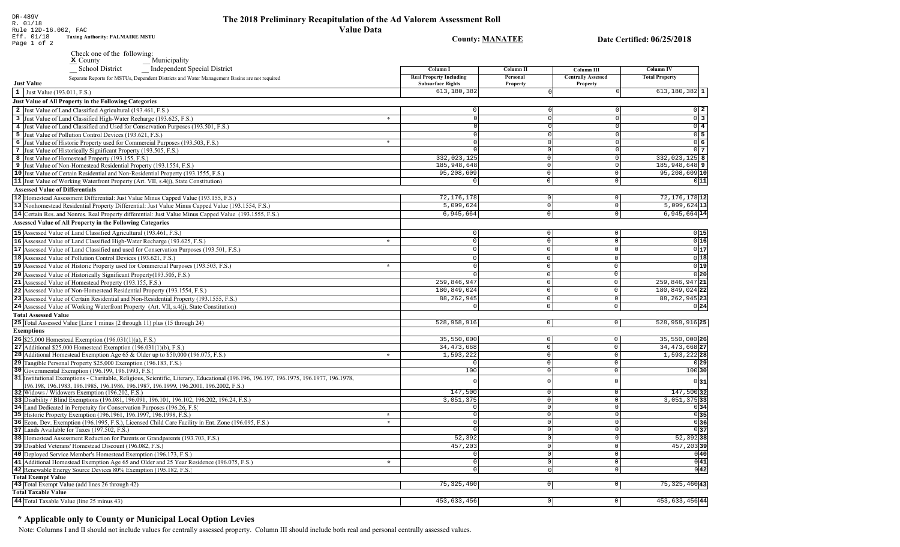Rule 12D-16.002, FACTaxing Authority: PALMAIRE MSTU Eff. 01/18Page 1 of 2

x County Municipality Check one of the following:<br>**x** County

528,958,916 0 528,958,916 25 **75,325,460** 0 0 0 0 453,633,456 0 453,633,456 0 453,633,456 1 453,633,456 1 4 4 5 4 5 4  $\sigma$  35,550,000 34,473,668 1,593,222 $\overline{0}$  $\overline{0}$  $\mathbf 0$  0 $\overline{0}$  35,550,000**26**34,473,668**2**  1,593,222**28 29** $\begin{array}{ccccccc}\n0 & & & & & 0 & \end{array}$  147,500 147,500 3,051,375 3,051,375 **33** 0 0 **30** 100 100 **34** $\begin{array}{ccccccc}\n0 & & & & & 0 & & & & 0\n\end{array}$  **35** 0 0 0 0 0 0 52,392 457,203 $\overline{0}$  0 0 0 $\overline{0}$  0 0 0 0 $\overline{0}$  $013$  0 **37** 52,392 **38** 457,203 0 **40** $\Omega$  0 $\bigcirc$  $\overline{0}$  $\Omega$  0 0 $\overline{0}$  $\overline{0}$  0 $\bigcirc$  $\bigcirc$  0 0 $\overline{0}$  0 0 0 0 **41**. . . . 72,176,178 5,099,624 6,945,66472,176,178 12 5,099,624 **13**6,945,664 $1$  $\Omega$  0 $\overline{0}$  $\Omega$  0 0 0 0 $\overline{0}$  0 0 0 0 0 0 00119 0 **20** 259,846,947 **21** 180,849,024 **22** 0**15** 0 **16** 0 **17** 0 **18** 0 **24** 0 180,849,024 88, 262, 945 259,846,947 88,262,945 88,262,945**23** 0 $\Omega$  $\Omega$  0 0 0  $\Omega$  $\mathbf 0$ <sup>0</sup> <sup>0</sup> 0 0 0 0 0 0 0 0 $\Omega$  0 0 0**Real Property Including** Subsurface Rights 613,180,382 Personal Property **Centrally Assessed** Property **Total Property** - Independent Special District \_\_ School District **1** Just Value (193.011, F.S.) **<sup>1</sup>**Just Value of All Property in the Following Categories **25** Total Assessed Value [Line 1 minus (2 through 11) plus (15 through 24) **Exemptions Just Value** 2 Just Value of Land Classified Agricultural (193.461, F.S.) 3 Just Value of Land Classified High-Water Recharge (193.625, F.S.) **Assessed Value of Differentials** 12 Homestead Assessment Differential: Just Value Minus Capped Value (193.155, F.S.) ) 72,176,178| 0| 0| 72,176,178|**12** 14 Certain Res. and Nonres. Real Property differential: Just Value Minus Capped Value (193.1555, F.S.) **1446, 1446, 1446, 1446, 1446, 1446, 1446, 1446, 1446, 1446, 1446, 1446, 1446, 1446, 1446, 1446, 1446, 1446, 144 13** Nonhomestead Residential Property Differential: Just Value Minus Capped Value (193.1554, F.S.) Assessed Value of All Property in the Following Categories 16 Assessed Value of Land Classified High-Water Recharge (193.625, F.S.) 17 Assessed Value of Land Classified and used for Conservation Purposes (193.501, F.S.) 19 Assessed Value of Historic Property used for Commercial Purposes (193.503, F.S.) 20 Assessed Value of Historically Significant Property (193.505, F.S.) **21** Assessed Value of Homestead Property (193.155, F.S.) 22 Assessed Value of Non-Homestead Residential Property (193.1554, F.S.) 23 Assessed Value of Certain Residential and Non-Residential Property (193.1555, F.S.) 24 Assessed Value of Working Waterfront Property (Art. VII, s.4(j), State Constitution) **15** Assessed Value of Land Classified Agricultural (193.461, F.S.) **18** Assessed Value of Pollution Control Devices (193.621, F.S.) **Total Assessed Value**  $\overline{\cdot}$ " **<sup>25</sup>**26 \$25,000 Homestead Exemption (196.031(1)(a), F.S.) **30** Governmental Exemption (196.199, 196.1993, F.S.) 31 |Institutional Exemptions - Charitable, Religious, Scientific, Literary, Educational (196.196.197, 196.1975, 196.1975, 196.1977, 196.1978, **27** Additional \$25,000 Homestead Exemption (196.031(1)(b), F.S.) example and the set of the set of the set of the set of the set of the set of the set of the set of the set of the set of the set of the set of the set of t **28** Additional Homestead Exemption Age  $65 &$  Older up to  $$50,000$  (196.075, F.S.) 33 Disability / Blind Exemptions (196.081, 196.091, 196.101, 196.102, 196.202, 196.24, F.S.) **34** Land Dedicated in Perpetuity for Conservation Purposes (196.26, F.S.) **35** Historic Property Exemption (196.1961, 196.1997, 196.1998, F.S.) 36 Econ. Dev. Exemption (196.1995, F.S.), Licensed Child Care Facility in Ent. Zone (196.095, F.S.) **32** | Widows / Widowers Exemption (196.202, F.S.) **29** Tangible Personal Property \$25,000 Exemption (196.183, F.S.) 196.198, 196.1983, 196.1985, 196.1986, 196.1987, 196.1999, 196.2001, 196.2002, F.S.) **32 31 <sup>36</sup>**" $\overline{\cdot}$ \* **37** Lands Available for Taxes (197.502, F.S.) 38 Homestead Assessment Reduction for Parents or Grandparents (193.703, F.S.) **39** Disabled Veterans' Homestead Discount (196.082, F.S.) **39**"4 Just Value of Land Classified and Used for Conservation Purposes (193.501, F.S.) **5** Just Value of Pollution Control Devices (193.621, F.S.) 6 Just Value of Historic Property used for Commercial Purposes (193.503, F.S.) **7** | Just Value of Historically Significant Property (193.505, F.S.) 8 Just Value of Homestead Property (193.155, F.S.) **9** Just Value of Non-Homestead Residential Property (193.1554, F.S.) 10 Just Value of Certain Residential and Non-Residential Property (193.1555, F.S.) **11** Just Value of Working Waterfront Property (Art. VII, s.4(j), State Constitution) **<sup>2</sup> 3** 0 **4** 0 **5** 0 **6** 0 **7** 0**8** 332,023,125 **9** 185,948,648 **10** 95,208,609 **11** 0 613,180,382 0 0 613,180,382  $\mathbf{r}$  $\ast$ **Total Exempt Value** 43 Total Exempt Value (add lines 26 through 42) Total Taxable Value **44** Total Taxable Value (line 25 minus 43) **453, 633, 456 6 144** Total Taxable Value (line 25 minus 43) **453, 633, 456 6 144** Total Taxable Value (line 25 minus 43) 41 Additional Homestead Exemption Age 65 and Older and 25 Year Residence (196.075, F.S.) **42** Renewable Energy Source Devices 80% Exemption (195.182, F.S.) Separate Reports for MSTUs, Dependent Districts and Water Management Basins are not required 40 Deployed Service Member's Homestead Exemption (196.173, F.S.) 75, 325, 460 **43 <sup>42</sup>** 0 0 0 0 0 0 0 0 $\bigcirc$  0 332,023,125 185,948,648 95,208,609<sup>0</sup> <sup>0</sup> 0 0 0 0 0 $\bigcirc$  $\overline{\circ}$  $\overline{0}$  0 0 0 0 0 $\overline{0}$  0 0 $\Omega$  $\begin{array}{ccccccc}\n 0 & & & & & 0 & & & & 0\n \end{array}$ 

## \* Applicable only to County or Municipal Local Option Levies

Note: Columns I and II should not include values for centrally assessed property. Column III should include both real and personal centrally assessed values.

Date Certified: 06/25/2018

Column<sub>IV</sub>

**Column III** 

County: MANATEE

**Column II** 

Column<sub>I</sub>

DR-489VR. 01/18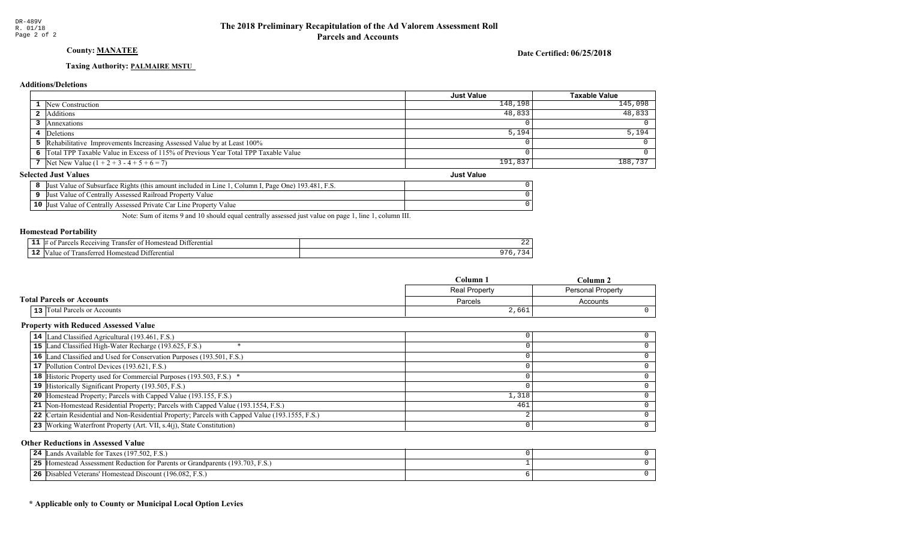## **County: MANATEE**

Date Certified: 06/25/2018

## **Taxing Authority: PALMAIRE MSTU**

## **Additions/Deletions**

|   |                                                                                    | Just Value | Taxable Value |  |
|---|------------------------------------------------------------------------------------|------------|---------------|--|
|   | New Construction                                                                   | 148,198    | 145,098       |  |
| 4 | Additions                                                                          | 48,833     | 48,833        |  |
|   | Annexations                                                                        |            |               |  |
|   | Deletions                                                                          | 5,194      | 5,194         |  |
|   | Rehabilitative Improvements Increasing Assessed Value by at Least 100%             |            |               |  |
|   | Total TPP Taxable Value in Excess of 115% of Previous Year Total TPP Taxable Value |            |               |  |
|   | Net New Value $(1 + 2 + 3 - 4 + 5 + 6 = 7)$                                        | 191,837    | 188,737       |  |
|   | <b>Selected Just Values</b><br><b>Just Value</b>                                   |            |               |  |

|  |  |                                                                                                    | --------- |
|--|--|----------------------------------------------------------------------------------------------------|-----------|
|  |  | Just Value of Subsurface Rights (this amount included in Line 1, Column I, Page One) 193.481, F.S. |           |
|  |  | Just Value of Centrally Assessed Railroad Property Value                                           |           |
|  |  | <b>10</b> Just Value of Centrally Assessed Private Car Line Property Value                         |           |

Note: Sum of items 9 and 10 should equal centrally assessed just value on page 1, line 1, column III.

## **Homestead Portability**

| --  | rentia.<br>71 n s<br>21 L |  |
|-----|---------------------------|--|
| . . | entia<br>,,,,             |  |

|                                     | $\mathbb{C}$ olumn $\mathbb{I}$<br>$C$ olumn $\lambda$ |                          |
|-------------------------------------|--------------------------------------------------------|--------------------------|
|                                     | <b>Real Property</b>                                   | <b>Personal Property</b> |
| <b>Total Parcels or Accounts</b>    | Parcels                                                | Accounts                 |
| <b>13</b> Total Parcels or Accounts | 2,661                                                  |                          |

## **Property with Reduced Assessed Value**

| 14 Land Classified Agricultural (193.461, F.S.)                                                 |       |  |
|-------------------------------------------------------------------------------------------------|-------|--|
| 15 Land Classified High-Water Recharge (193.625, F.S.)                                          |       |  |
| 16 Land Classified and Used for Conservation Purposes (193.501, F.S.)                           |       |  |
| 17 Pollution Control Devices (193.621, F.S.)                                                    |       |  |
| 18 Historic Property used for Commercial Purposes (193.503, F.S.) *                             |       |  |
| 19 Historically Significant Property (193.505, F.S.)                                            |       |  |
| <b>20</b> Homestead Property; Parcels with Capped Value (193.155, F.S.)                         | 1,318 |  |
| 21 Non-Homestead Residential Property; Parcels with Capped Value (193.1554, F.S.)               | 461   |  |
| 22 Certain Residential and Non-Residential Property; Parcels with Capped Value (193.1555, F.S.) |       |  |
| 23 Working Waterfront Property (Art. VII, s.4(j), State Constitution)                           |       |  |

## **Other Reductions in Assessed Value**

| Lands Available for Taxes (197.502, F.S.)<br>24                                         |  |
|-----------------------------------------------------------------------------------------|--|
| つち<br>Tomestead Assessment Reduction for Parents or Grandparents (193.703, F.S.)<br>- - |  |
| 26<br>Disabled Veterans' Homestead Discount (196.082, F.S.)                             |  |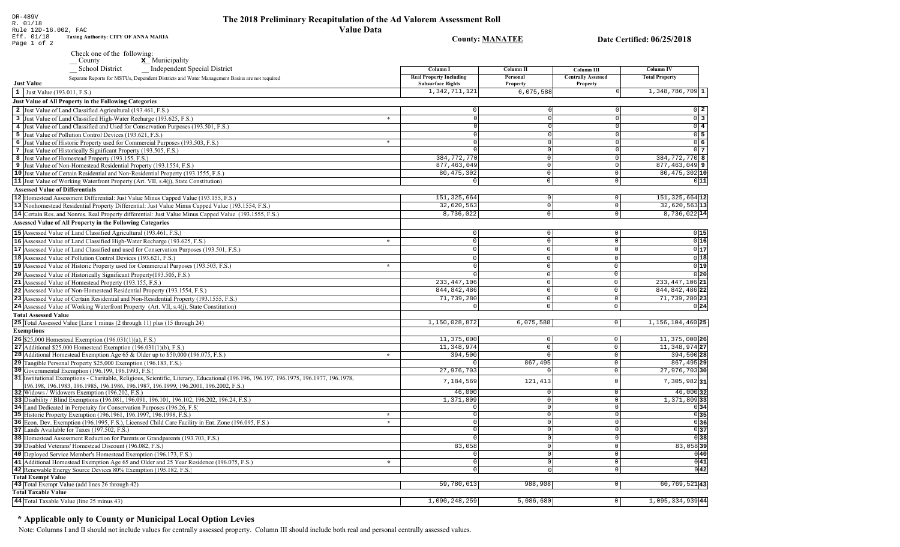**County: MANATEE** 

Date Certified: 06/25/2018

| Eff. 01/18  | <b>Taxing Authority: CITY OF ANNA MARIA</b> |
|-------------|---------------------------------------------|
| Page 1 of 2 |                                             |

Check one of the following:<br>  $\begin{array}{c}\n\blacksquare$  County  $\blacksquare$  Municipality

e a seco

| __ School District<br>_ Independent Special District                                                                                                                                                                      | Column I                                                   | Column II            | Column III                            | Column IV                    |
|---------------------------------------------------------------------------------------------------------------------------------------------------------------------------------------------------------------------------|------------------------------------------------------------|----------------------|---------------------------------------|------------------------------|
| Separate Reports for MSTUs, Dependent Districts and Water Management Basins are not required<br><b>Just Value</b>                                                                                                         | <b>Real Property Including</b><br><b>Subsurface Rights</b> | Personal<br>Property | <b>Centrally Assessed</b><br>Property | <b>Total Property</b>        |
| 1 Just Value (193.011, F.S.)                                                                                                                                                                                              | 1,342,711,121                                              | 6,075,588            |                                       | $1,348,786,709$ 1            |
| <b>Just Value of All Property in the Following Categories</b>                                                                                                                                                             |                                                            |                      |                                       |                              |
| 2 Just Value of Land Classified Agricultural (193.461, F.S.)                                                                                                                                                              | $\mathbf 0$                                                |                      |                                       | $0\vert 2$                   |
| 3 Just Value of Land Classified High-Water Recharge (193.625, F.S.)<br>$\ast$                                                                                                                                             | $\Omega$                                                   | $\Omega$             |                                       | $\frac{1}{0}$ 3              |
| 4 Just Value of Land Classified and Used for Conservation Purposes (193.501, F.S.)                                                                                                                                        | $\Omega$                                                   | $\Omega$             |                                       | $\overline{0}$ 4             |
| 5 Just Value of Pollution Control Devices (193.621, F.S.)                                                                                                                                                                 | $\Omega$                                                   | $\Omega$             |                                       | $0\overline{5}$              |
| $\ast$<br>6 Just Value of Historic Property used for Commercial Purposes (193.503, F.S.)                                                                                                                                  | $\Omega$                                                   | $\Omega$             |                                       | 06                           |
| 7 Just Value of Historically Significant Property (193.505, F.S.)                                                                                                                                                         | $\Omega$                                                   | $\Omega$             |                                       | $0\overline{7}$              |
| 8 Just Value of Homestead Property (193.155, F.S.)                                                                                                                                                                        | 384,772,770                                                | $\Omega$             |                                       | 384, 772, 770 8              |
| 9 Just Value of Non-Homestead Residential Property (193.1554, F.S.)                                                                                                                                                       | 877, 463, 049                                              | $\Omega$             | $\Omega$                              | $\overline{877, 463, 049}$ 9 |
| 10 Just Value of Certain Residential and Non-Residential Property (193.1555, F.S.)                                                                                                                                        | 80, 475, 302                                               | $\mathbf 0$          | $\Omega$                              | $80,475,302$ 10              |
| 11 Just Value of Working Waterfront Property (Art. VII, s.4(j), State Constitution)                                                                                                                                       |                                                            | $\Omega$             | $\Omega$                              | 0 11                         |
| <b>Assessed Value of Differentials</b>                                                                                                                                                                                    |                                                            |                      |                                       |                              |
| 12 Homestead Assessment Differential: Just Value Minus Capped Value (193.155, F.S.)                                                                                                                                       | 151, 325, 664                                              | $\mathbf 0$          | $\mathbf 0$                           | $151, 325, 664$ 12           |
| 13 Nonhomestead Residential Property Differential: Just Value Minus Capped Value (193.1554, F.S.)                                                                                                                         | 32,620,563                                                 | $\mathbf{0}$         | $\Omega$                              | 32,620,563 13                |
| 14 Certain Res. and Nonres. Real Property differential: Just Value Minus Capped Value (193.1555, F.S.)                                                                                                                    | 8,736,022                                                  | $\Omega$             | $\Omega$                              | 8,736,022 14                 |
| <b>Assessed Value of All Property in the Following Categories</b>                                                                                                                                                         |                                                            |                      |                                       |                              |
| 15 Assessed Value of Land Classified Agricultural (193.461, F.S.)                                                                                                                                                         | $\overline{0}$                                             | $\Omega$             | $\Omega$                              | 0 15                         |
| 16 Assessed Value of Land Classified High-Water Recharge (193.625, F.S.)<br>$\star$                                                                                                                                       | $\overline{0}$                                             | $\Omega$             | $\Omega$                              | 0 16                         |
| 17 Assessed Value of Land Classified and used for Conservation Purposes (193.501, F.S.)                                                                                                                                   | $\overline{0}$                                             | $\Omega$             | $\Omega$                              | $0\overline{17}$             |
| 18 Assessed Value of Pollution Control Devices (193.621, F.S.)                                                                                                                                                            | $\overline{0}$                                             | $\Omega$             | $\Omega$                              | $\overline{0 18}$            |
| 19 Assessed Value of Historic Property used for Commercial Purposes (193.503, F.S.)<br>$\star$                                                                                                                            | $\overline{0}$                                             | $\Omega$             | 0                                     | 0 19                         |
| 20 Assessed Value of Historically Significant Property (193.505, F.S.)                                                                                                                                                    | $\Omega$                                                   | $\Omega$             | $\overline{0}$                        | $0$ <sub>20</sub>            |
| 21 Assessed Value of Homestead Property (193.155, F.S.)                                                                                                                                                                   | 233, 447, 106                                              | $\Omega$             | $\mathbf{0}$                          | 233, 447, 106 21             |
| 22 Assessed Value of Non-Homestead Residential Property (193.1554, F.S.)                                                                                                                                                  | 844, 842, 486                                              | $\mathbf 0$          | $\mathbf 0$                           | 844, 842, 486 22             |
|                                                                                                                                                                                                                           |                                                            | $\Omega$             | $\Omega$                              |                              |
| 23 Assessed Value of Certain Residential and Non-Residential Property (193.1555, F.S.)                                                                                                                                    | 71,739,280<br>$\Omega$                                     | $\mathbf 0$          | $\Omega$                              | 71,739,280 23                |
| 24 Assessed Value of Working Waterfront Property (Art. VII, s.4(j), State Constitution)                                                                                                                                   |                                                            |                      |                                       | 0 24                         |
| <b>Total Assessed Value</b>                                                                                                                                                                                               |                                                            |                      |                                       |                              |
| 25 Total Assessed Value [Line 1 minus (2 through 11) plus (15 through 24)                                                                                                                                                 | 1,150,028,872                                              | 6,075,588            | $\circ$                               | 1, 156, 104, 460 25          |
| <b>Exemptions</b>                                                                                                                                                                                                         |                                                            |                      |                                       |                              |
| 26 \$25,000 Homestead Exemption (196.031(1)(a), F.S.)                                                                                                                                                                     | 11,375,000                                                 | $\mathbf 0$          | $\circ$                               | 11,375,000 26                |
| 27 Additional \$25,000 Homestead Exemption $(196.031(1)(b), F.S.)$                                                                                                                                                        | 11,348,974                                                 | $\Omega$             | $\circ$                               | 11, 348, 974 27              |
| 28 Additional Homestead Exemption Age 65 & Older up to \$50,000 (196.075, F.S.)<br>$\star$                                                                                                                                | 394,500                                                    | $\Omega$             | $\mathbf 0$                           | 394,500 28                   |
| 29 Tangible Personal Property \$25,000 Exemption (196.183, F.S.)                                                                                                                                                          |                                                            | 867,495              | $\Omega$                              | 867, 495 29                  |
| 30 Governmental Exemption (196.199, 196.1993, F.S.)                                                                                                                                                                       | 27,976,703                                                 |                      | $\Omega$                              | 27,976,703 30                |
| 31 Institutional Exemptions - Charitable, Religious, Scientific, Literary, Educational (196.196.197.196.1975, 196.1977, 196.1978,<br>196.198, 196.1983, 196.1985, 196.1986, 196.1987, 196.1999, 196.2001, 196.2002, F.S.) | 7,184,569                                                  | 121,413              | $\Omega$                              | $7,305,982$ 31               |
| 32 Widows / Widowers Exemption (196.202, F.S.)                                                                                                                                                                            | 46,000                                                     | $\Omega$             | $\Omega$                              | 46,000 32                    |
| 33 Disability / Blind Exemptions (196.081, 196.091, 196.101, 196.102, 196.202, 196.24, F.S.)                                                                                                                              | 1,371,809                                                  | $\Omega$             | $\mathbf{0}$                          | $1,371,809$ 33               |
| 34 Land Dedicated in Perpetuity for Conservation Purposes (196.26, F.S.                                                                                                                                                   | $\Omega$                                                   | $\Omega$             | $\mathbf 0$                           | 0 34                         |
| 35 Historic Property Exemption (196.1961, 196.1997, 196.1998, F.S.)<br>$\star$                                                                                                                                            | $^{\circ}$                                                 | $\Omega$             | $\circ$                               | 0 35                         |
| 36 Econ. Dev. Exemption (196.1995, F.S.), Licensed Child Care Facility in Ent. Zone (196.095, F.S.)<br>$\star$                                                                                                            | $\overline{0}$                                             | $\mathbf 0$          | $\mathbf{0}$                          | $\overline{0}$ 36            |
| 37 Lands Available for Taxes (197.502, F.S.)                                                                                                                                                                              | $\Omega$                                                   | $\Omega$             | $\Omega$                              | 0 37                         |
| 38 Homestead Assessment Reduction for Parents or Grandparents (193.703, F.S.)                                                                                                                                             | $\Omega$                                                   | $\Omega$             | $\Omega$                              | $\overline{0}$ 38            |
| 39 Disabled Veterans' Homestead Discount (196.082, F.S.)                                                                                                                                                                  | 83,058                                                     | $\mathbf 0$          | $\mathsf{O}$                          | $83,058$ 39                  |
| 40 Deployed Service Member's Homestead Exemption (196.173, F.S.)                                                                                                                                                          | $\overline{0}$                                             | $\circ$              | $\mathsf{O}$                          | 0 40                         |
| 41 Additional Homestead Exemption Age 65 and Older and 25 Year Residence (196.075, F.S.)<br>$\star$                                                                                                                       | $\overline{0}$                                             | $\circ$              | $\mathsf{O}$                          | 0 41                         |
| 42 Renewable Energy Source Devices 80% Exemption (195.182, F.S.)                                                                                                                                                          | $\mathbf 0$                                                | $\Omega$             | $\overline{0}$                        | $0\overline{42}$             |
| <b>Total Exempt Value</b>                                                                                                                                                                                                 |                                                            |                      |                                       |                              |
| 43 Total Exempt Value (add lines 26 through 42)                                                                                                                                                                           | 59,780,613                                                 | 988,908              | $\circ$                               | $60, 769, 521$ 43            |
| <b>Total Taxable Value</b>                                                                                                                                                                                                |                                                            |                      |                                       |                              |
| 44 Total Taxable Value (line 25 minus 43)                                                                                                                                                                                 | 1,090,248,259                                              | 5,086,680            | $\circ$                               | $1,095,334,939$ 44           |

# \* Applicable only to County or Municipal Local Option Levies

Note: Columns I and II should not include values for centrally assessed property. Column III should include both real and personal centrally assessed values.

DR-489V<br>R. 01/18<br>Rule 12D-16.002, FAC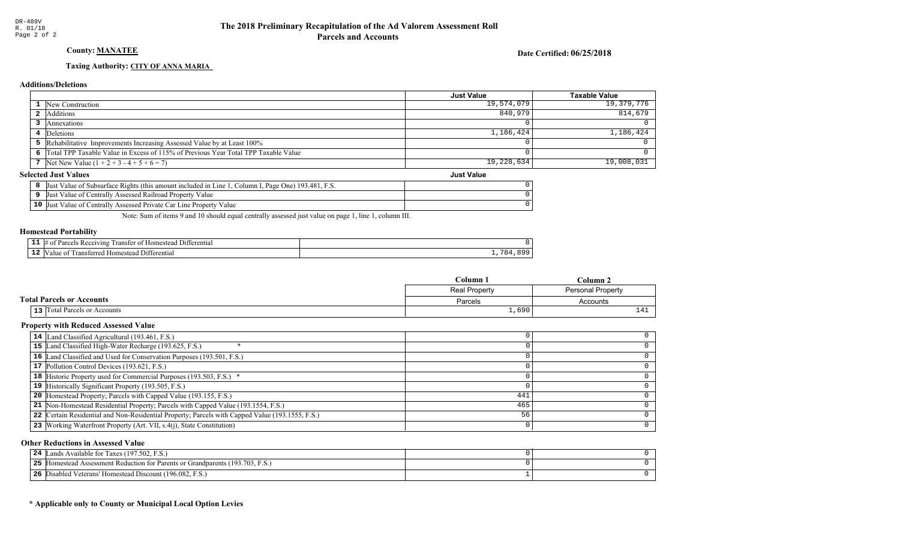## County: MANATEE

Date Certified: 06/25/2018

## Taxing Authority: CITY OF ANNA MARIA

## **Additions/Deletions**

|                                                                                      | <b>Just Value</b> | <b>Taxable Value</b> |
|--------------------------------------------------------------------------------------|-------------------|----------------------|
| 1 New Construction                                                                   | 19,574,079        | 19,379,776           |
| 2 Additions                                                                          | 840,979           | 814,679              |
| Annexations                                                                          |                   |                      |
| 4 Deletions                                                                          | 1,186,424         | 1,186,424            |
| 5 Rehabilitative Improvements Increasing Assessed Value by at Least 100%             |                   |                      |
| 6 Total TPP Taxable Value in Excess of 115% of Previous Year Total TPP Taxable Value |                   |                      |
| 7 Net New Value $(1 + 2 + 3 - 4 + 5 + 6 = 7)$                                        | 19,228,634        | 19,008,031           |
| lected Just Values!<br><b>Just Value</b>                                             |                   |                      |

## **Selected Just Values**

|    | If Value of Subsurface Rights (this amount included in Line 1<br>- F S<br>Page One) 193.481.<br>Column I<br>IJust |  |
|----|-------------------------------------------------------------------------------------------------------------------|--|
|    | t Value of Centrally Assessed Railroad Property Value<br> Just                                                    |  |
| 10 | I Value of Centrally Assessed Private Car Line Property<br>Value<br>- IJust                                       |  |

Note: Sum of items 9 and 10 should equal centrally assessed just value on page 1, line 1, column III.

### Homestead Portability

| - -<br>. . | +terentia.<br>ang<br>ansı<br>иπ |  |
|------------|---------------------------------|--|
| - 4        | entia.<br>-111<br>ш             |  |

|                                       | Column               | ∵olumn .                 |  |
|---------------------------------------|----------------------|--------------------------|--|
|                                       | <b>Real Property</b> | <b>Personal Property</b> |  |
| <b>Total Parcels or Accounts</b>      | Parcels              | Accounts                 |  |
| Total Parcels or Accounts<br>$13$ $ $ | ⊥,690 !              | - -                      |  |

### Property with Reduced Assessed Value

| 14 Land Classified Agricultural (193.461, F.S.)                                                 |     |  |
|-------------------------------------------------------------------------------------------------|-----|--|
| 15 Land Classified High-Water Recharge (193.625, F.S.)                                          |     |  |
| 16 Land Classified and Used for Conservation Purposes (193.501, F.S.)                           |     |  |
| 17 Pollution Control Devices (193.621, F.S.)                                                    |     |  |
| 18 Historic Property used for Commercial Purposes (193.503, F.S.) *                             |     |  |
| 19 Historically Significant Property (193.505, F.S.)                                            |     |  |
| <b>20</b> Homestead Property; Parcels with Capped Value (193.155, F.S.)                         | 441 |  |
| 21 Non-Homestead Residential Property; Parcels with Capped Value (193.1554, F.S.)               | 465 |  |
| 22 Certain Residential and Non-Residential Property; Parcels with Capped Value (193.1555, F.S.) | 56  |  |
| 23 Working Waterfront Property (Art. VII, s.4(j), State Constitution)                           |     |  |
|                                                                                                 |     |  |

## Other Reductions in Assessed Value

| 24 Lands Available for Taxes (197.502, F.S.)                                         |  |
|--------------------------------------------------------------------------------------|--|
| <b>25</b> Homestead Assessment Reduction for Parents or Grandparents (193.703, F.S.) |  |
| 26 Disabled Veterans' Homestead Discount (196.082, F.S.)                             |  |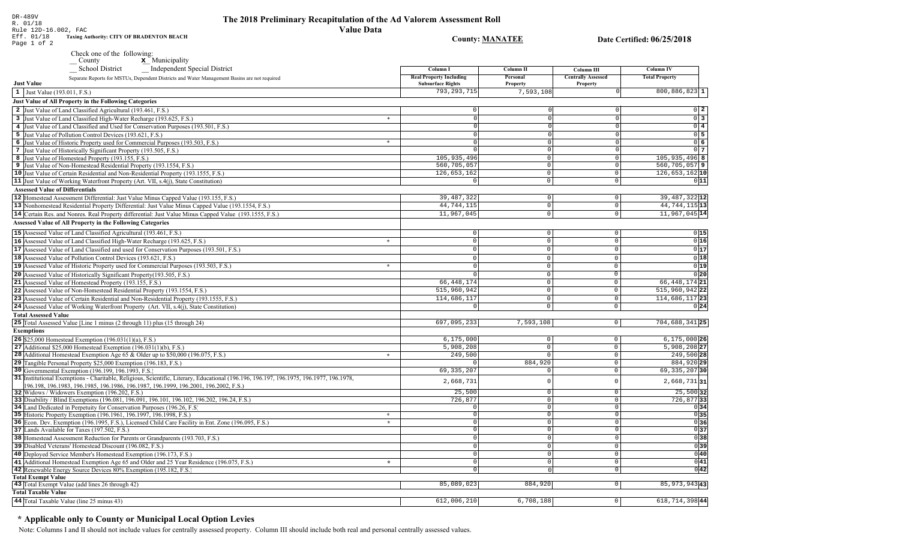Rule 12D-16.002, FAC Eff. 01/18<br>Page 1 of 2 Taxing Authority: CITY OF BRADENTON BEACH

Check one of the following:<br>County  $\underline{\mathbf{x}}$  Municipality

 $\equiv$  School District Independent Special District

| Separate Reports for MSTUs, Dependent Districts and Water Management Basins are not required<br><b>Just Value</b>                                                  | кеат гторегту пісниців<br><b>Subsurface Rights</b> | тегзопа<br>Property  | Centrally Assessed<br>Property | <b>TOTAL LEOPELY</b>      |
|--------------------------------------------------------------------------------------------------------------------------------------------------------------------|----------------------------------------------------|----------------------|--------------------------------|---------------------------|
| 1 Just Value (193.011, F.S.)                                                                                                                                       | 793, 293, 715                                      | 7,593,108            |                                | $800, 886, 823$ 1         |
| Just Value of All Property in the Following Categories                                                                                                             |                                                    |                      |                                |                           |
| 2 Just Value of Land Classified Agricultural (193.461, F.S.)                                                                                                       |                                                    |                      |                                | 0 2                       |
|                                                                                                                                                                    | $\ast$                                             | $\Omega$             | $\circ$                        | $\overline{0}$ 3          |
| 3 Just Value of Land Classified High-Water Recharge (193.625, F.S.)                                                                                                |                                                    | $\Omega$             |                                |                           |
| 4 Just Value of Land Classified and Used for Conservation Purposes (193.501, F.S.)                                                                                 |                                                    |                      | $\circ$                        | $0$ 4                     |
| 5 Just Value of Pollution Control Devices (193.621, F.S.)                                                                                                          | $\ast$                                             |                      | $\Omega$                       | $0\overline{5}$           |
| 6 Just Value of Historic Property used for Commercial Purposes (193.503, F.S.)                                                                                     |                                                    | $\Omega$<br>$\Omega$ | $\Omega$<br>$\Omega$           | 0 6                       |
| 7 Just Value of Historically Significant Property (193.505, F.S.)                                                                                                  |                                                    |                      |                                | 0 7                       |
| 8 Just Value of Homestead Property (193.155, F.S.)                                                                                                                 | 105,935,496<br>560,705,057                         | $\circ$<br>$\Omega$  | $\mathbf 0$<br>$\Omega$        | $105, 935, 496$ 8         |
| 9 Just Value of Non-Homestead Residential Property (193.1554, F.S.)                                                                                                | 126,653,162                                        | $\Omega$             | $\mathbf 0$                    | $560, 705, 057$  9        |
| 10 Just Value of Certain Residential and Non-Residential Property (193.1555, F.S.)                                                                                 |                                                    |                      |                                | $126,653,162$ 10          |
| 11 Just Value of Working Waterfront Property (Art. VII, s.4(j), State Constitution)                                                                                | $\Omega$                                           | $\circ$              | $\mathbf 0$                    | 0 11                      |
| <b>Assessed Value of Differentials</b>                                                                                                                             |                                                    |                      |                                |                           |
| 12 Homestead Assessment Differential: Just Value Minus Capped Value (193.155, F.S.)                                                                                | 39, 487, 322                                       | $\circ$              | $\mathbf 0$                    | 39, 487, 322 12           |
| 13 Nonhomestead Residential Property Differential: Just Value Minus Capped Value (193.1554, F.S.)                                                                  | 44,744,115                                         | $\Omega$             | $\Omega$                       | 44, 744, 115 13           |
| 14 Certain Res. and Nonres. Real Property differential: Just Value Minus Capped Value (193.1555, F.S.)                                                             | 11,967,045                                         | $\mathbf 0$          | $\Omega$                       | 11,967,045 14             |
| Assessed Value of All Property in the Following Categories                                                                                                         |                                                    |                      |                                |                           |
| 15 Assessed Value of Land Classified Agricultural (193.461, F.S.)                                                                                                  | $\Omega$                                           | $\Omega$             | 0                              | 0 15                      |
| 16 Assessed Value of Land Classified High-Water Recharge (193.625, F.S.)                                                                                           | $\star$<br>$\Omega$                                | $\Omega$             | $\mathbf{0}$                   | 0 16                      |
| 17 Assessed Value of Land Classified and used for Conservation Purposes (193.501, F.S.)                                                                            | $\Omega$                                           | $\mathbf 0$          | $\mathbf{0}$                   | 0 17                      |
| 18 Assessed Value of Pollution Control Devices (193.621, F.S.)                                                                                                     | $\Omega$                                           | $\Omega$             | $\mathbf{0}$                   | 0 18                      |
| 19 Assessed Value of Historic Property used for Commercial Purposes (193.503, F.S.)                                                                                | $\star$                                            | $\mathbf 0$          | $\mathbf{0}$                   | 0 19                      |
| 20 Assessed Value of Historically Significant Property (193.505, F.S.)                                                                                             |                                                    | $\Omega$             | $\overline{0}$                 | 0 20                      |
| 21 Assessed Value of Homestead Property (193.155, F.S.)                                                                                                            | 66, 448, 174                                       | $\Omega$             | $\mathbf{0}$                   | 66, 448, 174 21           |
|                                                                                                                                                                    | 515,960,942                                        | $\Omega$             | $\mathbf 0$                    | 515,960,942 22            |
| 22 Assessed Value of Non-Homestead Residential Property (193.1554, F.S.)<br>23 Assessed Value of Certain Residential and Non-Residential Property (193.1555, F.S.) | 114,686,117                                        | $\Omega$             | $\mathbf{0}$                   |                           |
|                                                                                                                                                                    |                                                    |                      |                                | $114,686,117$ 23          |
| 24 Assessed Value of Working Waterfront Property (Art. VII, s.4(j), State Constitution)                                                                            |                                                    | $\mathsf 0$          | $\mathbf 0$                    | 0 24                      |
| <b>Total Assessed Value</b>                                                                                                                                        |                                                    |                      |                                |                           |
| 25 Total Assessed Value [Line 1 minus (2 through 11) plus (15 through 24)                                                                                          | 697,095,233                                        | 7,593,108            | 0                              | 704,688,341 25            |
| <b>Exemptions</b>                                                                                                                                                  |                                                    |                      |                                |                           |
| <b>26</b> \$25,000 Homestead Exemption $(196.031(1)(a), F.S.)$                                                                                                     | 6, 175, 000                                        | $\mathbf{0}$         | $\mathbf 0$                    | $6, 175, 000$ 26          |
| 27 Additional \$25,000 Homestead Exemption $(196.031(1)(b), F.S.)$                                                                                                 | 5,908,208                                          | $\Omega$             | $\circ$                        | $5,908,208$ <sub>27</sub> |
| <b>28</b> Additional Homestead Exemption Age 65 & Older up to \$50,000 (196.075, F.S.)                                                                             | 249,500<br>$\star$                                 | $\Omega$             | $\mathbf 0$                    | 249,500 28                |
| 29 Tangible Personal Property \$25,000 Exemption (196.183, F.S.)                                                                                                   |                                                    | 884,920              | $\mathbf 0$                    | 884,920 29                |
| 30 Governmental Exemption (196.199, 196.1993, F.S.)                                                                                                                | 69, 335, 207                                       | $\Omega$             | $\Omega$                       | 69, 335, 207 30           |
| 31 Institutional Exemptions - Charitable, Religious, Scientific, Literary, Educational (196.196.197, 196.1975, 196.1977, 196.1978,                                 | 2,668,731                                          | $\mathcal{C}$        | U                              | $2,668,731$ 31            |
| 196.198, 196.1983, 196.1985, 196.1986, 196.1987, 196.1999, 196.2001, 196.2002, F.S.)                                                                               | 25,500                                             | $\circ$              | $\circ$                        | $25,500$ 32               |
| 32 Widows / Widowers Exemption (196.202, F.S.)<br>33 Disability / Blind Exemptions (196.081, 196.091, 196.101, 196.102, 196.202, 196.24, F.S.)                     | 726,877                                            | $\Omega$             | $\Omega$                       | 726,87733                 |
| 34 Land Dedicated in Perpetuity for Conservation Purposes (196.26, F.S.)                                                                                           |                                                    | $\Omega$             | $\mathbf 0$                    | 0 34                      |
| 35 Historic Property Exemption (196.1961, 196.1997, 196.1998, F.S.)                                                                                                | $\star$                                            | $\circ$              | $\Omega$                       | 0 35                      |
| 36 Econ. Dev. Exemption (196.1995, F.S.), Licensed Child Care Facility in Ent. Zone (196.095, F.S.)                                                                | $\star$                                            | $\Omega$             | $\Omega$                       | 0 36                      |
| 37 Lands Available for Taxes (197.502, F.S.)                                                                                                                       |                                                    | $\Omega$             | $\overline{0}$                 | 0 37                      |
| 38 Homestead Assessment Reduction for Parents or Grandparents (193.703, F.S.)                                                                                      |                                                    | $\Omega$             | $\mathbf 0$                    | 0 38                      |
| 39 Disabled Veterans' Homestead Discount (196.082, F.S.)                                                                                                           |                                                    | $\Omega$             | $\mathbf 0$                    | 0 39                      |
| 40 Deployed Service Member's Homestead Exemption (196.173, F.S.)                                                                                                   | $\cap$                                             | $\Omega$             | $\mathsf{O}$                   | $ 0 $ 40                  |
| 41 Additional Homestead Exemption Age 65 and Older and 25 Year Residence (196.075, F.S.)                                                                           | $\lambda$                                          | $\Omega$             | 0                              | 0 41                      |
| 42 Renewable Energy Source Devices 80% Exemption (195.182, F.S.)                                                                                                   | $\Omega$                                           | $\cap$               | $\mathbf 0$                    | 0 42                      |
| <b>Total Exempt Value</b>                                                                                                                                          |                                                    |                      |                                |                           |
| 43 Total Exempt Value (add lines 26 through 42)                                                                                                                    | 85,089,023                                         | 884,920              | 0 I                            | 85, 973, 943 43           |
| <b>Total Taxable Value</b>                                                                                                                                         |                                                    |                      |                                |                           |
| 44 Total Taxable Value (line 25 minus 43)                                                                                                                          | 612,006,210                                        | 6,708,188            | $\overline{0}$                 | $618,714,398$  44         |
|                                                                                                                                                                    |                                                    |                      |                                |                           |

# \* Applicable only to County or Municipal Local Option Levies

Note: Columns I and II should not include values for centrally assessed property. Column III should include both real and personal centrally assessed values.

Date Certified: 06/25/2018

**Column IV** 

Column III

**County: MANATEE** 

 $Column II$ 

Column I

DR-489V  $R. 01/18$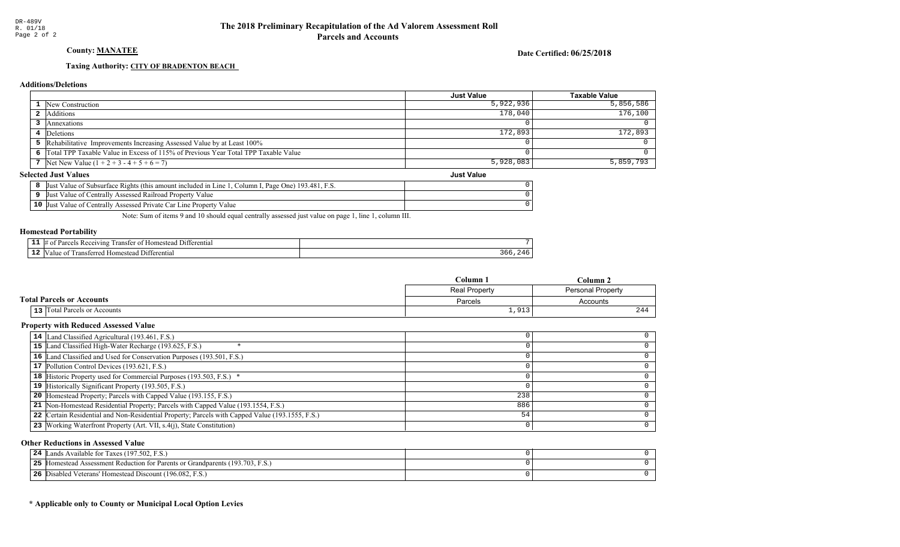## County: MANATEE

Date Certified: 06/25/2018

## Taxing Authority: CITY OF BRADENTON BEACH

## **Additions/Deletions**

|                                         |                                                                                      | <b>Just Value</b> | Taxable Value |
|-----------------------------------------|--------------------------------------------------------------------------------------|-------------------|---------------|
|                                         | <b>1</b> New Construction                                                            | 5,922,936         | 5,856,586     |
|                                         | 2 Additions                                                                          | 178,040           | 176,100       |
|                                         | Annexations                                                                          |                   |               |
|                                         | 4 Deletions                                                                          | 172,893           | 172,893       |
|                                         | 5 Rehabilitative Improvements Increasing Assessed Value by at Least 100%             |                   |               |
|                                         | 6 Total TPP Taxable Value in Excess of 115% of Previous Year Total TPP Taxable Value |                   |               |
|                                         | 7 Net New Value $(1 + 2 + 3 - 4 + 5 + 6 = 7)$                                        | 5,928,083         | 5,859,793     |
| lected Just Values<br><b>Just Value</b> |                                                                                      |                   |               |

### **Selected Just Values**

| Column I, Page One) $193.481$ , F.S.<br>t Value of Subsurface Rights (this amount included in Line 1)<br>IJust |  |
|----------------------------------------------------------------------------------------------------------------|--|
| Just Value of Centrally Assessed Railroad Property Value                                                       |  |
| 10 Just Value of Centrally Assessed Private Car Line Property Value                                            |  |

Note: Sum of items 9 and 10 should equal centrally assessed just value on page 1, line 1, column III.

### Homestead Portability

| - -<br>. . | terentia.<br>יוגי<br>/Inf |  |
|------------|---------------------------|--|
| .          | entia.<br>"<br>Ш          |  |

|                                       | $C$ olumn            | Column                   |  |
|---------------------------------------|----------------------|--------------------------|--|
|                                       | <b>Real Property</b> | <b>Personal Property</b> |  |
| <b>Total Parcels or Accounts</b>      | Parcels              | Accounts                 |  |
| Total Parcels or Accounts<br>$13$ $ $ | 1,913                | ∼                        |  |

### Property with Reduced Assessed Value

| 14 Land Classified Agricultural (193.461, F.S.)                                                 |     |  |
|-------------------------------------------------------------------------------------------------|-----|--|
| 15 Land Classified High-Water Recharge (193.625, F.S.)                                          |     |  |
| 16 Land Classified and Used for Conservation Purposes (193.501, F.S.)                           |     |  |
| 17 Pollution Control Devices (193.621, F.S.)                                                    |     |  |
| 18 Historic Property used for Commercial Purposes (193.503, F.S.) *                             |     |  |
| 19 Historically Significant Property (193.505, F.S.)                                            |     |  |
| <b>20</b> Homestead Property; Parcels with Capped Value (193.155, F.S.)                         | 238 |  |
| 21 Non-Homestead Residential Property; Parcels with Capped Value (193.1554, F.S.)               | 886 |  |
| 22 Certain Residential and Non-Residential Property; Parcels with Capped Value (193.1555, F.S.) | 54  |  |
| 23 Working Waterfront Property (Art. VII, s.4(j), State Constitution)                           |     |  |
|                                                                                                 |     |  |

### Other Reductions in Assessed Value

| Lands Available for Taxes (197.502, F.S.)<br>24                                    |  |
|------------------------------------------------------------------------------------|--|
| 25<br>5 Homestead Assessment Reduction for Parents or Grandparents (193.703, F.S.) |  |
| 26<br>Disabled Veterans' Homestead Discount (196.082, F.S.)                        |  |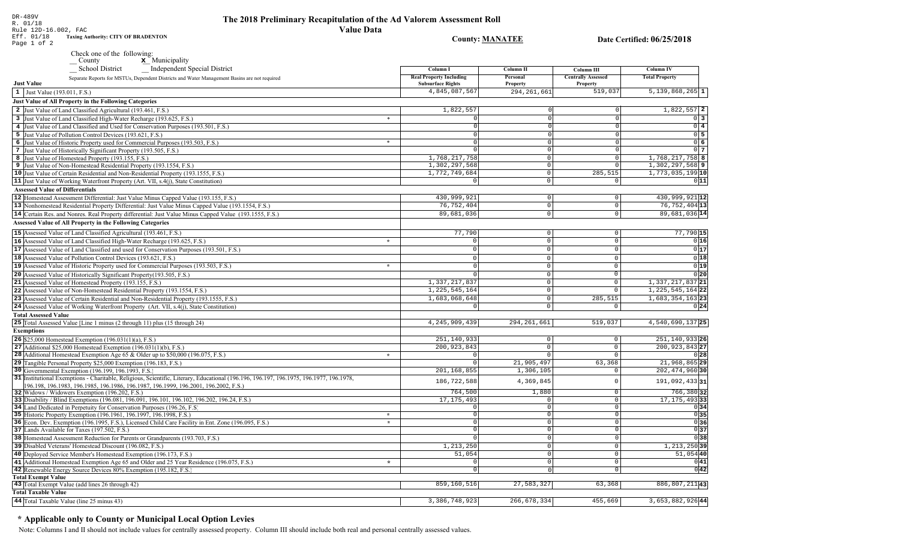DR-489V<br>R. 01/18<br>Rule 12D-16.002, FAC<br>Eff. 01/18 Taxing Aud<br>Page 1 of 2 **Taxing Authority: CITY OF BRADENTON** 

Check one of the following:<br>  $\begin{array}{c}\n\blacksquare$  County  $\blacksquare$  Municipality

| <b>Independent Special District</b><br><b>School District</b>                                                                                                                                                                   | Column I                                                   | <b>Column II</b>           | <b>Column III</b>                            | <b>Column IV</b>             |  |
|---------------------------------------------------------------------------------------------------------------------------------------------------------------------------------------------------------------------------------|------------------------------------------------------------|----------------------------|----------------------------------------------|------------------------------|--|
| Separate Reports for MSTUs, Dependent Districts and Water Management Basins are not required<br><b>Just Value</b>                                                                                                               | <b>Real Property Including</b><br><b>Subsurface Rights</b> | Personal<br>Property       | <b>Centrally Assessed</b><br><b>Property</b> | <b>Total Property</b>        |  |
| 1 Just Value (193.011, F.S.)                                                                                                                                                                                                    | 4,845,087,567                                              | 294, 261, 661              | 519,037                                      | $5,139,868,265$ 1            |  |
| <b>Just Value of All Property in the Following Categories</b>                                                                                                                                                                   |                                                            |                            |                                              |                              |  |
| 2 Just Value of Land Classified Agricultural (193.461, F.S.)                                                                                                                                                                    | 1,822,557                                                  |                            |                                              | $1,822,557$ 2                |  |
| 3 Just Value of Land Classified High-Water Recharge (193.625, F.S.)                                                                                                                                                             | $\ast$                                                     |                            | $\Omega$                                     | $\overline{0}$ 3             |  |
| 4 Just Value of Land Classified and Used for Conservation Purposes (193.501, F.S.)                                                                                                                                              |                                                            |                            | $\Omega$                                     | $\overline{0}$ 4             |  |
| 5 Just Value of Pollution Control Devices (193.621, F.S.)                                                                                                                                                                       | $\Omega$                                                   |                            |                                              | $0\overline{5}$              |  |
| 6 Just Value of Historic Property used for Commercial Purposes (193.503, F.S.)                                                                                                                                                  | $\ast$<br>$\Omega$                                         | $\Omega$                   | $\Omega$                                     | 06                           |  |
| 7 Just Value of Historically Significant Property (193.505, F.S.)                                                                                                                                                               |                                                            |                            | $\Omega$                                     | 0 <sub>7</sub>               |  |
| 8 Just Value of Homestead Property (193.155, F.S.)                                                                                                                                                                              | 1,768,217,758                                              | $\Omega$                   | $\Omega$                                     | 1,768,217,758 8              |  |
| 9 Just Value of Non-Homestead Residential Property (193.1554, F.S.)                                                                                                                                                             | 1,302,297,568                                              | $\Omega$                   |                                              | $1,302,297,568$ 9            |  |
| 10 Just Value of Certain Residential and Non-Residential Property (193.1555, F.S.)                                                                                                                                              | 1,772,749,684                                              | $\mathbf 0$                | 285, 515                                     | 1,773,035,199 10             |  |
| 11 Just Value of Working Waterfront Property (Art. VII, s.4(j), State Constitution)                                                                                                                                             | $\Omega$                                                   | $\Omega$                   | $\circ$                                      | 0 11                         |  |
| <b>Assessed Value of Differentials</b>                                                                                                                                                                                          |                                                            |                            |                                              |                              |  |
| 12 Homestead Assessment Differential: Just Value Minus Capped Value (193.155, F.S.)                                                                                                                                             | 430,999,921                                                | $\mathbf 0$                | $\circ$                                      | 430,999,921 12               |  |
|                                                                                                                                                                                                                                 | 76, 752, 404                                               | $\mathbf 0$                | $\circ$                                      | 76, 752, 404 13              |  |
| 13 Nonhomestead Residential Property Differential: Just Value Minus Capped Value (193.1554, F.S.)                                                                                                                               | 89,681,036                                                 | $\Omega$                   | $\Omega$                                     | 89,681,036 14                |  |
| 14 Certain Res. and Nonres. Real Property differential: Just Value Minus Capped Value (193.1555, F.S.)                                                                                                                          |                                                            |                            |                                              |                              |  |
| <b>Assessed Value of All Property in the Following Categories</b>                                                                                                                                                               |                                                            |                            |                                              |                              |  |
| 15 Assessed Value of Land Classified Agricultural (193.461, F.S.)                                                                                                                                                               | 77,790                                                     | $\Omega$                   | $\mathbf{0}$                                 | 77,790 15                    |  |
| 16 Assessed Value of Land Classified High-Water Recharge (193.625, F.S.)                                                                                                                                                        | $\star$                                                    | $\Omega$                   | $\Omega$                                     | 0 16                         |  |
| 17 Assessed Value of Land Classified and used for Conservation Purposes (193.501, F.S.)                                                                                                                                         | $\Omega$                                                   | $\mathbf 0$                | $\mathbf{0}$                                 | 0 17                         |  |
| 18 Assessed Value of Pollution Control Devices (193.621, F.S.)                                                                                                                                                                  | $\Omega$                                                   | $\Omega$                   | $\Omega$                                     | 0 18                         |  |
| 19 Assessed Value of Historic Property used for Commercial Purposes (193.503, F.S.)                                                                                                                                             | $\Omega$<br>$\star$                                        | $\Omega$                   | $\mathbf{0}$                                 | 0 19                         |  |
| 20 Assessed Value of Historically Significant Property (193.505, F.S.)                                                                                                                                                          | $\Omega$                                                   | $\mathbf 0$                | $\mathbb O$                                  | $0$ <sub>20</sub>            |  |
| 21 Assessed Value of Homestead Property (193.155, F.S.)                                                                                                                                                                         | 1,337,217,837                                              | $\mathbf 0$                | $\mathbf 0$                                  | 1, 337, 217, 837 21          |  |
| 22 Assessed Value of Non-Homestead Residential Property (193.1554, F.S.)                                                                                                                                                        | 1,225,545,164                                              | $\mathbf 0$                | $\mathbf 0$                                  | 1, 225, 545, 164 22          |  |
| 23 Assessed Value of Certain Residential and Non-Residential Property (193.1555, F.S.)                                                                                                                                          | 1,683,068,648                                              | $\Omega$                   | 285,515                                      | 1,683,354,163 23             |  |
| 24 Assessed Value of Working Waterfront Property (Art. VII, s.4(j), State Constitution)                                                                                                                                         |                                                            | $\Omega$                   | $\Omega$                                     | 0 24                         |  |
| <b>Total Assessed Value</b>                                                                                                                                                                                                     |                                                            |                            |                                              |                              |  |
| 25 Total Assessed Value [Line 1 minus (2 through 11) plus (15 through 24)                                                                                                                                                       | 4, 245, 909, 439                                           | 294, 261, 661              | 519,037                                      | 4,540,690,137 25             |  |
|                                                                                                                                                                                                                                 |                                                            |                            |                                              |                              |  |
| <b>Exemptions</b>                                                                                                                                                                                                               |                                                            |                            |                                              |                              |  |
| <b>26</b> \$25,000 Homestead Exemption $(196.031(1)(a), F.S.)$                                                                                                                                                                  | 251,140,933                                                | $\mathbf 0$                | $\mathbf 0$                                  | 251, 140, 933 26             |  |
| 27 Additional \$25,000 Homestead Exemption $(196.031(1)(b), F.S.)$                                                                                                                                                              | 200, 923, 843                                              | $\overline{0}$<br>$\Omega$ | $\mathbf{0}$                                 | 200, 923, 843 27             |  |
| 28 Additional Homestead Exemption Age 65 & Older up to \$50,000 (196.075, F.S.)                                                                                                                                                 | $\star$<br>$\Omega$                                        |                            | $\circ$                                      | 0 28                         |  |
| 29 Tangible Personal Property \$25,000 Exemption (196.183, F.S.)                                                                                                                                                                | $\Omega$                                                   | 21,905,497                 | 63,368                                       | 21,968,865 29                |  |
| 30 Governmental Exemption (196.199, 196.1993, F.S.)                                                                                                                                                                             | 201,168,855                                                | 1,306,105                  | $\Omega$                                     | 202, 474, 960 30             |  |
| 31 Institutional Exemptions - Charitable, Religious, Scientific, Literary, Educational (196.196, 196.197, 196.1975, 196.1977, 196.1978,<br>196.198, 196.1983, 196.1985, 196.1986, 196.1987, 196.1999, 196.2001, 196.2002, F.S.) | 186,722,588                                                | 4,369,845                  | $\Omega$                                     | 191,092,433 31               |  |
| 32 Widows / Widowers Exemption (196.202, F.S.)                                                                                                                                                                                  | 764,500                                                    | 1,880                      | $\mathbf{0}$                                 | $766,380$ 32                 |  |
| 33 Disability / Blind Exemptions (196.081, 196.091, 196.101, 196.102, 196.202, 196.24, F.S.)                                                                                                                                    | 17, 175, 493                                               | $\Omega$                   | $\mathbf{0}$                                 | $\overline{17, 175, 493}$ 33 |  |
| 34 Land Dedicated in Perpetuity for Conservation Purposes (196.26, F.S.)                                                                                                                                                        | $\Omega$                                                   | $\Omega$                   | $\mathbf 0$                                  | 0 34                         |  |
| 35 Historic Property Exemption (196.1961, 196.1997, 196.1998, F.S.)                                                                                                                                                             | $\star$<br>$\Omega$                                        | $\Omega$                   | $\Omega$                                     | 0 35                         |  |
| 36 Econ. Dev. Exemption (196.1995, F.S.), Licensed Child Care Facility in Ent. Zone (196.095, F.S.)                                                                                                                             | $\star$<br>$\Omega$                                        | $\Omega$                   | $\circ$                                      | 036                          |  |
| 37 Lands Available for Taxes (197.502, F.S.)                                                                                                                                                                                    | $\Omega$                                                   | $\Omega$                   | $\mathbf{0}$                                 | 0 37                         |  |
| 38 Homestead Assessment Reduction for Parents or Grandparents (193.703, F.S.)                                                                                                                                                   |                                                            | $\Omega$                   | $\Omega$                                     | 0 38                         |  |
| 39 Disabled Veterans' Homestead Discount (196.082, F.S.)                                                                                                                                                                        | 1,213,250                                                  | $\Omega$                   | 0                                            | $1,213,250$ 39               |  |
| 40 Deployed Service Member's Homestead Exemption (196.173, F.S.)                                                                                                                                                                | 51,054                                                     | $\Omega$                   | $\mathsf{O}$                                 | $51,054$ 40                  |  |
| 41 Additional Homestead Exemption Age 65 and Older and 25 Year Residence (196.075, F.S.)                                                                                                                                        | $\star$                                                    | $\circ$                    | $\mathbf 0$                                  | 0 41                         |  |
| 42 Renewable Energy Source Devices 80% Exemption (195.182, F.S.)                                                                                                                                                                | $\mathbf 0$                                                | $\Omega$                   | $\overline{0}$                               | 0 42                         |  |
| <b>Total Exempt Value</b>                                                                                                                                                                                                       |                                                            |                            |                                              |                              |  |
| 43 Total Exempt Value (add lines 26 through 42)                                                                                                                                                                                 | 859,160,516                                                | 27,583,327                 | 63,368                                       | 886, 807, 211 43             |  |
| <b>Total Taxable Value</b>                                                                                                                                                                                                      |                                                            |                            |                                              |                              |  |
| 44 Total Taxable Value (line 25 minus 43)                                                                                                                                                                                       | 3, 386, 748, 923                                           | 266, 678, 334              | 455,669                                      | 3,653,882,92644              |  |
|                                                                                                                                                                                                                                 |                                                            |                            |                                              |                              |  |

# \* Applicable only to County or Municipal Local Option Levies

Note: Columns I and II should not include values for centrally assessed property. Column III should include both real and personal centrally assessed values.

## Date Certified: 06/25/2018

**County: MANATEE**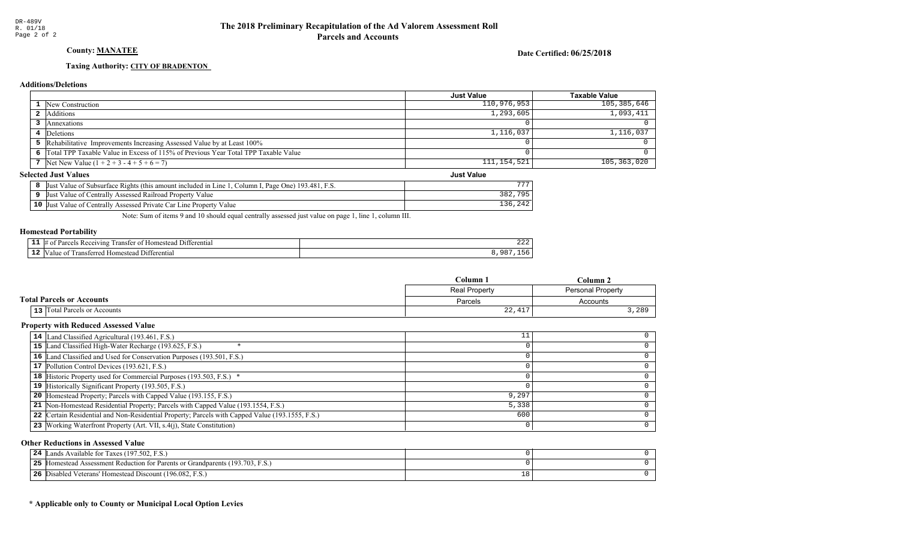## County: MANATEE

Date Certified: 06/25/2018

Just Value

## Taxing Authority: CITY OF BRADENTON

## **Additions/Deletions**

|                                                                                      | <b>Just Value</b> | <b>Taxable Value</b> |
|--------------------------------------------------------------------------------------|-------------------|----------------------|
| <b>1</b> New Construction                                                            | 110,976,953       | 105,385,646          |
| 2 Additions                                                                          | 1, 293, 605       | 1,093,411            |
| Annexations                                                                          |                   |                      |
| 4 Deletions                                                                          | 1,116,037         | 1,116,037            |
| 5 Rehabilitative Improvements Increasing Assessed Value by at Least 100%             |                   |                      |
| 6 Total TPP Taxable Value in Excess of 115% of Previous Year Total TPP Taxable Value |                   |                      |
| 7   Net New Value $(1 + 2 + 3 - 4 + 5 + 6 = 7)$                                      | 111,154,521       | 105,363,020          |
|                                                                                      |                   |                      |

## **Selected Just Values**

| Page One) 193.481.<br>. F.S.<br>Column 1,<br>$\vee$ Value of Subsurface Rights (this amount included in Line)<br>Just | ---        |
|-----------------------------------------------------------------------------------------------------------------------|------------|
| / Value<br>* Value of Centrally Assessed Railroad Property<br>IJust                                                   | 705<br>າດາ |
| $10$ Just<br>t Value of Centrally Assessed Private Car Line Property Value                                            |            |

Note: Sum of items 9 and 10 should equal centrally assessed just value on page 1, line 1, column III.

### Homestead Portability

| - -<br>--- | rentia.<br>+ 11 ،<br>∵VIN⊾<br>anster<br>.me<br>┒ |  |
|------------|--------------------------------------------------|--|
|            | $\mathbf{H}$<br>:Homester<br>an<br>terentia      |  |

|                                  | <b>Column</b>                       | olumn.            |  |
|----------------------------------|-------------------------------------|-------------------|--|
|                                  | <b>Real Property</b>                | Personal Property |  |
| <b>Total Parcels or Accounts</b> | Parcels                             | Accounts          |  |
| 13 Total Parcels or Accounts     | $\cap$<br>11 <sub>7</sub><br>44,41. | 3,280             |  |

### Property with Reduced Assessed Value

| 14 Land Classified Agricultural (193.461, F.S.)                                                 |       |  |
|-------------------------------------------------------------------------------------------------|-------|--|
| 15 Land Classified High-Water Recharge (193.625, F.S.)                                          |       |  |
| 16 Land Classified and Used for Conservation Purposes (193.501, F.S.)                           |       |  |
| 17 Pollution Control Devices (193.621, F.S.)                                                    |       |  |
| 18 Historic Property used for Commercial Purposes (193.503, F.S.) *                             |       |  |
| 19 Historically Significant Property (193.505, F.S.)                                            |       |  |
| <b>20</b> Homestead Property; Parcels with Capped Value (193.155, F.S.)                         | 9,297 |  |
| 21 Non-Homestead Residential Property; Parcels with Capped Value (193.1554, F.S.)               | 5,338 |  |
| 22 Certain Residential and Non-Residential Property; Parcels with Capped Value (193.1555, F.S.) | 600   |  |
| 23 Working Waterfront Property (Art. VII, s.4(j), State Constitution)                           |       |  |
|                                                                                                 |       |  |

### Other Reductions in Assessed Value

| Lands Available for Taxes (197.502, F.S.)<br>24             |        |  |
|-------------------------------------------------------------|--------|--|
| 25<br>Figure 193.703, F.S.                                  |        |  |
| 26<br>Disabled Veterans' Homestead Discount (196.082, F.S.) | $+8$ ' |  |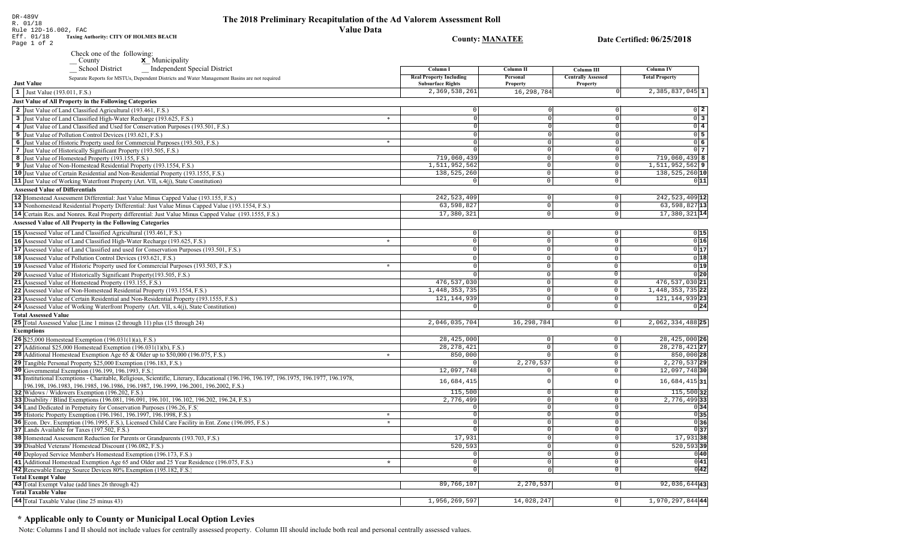County: **MANATEE** 

Date Certified: 06/25/2018

| Eff. 01/18  |  |  | <b>Taxing Authority: CITY OF HOLMES BEACH</b> |
|-------------|--|--|-----------------------------------------------|
| Page 1 of 2 |  |  |                                               |

County **x** Municipality Check one of the following:<br>County

| Independent Special District<br><b>School District</b>                                                                                              | Column I                                                   | Column II            | Column III                                   | <b>Column IV</b>      |
|-----------------------------------------------------------------------------------------------------------------------------------------------------|------------------------------------------------------------|----------------------|----------------------------------------------|-----------------------|
| Separate Reports for MSTUs, Dependent Districts and Water Management Basins are not required<br><b>Just Value</b>                                   | <b>Real Property Including</b><br><b>Subsurface Rights</b> | Personal<br>Property | <b>Centrally Assessed</b><br><b>Property</b> | <b>Total Property</b> |
| 1 Just Value (193.011, F.S.)                                                                                                                        | 2,369,538,261                                              | 16,298,784           | $\cap$                                       | $2,385,837,045$ 1     |
| Just Value of All Property in the Following Categories                                                                                              |                                                            |                      |                                              |                       |
| 2 Just Value of Land Classified Agricultural (193.461, F.S.)                                                                                        |                                                            |                      |                                              | $0\vert 2$            |
|                                                                                                                                                     | $\Omega$<br>$\ast$                                         |                      | $\overline{0}$                               | $\overline{0}$ 3      |
| 3 Just Value of Land Classified High-Water Recharge (193.625, F.S.)                                                                                 |                                                            |                      |                                              | $\overline{0}$ 4      |
| 4 Just Value of Land Classified and Used for Conservation Purposes (193.501, F.S.)                                                                  | $\Omega$                                                   |                      | $\Omega$                                     |                       |
| 5 Just Value of Pollution Control Devices (193.621, F.S.)                                                                                           | $\Omega$<br>$\ast$                                         |                      | $\Omega$<br>$\Omega$                         | $0\vert 5$            |
| 6 Just Value of Historic Property used for Commercial Purposes (193.503, F.S.)                                                                      |                                                            |                      |                                              | 06                    |
| 7 Just Value of Historically Significant Property (193.505, F.S.)                                                                                   | $\circ$                                                    | $\Omega$             | $\mathsf 0$                                  | $0\vert 7$            |
| 8 Just Value of Homestead Property (193.155, F.S.)                                                                                                  | 719,060,439                                                | $\Omega$<br>$\Omega$ | $\mathbb O$                                  | $719,060,439$ 8       |
| 9 Just Value of Non-Homestead Residential Property (193.1554, F.S.)                                                                                 | 1,511,952,562                                              | $\Omega$             | $\mathbb O$<br>$\mathbf 0$                   | $1,511,952,562$   9   |
| 10 Just Value of Certain Residential and Non-Residential Property (193.1555, F.S.)                                                                  | 138,525,260                                                |                      |                                              | 138, 525, 260 10      |
| <b>11</b> Just Value of Working Waterfront Property (Art. VII, s.4(j), State Constitution)                                                          |                                                            | $\Omega$             | $\mathbf 0$                                  | 0 11                  |
| <b>Assessed Value of Differentials</b>                                                                                                              |                                                            |                      |                                              |                       |
| 12 Homestead Assessment Differential: Just Value Minus Capped Value (193.155, F.S.)                                                                 | 242, 523, 409                                              | $\Omega$             | $\overline{0}$                               | 242, 523, 409 12      |
| 13 Nonhomestead Residential Property Differential: Just Value Minus Capped Value (193.1554, F.S.)                                                   | 63,598,827                                                 | $\overline{0}$       | $\circ$                                      | $63,598,827$ 13       |
| 14 Certain Res. and Nonres. Real Property differential: Just Value Minus Capped Value (193.1555, F.S.)                                              | 17,380,321                                                 | $\overline{0}$       | $\overline{0}$                               | 17,380,321 14         |
| <b>Assessed Value of All Property in the Following Categories</b>                                                                                   |                                                            |                      |                                              |                       |
| <b>15</b> Assessed Value of Land Classified Agricultural (193.461, F.S.)                                                                            | $\circ$                                                    | $\circ$              | $\mathsf{O}$                                 | 0 15                  |
| 16 Assessed Value of Land Classified High-Water Recharge (193.625, F.S.)                                                                            | $\circ$<br>$\star$                                         | $\Omega$             | $\mathsf 0$                                  | 0 16                  |
| 17 Assessed Value of Land Classified and used for Conservation Purposes (193.501, F.S.)                                                             | $\circ$                                                    | $\Omega$             | $\mathsf 0$                                  | 0 17                  |
| 18 Assessed Value of Pollution Control Devices (193.621, F.S.)                                                                                      | $\Omega$                                                   | $\Omega$             | $\Omega$                                     | 0 18                  |
| 19 Assessed Value of Historic Property used for Commercial Purposes (193.503, F.S.)                                                                 | $\star$<br>$\Omega$                                        | $\Omega$             | $\Omega$                                     | 0 19                  |
|                                                                                                                                                     | $\Omega$                                                   | $\Omega$             | $\overline{0}$                               | 0 20                  |
| 20 Assessed Value of Historically Significant Property (193.505, F.S.)                                                                              |                                                            |                      |                                              |                       |
| 21 Assessed Value of Homestead Property (193.155, F.S.)                                                                                             | 476, 537, 030                                              | $\Omega$<br>$\Omega$ | $\mathbb O$                                  | 476,537,030 21        |
| 22 Assessed Value of Non-Homestead Residential Property (193.1554, F.S.)                                                                            | 1,448,353,735                                              |                      | $\mathbf 0$                                  | 1,448,353,735 22      |
| 23 Assessed Value of Certain Residential and Non-Residential Property (193.1555, F.S.)                                                              | 121, 144, 939                                              | $\Omega$             | $\Omega$                                     | 121, 144, 939 23      |
| 24 Assessed Value of Working Waterfront Property (Art. VII, s.4(j), State Constitution)                                                             | $\circ$                                                    | $\mathsf{O}\xspace$  | $\mathbf 0$                                  | 0 24                  |
| <b>Total Assessed Value</b>                                                                                                                         |                                                            |                      |                                              |                       |
| <b>25</b> Total Assessed Value [Line 1 minus (2 through 11) plus (15 through 24)                                                                    | 2,046,035,704                                              | 16,298,784           | $\circ$                                      | 2,062,334,488 25      |
| <b>Exemptions</b>                                                                                                                                   |                                                            |                      |                                              |                       |
| <b>26</b> \$25,000 Homestead Exemption $(196.031(1)(a), F.S.)$                                                                                      | 28, 425, 000                                               | $\circ$              | $\mathsf{O}$                                 | 28, 425, 000 26       |
| 27 Additional \$25,000 Homestead Exemption $(196.031(1)(b), F.S.)$                                                                                  | 28, 278, 421                                               | $\Omega$             | $\mathbf 0$                                  | 28, 278, 421 27       |
| 28 Additional Homestead Exemption Age 65 & Older up to \$50,000 (196.075, F.S.)                                                                     | 850,000<br>$\star$                                         |                      | $\mathbf{0}$                                 | 850,000 28            |
| 29 Tangible Personal Property \$25,000 Exemption (196.183, F.S.)                                                                                    |                                                            | 2,270,537            | $\mathsf{O}$                                 | 2, 270, 537 29        |
| 30 Governmental Exemption (196.199, 196.1993, F.S.)                                                                                                 | 12,097,748                                                 |                      | $\mathsf{O}$                                 | 12,097,748 30         |
| 31 Institutional Exemptions - Charitable, Religious, Scientific, Literary, Educational (196.196.196.197, 196.1975, 196.1977, 196.1978,              | 16,684,415                                                 |                      | $\Omega$                                     | $16,684,415$ 31       |
| 96.198, 196.1983, 196.1985, 196.1986, 196.1987, 196.1999, 196.2001, 196.2002, F.S.)                                                                 |                                                            |                      |                                              |                       |
| 32 Widows / Widowers Exemption (196.202, F.S.)                                                                                                      | 115,500                                                    | $\Omega$             | $\mathbf 0$                                  | 115,500 32            |
| 33 Disability / Blind Exemptions (196.081, 196.091, 196.101, 196.102, 196.202, 196.24, F.S.)                                                        | 2,776,499                                                  | $\Omega$             | $\mathsf 0$                                  | 2,776,499 33          |
| 34 Land Dedicated in Perpetuity for Conservation Purposes (196.26, F.S.)                                                                            | $\Omega$<br>$\Omega$<br>$\star$                            | $\Omega$<br>$\Omega$ | $\mathbf 0$<br>$\mathbb O$                   | 0 34<br>0 35          |
| 35 Historic Property Exemption (196.1961, 196.1997, 196.1998, F.S.)                                                                                 | $\star$<br>$\Omega$                                        | $\Omega$             | $\overline{0}$                               | 0 36                  |
| 36 Econ. Dev. Exemption (196.1995, F.S.), Licensed Child Care Facility in Ent. Zone (196.095, F.S.)<br>37 Lands Available for Taxes (197.502, F.S.) |                                                            | $\Omega$             | $\mathbf{0}$                                 | 0 37                  |
|                                                                                                                                                     | 17,931                                                     |                      | $\overline{0}$                               | $17,931$ 38           |
| 38 Homestead Assessment Reduction for Parents or Grandparents (193.703, F.S.)                                                                       |                                                            |                      |                                              |                       |
| 39 Disabled Veterans' Homestead Discount (196.082, F.S.)                                                                                            | 520,593                                                    | $\Omega$             | $\mathsf 0$                                  | $520, 593$ 39         |
| 40 Deployed Service Member's Homestead Exemption (196.173, F.S.)                                                                                    | $\Omega$                                                   | $\Omega$             | $\mathsf{O}\xspace$                          | 0 40                  |
| 41 Additional Homestead Exemption Age 65 and Older and 25 Year Residence (196.075, F.S.)                                                            | $\Omega$<br>$\lambda$                                      | $\Omega$             | $\overline{0}$                               | 0 41                  |
| 42 Renewable Energy Source Devices 80% Exemption (195.182, F.S.)                                                                                    | $\overline{0}$                                             | $\Omega$             | $\overline{0}$                               | 0 42                  |
| <b>Total Exempt Value</b><br>43 Total Exempt Value (add lines 26 through 42)                                                                        | 89,766,107                                                 | 2,270,537            | $\overline{0}$                               | 92,036,64443          |
| <b>Total Taxable Value</b>                                                                                                                          |                                                            |                      |                                              |                       |
|                                                                                                                                                     |                                                            | 14,028,247           |                                              |                       |
| 44 Total Taxable Value (line 25 minus 43)                                                                                                           | 1,956,269,597                                              |                      | $\overline{0}$                               | 1,970,297,84444       |

## \* Applicable only to County or Municipal Local Option Levies

Note: Columns I and II should not include values for centrally assessed property. Column III should include both real and personal centrally assessed values.

DR-489V R. 01/18 Rule 12D-16.002, FAC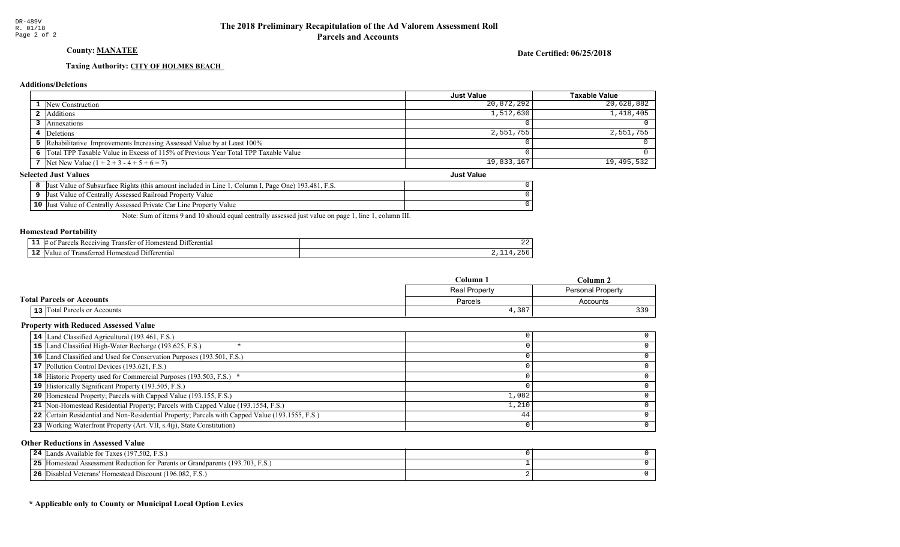## County: MANATEE

### Date Certified: 06/25/2018

## Taxing Authority: CITY OF HOLMES BEACH

## **Additions/Deletions**

|                                         |                                                                                      | <b>Just Value</b> | <b>Taxable Value</b> |
|-----------------------------------------|--------------------------------------------------------------------------------------|-------------------|----------------------|
|                                         | 1 New Construction                                                                   | 20,872,292        | 20,628,882           |
|                                         | 2 Additions                                                                          | 1,512,630         | 1,418,405            |
|                                         | Annexations                                                                          |                   |                      |
|                                         | Deletions                                                                            | 2,551,755         | 2,551,755            |
|                                         | 5 Rehabilitative Improvements Increasing Assessed Value by at Least 100%             |                   |                      |
|                                         | 6 Total TPP Taxable Value in Excess of 115% of Previous Year Total TPP Taxable Value |                   |                      |
|                                         | 7 Net New Value $(1 + 2 + 3 - 4 + 5 + 6 = 7)$                                        | 19,833,167        | 19,495,532           |
| lected Just Values<br><b>Just Value</b> |                                                                                      |                   |                      |

### **Selected Just Values**

| t Value of Subsurface Rights (this amount included in Line 1<br>. Page One) 193.481. F.S.<br>. Column I. .<br><b>Just</b> |  |
|---------------------------------------------------------------------------------------------------------------------------|--|
| t Value of Centrally Assessed Railroad Property Value<br>IJust                                                            |  |
| $10$ Just<br>t Value of Centrally Assessed Private Car Line Property<br>Value                                             |  |

Note: Sum of items 9 and 10 should equal centrally assessed just value on page 1, line 1, column III.

### Homestead Portability

| - | rentia.<br>. 11+<br>$v_{10}$<br>ans:<br>me<br>┒ | ے ت |
|---|-------------------------------------------------|-----|
|   | 11.<br>an<br>:Homest<br>entia<br>- - -          |     |

|                                          | $C$ olumn            | Column                   |  |
|------------------------------------------|----------------------|--------------------------|--|
|                                          | <b>Real Property</b> | <b>Personal Property</b> |  |
| <b>Total Parcels or Accounts</b>         | Parcels              | Accounts                 |  |
| Total Parcels or Accounts<br>$13$ $\mid$ | 4,387                | 22 Q                     |  |

### Property with Reduced Assessed Value

| 14 Land Classified Agricultural (193.461, F.S.)                                                 |       |  |
|-------------------------------------------------------------------------------------------------|-------|--|
| 15 Land Classified High-Water Recharge (193.625, F.S.)                                          |       |  |
| 16 Land Classified and Used for Conservation Purposes (193.501, F.S.)                           |       |  |
| 17 Pollution Control Devices (193.621, F.S.)                                                    |       |  |
| 18 Historic Property used for Commercial Purposes (193.503, F.S.) *                             |       |  |
| 19 Historically Significant Property (193.505, F.S.)                                            |       |  |
| <b>20</b> Homestead Property; Parcels with Capped Value (193.155, F.S.)                         | 1,082 |  |
| 21 Non-Homestead Residential Property; Parcels with Capped Value (193.1554, F.S.)               | 1,210 |  |
| 22 Certain Residential and Non-Residential Property; Parcels with Capped Value (193.1555, F.S.) | 44    |  |
| 23 Working Waterfront Property (Art. VII, s.4(j), State Constitution)                           |       |  |

### Other Reductions in Assessed Value

| Lands Available for Taxes (197.502, F.S.)<br>24                                    |  |
|------------------------------------------------------------------------------------|--|
| 25<br>5 Homestead Assessment Reduction for Parents or Grandparents (193.703, F.S.) |  |
| 26<br>Disabled Veterans' Homestead Discount (196.082, F.S.)                        |  |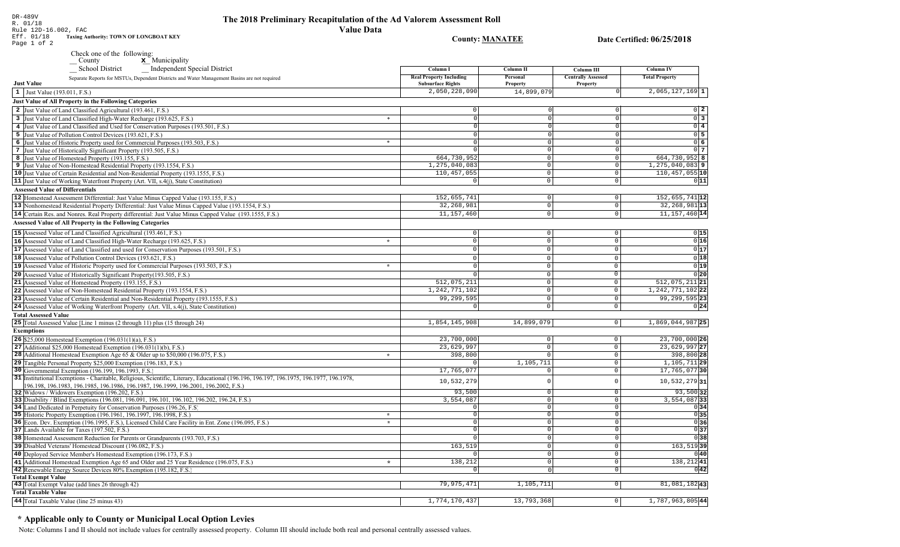**County: MANATEE** 

Date Certified: 06/25/2018

| DR-489V              |                                               |
|----------------------|-----------------------------------------------|
| R. 01/18             |                                               |
| Rule 12D-16.002, FAC |                                               |
| Eff. 01/18           | <b>Taxing Authority: TOWN OF LONGBOAT KEY</b> |
| Page 1 of 2          |                                               |

Check one of the following:<br>  $\angle$  County  $\angle$  Municipality

| Independent Special District<br><b>School District</b>                                                                                                                                                                    | Column I                                                   | Column II                  | Column III                            | <b>Column IV</b>            |
|---------------------------------------------------------------------------------------------------------------------------------------------------------------------------------------------------------------------------|------------------------------------------------------------|----------------------------|---------------------------------------|-----------------------------|
| Separate Reports for MSTUs, Dependent Districts and Water Management Basins are not required<br><b>Just Value</b>                                                                                                         | <b>Real Property Including</b><br><b>Subsurface Rights</b> | Personal<br>Property       | <b>Centrally Assessed</b><br>Property | <b>Total Property</b>       |
| 1 Just Value (193.011, F.S.)                                                                                                                                                                                              | 2,050,228,090                                              | 14,899,079                 | $\Omega$                              | $2,065,127,169$ 1           |
| <b>Just Value of All Property in the Following Categories</b>                                                                                                                                                             |                                                            |                            |                                       |                             |
| 2 Just Value of Land Classified Agricultural (193.461, F.S.)                                                                                                                                                              |                                                            |                            |                                       | $0$   2                     |
|                                                                                                                                                                                                                           | $\ast$<br>$\Omega$                                         |                            | $\Omega$                              | $\overline{0}$ 3            |
| 3 Just Value of Land Classified High-Water Recharge (193.625, F.S.)                                                                                                                                                       |                                                            |                            | $\Omega$                              | $\overline{0}$ 4            |
| 4 Just Value of Land Classified and Used for Conservation Purposes (193.501, F.S.)                                                                                                                                        |                                                            |                            |                                       | $0$ 5                       |
| 5 Just Value of Pollution Control Devices (193.621, F.S.)                                                                                                                                                                 | *<br>$\Omega$                                              | $\Omega$                   | $\Omega$                              | $\overline{0}$ 6            |
| 6 Just Value of Historic Property used for Commercial Purposes (193.503, F.S.)                                                                                                                                            |                                                            | O                          | $\Omega$                              | $0\vert 7$                  |
| 7 Just Value of Historically Significant Property (193.505, F.S.)<br>8 Just Value of Homestead Property (193.155, F.S.)                                                                                                   | 664,730,952                                                | $\Omega$                   | 0                                     | 664,730,952 8               |
| 9 Just Value of Non-Homestead Residential Property (193.1554, F.S.)                                                                                                                                                       | 1,275,040,083                                              | $\Omega$                   | $\mathbf 0$                           | $1, 275, 040, 083$ 9        |
| 10 Just Value of Certain Residential and Non-Residential Property (193.1555, F.S.)                                                                                                                                        | 110, 457, 055                                              | $\overline{0}$             | $\Omega$                              | 110, 457, 055 10            |
| <b>11</b> Just Value of Working Waterfront Property (Art. VII, s.4(j), State Constitution)                                                                                                                                | $\Omega$                                                   | $\Omega$                   | $\Omega$                              | 0 11                        |
| <b>Assessed Value of Differentials</b>                                                                                                                                                                                    |                                                            |                            |                                       |                             |
| 12 Homestead Assessment Differential: Just Value Minus Capped Value (193.155, F.S.)                                                                                                                                       | 152,655,741                                                | $\Omega$                   | $\overline{0}$                        | 152,655,741 12              |
|                                                                                                                                                                                                                           | 32, 268, 981                                               | $\Omega$                   | $\circ$                               | 32, 268, 981 13             |
| 13 Nonhomestead Residential Property Differential: Just Value Minus Capped Value (193.1554, F.S.)                                                                                                                         | 11, 157, 460                                               | $\Omega$                   | $\Omega$                              | 11, 157, 460 14             |
| 14 Certain Res. and Nonres. Real Property differential: Just Value Minus Capped Value (193.1555, F.S.)                                                                                                                    |                                                            |                            |                                       |                             |
| <b>Assessed Value of All Property in the Following Categories</b>                                                                                                                                                         |                                                            |                            |                                       |                             |
| 15 Assessed Value of Land Classified Agricultural (193.461, F.S.)                                                                                                                                                         | 0                                                          | $\mathbf 0$                | $\mathbf 0$                           | 0 15                        |
| 16 Assessed Value of Land Classified High-Water Recharge (193.625, F.S.)                                                                                                                                                  | $\star$<br>$\Omega$                                        | $\Omega$                   | $\mathbf 0$                           | 0 16                        |
| 17 Assessed Value of Land Classified and used for Conservation Purposes (193.501, F.S.)                                                                                                                                   | $\Omega$                                                   | $\Omega$                   | $\Omega$                              | 0 17                        |
| 18 Assessed Value of Pollution Control Devices (193.621, F.S.)                                                                                                                                                            | $\Omega$                                                   | $\Omega$                   | $\Omega$                              | 0 18                        |
| 19 Assessed Value of Historic Property used for Commercial Purposes (193.503, F.S.)                                                                                                                                       | $\star$<br>$\Omega$                                        | $\Omega$                   | $\Omega$                              | 0 19                        |
| 20 Assessed Value of Historically Significant Property (193.505, F.S.)                                                                                                                                                    | $\Omega$                                                   | $\Omega$                   | $\overline{0}$                        | 0 20                        |
| 21 Assessed Value of Homestead Property (193.155, F.S.)                                                                                                                                                                   | 512,075,211                                                | $\mathbf 0$                | $\mathbf 0$                           | 512,075,211 21              |
| 22 Assessed Value of Non-Homestead Residential Property (193.1554, F.S.)                                                                                                                                                  | 1, 242, 771, 102                                           | $\Omega$                   | $\mathbb O$                           | 1, 242, 771, 102 22         |
| 23 Assessed Value of Certain Residential and Non-Residential Property (193.1555, F.S.)                                                                                                                                    | 99,299,595                                                 | $\Omega$                   | $\mathbf 0$                           | 99, 299, 595 23             |
| 24 Assessed Value of Working Waterfront Property (Art. VII, s.4(j), State Constitution)                                                                                                                                   | $\Omega$                                                   | $\mathsf 0$                | $\circ$                               | 0 24                        |
| <b>Total Assessed Value</b>                                                                                                                                                                                               |                                                            |                            |                                       |                             |
| 25 Total Assessed Value [Line 1 minus (2 through 11) plus (15 through 24)                                                                                                                                                 | 1,854,145,908                                              | 14,899,079                 | 0                                     | 1,869,044,987 25            |
|                                                                                                                                                                                                                           |                                                            |                            |                                       |                             |
| <b>Exemptions</b>                                                                                                                                                                                                         |                                                            |                            |                                       |                             |
| 26 \$25,000 Homestead Exemption $(196.031(1)(a), F.S.)$                                                                                                                                                                   | 23,700,000                                                 | $\mathbf{0}$               | 0 <sup>1</sup>                        | $\overline{23,700,000}$ 26  |
| 27 Additional \$25,000 Homestead Exemption $(196.031(1)(b), F.S.)$                                                                                                                                                        | 23,629,997                                                 | $\overline{0}$<br>$\Omega$ | $\circ$                               | 23,629,997 27<br>398,800 28 |
| <b>28</b> Additional Homestead Exemption Age 65 & Older up to \$50,000 (196.075, F.S.)                                                                                                                                    | 398,800<br>$\star$                                         |                            | $\circ$<br>$\circ$                    | $1,105,711$ 29              |
| 29 Tangible Personal Property \$25,000 Exemption (196.183, F.S.)                                                                                                                                                          |                                                            | 1,105,711<br>$\Omega$      |                                       | 17, 765, 077 30             |
| 30 Governmental Exemption (196.199, 196.1993, F.S.)                                                                                                                                                                       | 17,765,077                                                 |                            | $\circ$                               |                             |
| 31 Institutional Exemptions - Charitable, Religious, Scientific, Literary, Educational (196.196.197, 196.1975, 196.1977, 196.1978,<br>96.198, 196.1983, 196.1985, 196.1986, 196.1987, 196.1999, 196.2001, 196.2002, F.S.) | 10,532,279                                                 | $\cap$                     | $\Omega$                              | $10,532,279$ 31             |
| 32 Widows / Widowers Exemption (196.202, F.S.)                                                                                                                                                                            | 93,500                                                     | $^{\circ}$                 | $\circ$                               | $93,500$ 32                 |
| 33 Disability / Blind Exemptions (196.081, 196.091, 196.101, 196.102, 196.202, 196.24, F.S.)                                                                                                                              | 3,554,087                                                  | $\Omega$                   | $\circ$                               | $3,554,087$ 33              |
| 34 Land Dedicated in Perpetuity for Conservation Purposes (196.26, F.S.)                                                                                                                                                  | $\Omega$                                                   | $\Omega$                   | $\overline{0}$                        | 0 34                        |
| 35 Historic Property Exemption (196.1961, 196.1997, 196.1998, F.S.)                                                                                                                                                       | $\star$<br>$\Omega$                                        | $\Omega$                   | $\circ$                               | 0 35                        |
| 36 Econ. Dev. Exemption (196.1995, F.S.), Licensed Child Care Facility in Ent. Zone (196.095, F.S.)                                                                                                                       | $\star$<br>$\Omega$                                        | $\Omega$                   | 0                                     | 0 36                        |
| 37 Lands Available for Taxes (197.502, F.S.)                                                                                                                                                                              | $\Omega$                                                   | $\Omega$                   | $\mathbf{0}$                          | 0 37                        |
| 38 Homestead Assessment Reduction for Parents or Grandparents (193.703, F.S.)                                                                                                                                             |                                                            | $\Omega$                   | 0                                     | 0 38                        |
| 39 Disabled Veterans' Homestead Discount (196.082, F.S.)                                                                                                                                                                  | 163,519                                                    | $\Omega$                   | $\circ$                               | $163,519$ 39                |
| 40 Deployed Service Member's Homestead Exemption (196.173, F.S.)                                                                                                                                                          |                                                            | $\Omega$                   | $\circ$                               | 0 40                        |
| 41 Additional Homestead Exemption Age 65 and Older and 25 Year Residence (196,075, F.S.)                                                                                                                                  | 138,212<br>$\star$                                         | $\Omega$                   | 0                                     | 138,21241                   |
| 42 Renewable Energy Source Devices 80% Exemption (195.182, F.S.)                                                                                                                                                          |                                                            | $\cap$                     | $\overline{0}$                        | 0 42                        |
| <b>Total Exempt Value</b>                                                                                                                                                                                                 |                                                            |                            |                                       |                             |
| 43 Total Exempt Value (add lines 26 through 42)                                                                                                                                                                           | 79,975,471                                                 | 1,105,711                  | $\circ$                               | 81,081,18243                |
| <b>Total Taxable Value</b>                                                                                                                                                                                                |                                                            |                            |                                       |                             |
| 44 Total Taxable Value (line 25 minus 43)                                                                                                                                                                                 | 1,774,170,437                                              | 13,793,368                 | $\circ$                               | $1,787,963,805$ 44          |

# \* Applicable only to County or Municipal Local Option Levies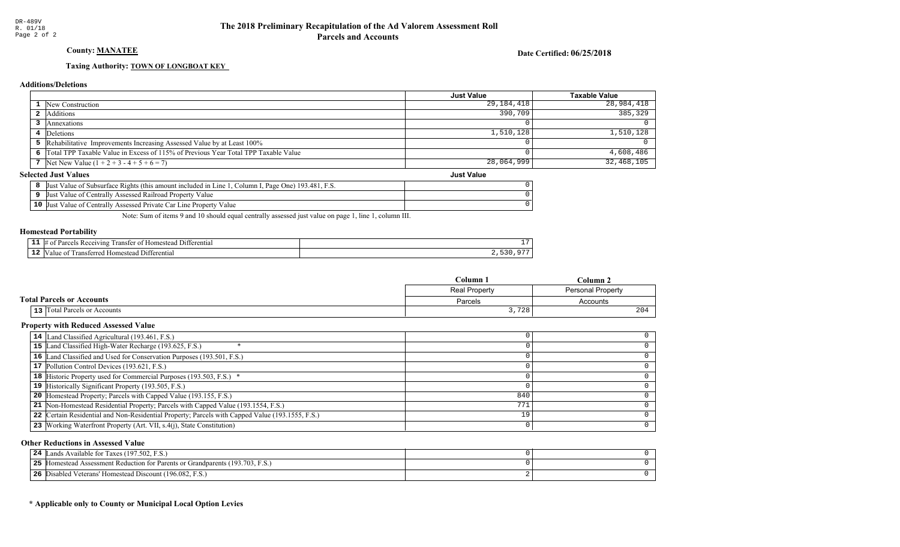## County: MANATEE

### Date Certified: 06/25/2018

## Taxing Authority: **TOWN OF LONGBOAT KEY**

## **Additions/Deletions**

|                                                                                      | <b>Just Value</b> | Taxable Value |
|--------------------------------------------------------------------------------------|-------------------|---------------|
| 1 New Construction                                                                   | 29,184,418        | 28,984,418    |
| 2 Additions                                                                          | 390,709           | 385,329       |
| Annexations                                                                          |                   |               |
| Deletions                                                                            | 1,510,128         | 1,510,128     |
| 5 Rehabilitative Improvements Increasing Assessed Value by at Least 100%             |                   |               |
| 6 Total TPP Taxable Value in Excess of 115% of Previous Year Total TPP Taxable Value |                   | 4,608,486     |
| 7 Net New Value $(1 + 2 + 3 - 4 + 5 + 6 = 7)$                                        | 28,064,999        | 32,468,105    |
| lected Just Values<br><b>Just Value</b>                                              |                   |               |

### **Selected Just Values**

| t Value of Subsurface Rights (this amount included in Line 1, Column I, Page One) 193.481, F.S.<br> Just |  |
|----------------------------------------------------------------------------------------------------------|--|
| Just Value of Centrally Assessed Railroad Property Value                                                 |  |
| <b>10</b> Just Value of Centrally Assessed Private Car Line Property Value                               |  |

Note: Sum of items 9 and 10 should equal centrally assessed just value on page 1, line 1, column III.

### Homestead Portability

| - -<br>. . | *terentia.<br>∕1n⊵<br>япет<br>иπ |  |
|------------|----------------------------------|--|
| - 4        | rentiai<br>-111<br>ш             |  |

|                                          | $C$ olumn                                 | Column   |
|------------------------------------------|-------------------------------------------|----------|
|                                          | Real Property<br><b>Personal Property</b> |          |
| <b>Total Parcels or Accounts</b>         | Parcels                                   | Accounts |
| Total Parcels or Accounts<br>$13$ $\mid$ | 3,728                                     | 204      |

### Property with Reduced Assessed Value

| 14 Land Classified Agricultural (193.461, F.S.)                                                 |     |  |
|-------------------------------------------------------------------------------------------------|-----|--|
| 15 Land Classified High-Water Recharge (193.625, F.S.)                                          |     |  |
| 16 Land Classified and Used for Conservation Purposes (193.501, F.S.)                           |     |  |
| 17 Pollution Control Devices (193.621, F.S.)                                                    |     |  |
| 18 Historic Property used for Commercial Purposes (193.503, F.S.) *                             |     |  |
| 19 Historically Significant Property (193.505, F.S.)                                            |     |  |
| <b>20</b> Homestead Property; Parcels with Capped Value (193.155, F.S.)                         | 840 |  |
| 21 Non-Homestead Residential Property; Parcels with Capped Value (193.1554, F.S.)               | 771 |  |
| 22 Certain Residential and Non-Residential Property; Parcels with Capped Value (193.1555, F.S.) | 19  |  |
| 23 Working Waterfront Property (Art. VII, s.4(j), State Constitution)                           |     |  |
|                                                                                                 |     |  |

### Other Reductions in Assessed Value

| Lands Available for Taxes (197.502, F.S.)<br>24                               |  |
|-------------------------------------------------------------------------------|--|
| 25 Homestead Assessment Reduction for Parents or Grandparents (193.703, F.S.) |  |
| 26 Disabled Veterans' Homestead Discount (196.082, F.S.)                      |  |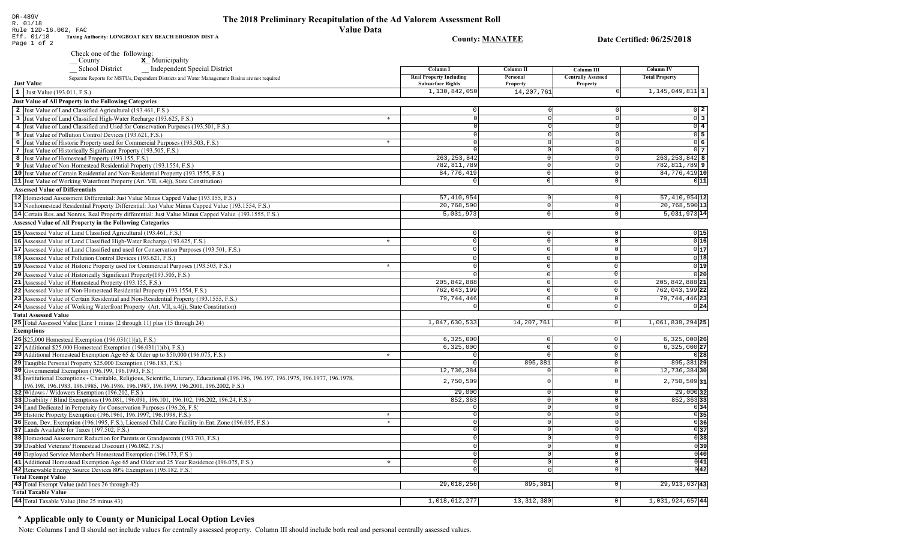| Eff. 01/18<br>Taxing Authority: LONGBOAT KEY BEACH EROSION DIST A<br>Page 1 of 2                                                                                                                                           | <b>County: MANATEE</b>                      |                         |                               | Date Certified: 06/25/2018         |
|----------------------------------------------------------------------------------------------------------------------------------------------------------------------------------------------------------------------------|---------------------------------------------|-------------------------|-------------------------------|------------------------------------|
| Check one of the following:                                                                                                                                                                                                |                                             |                         |                               |                                    |
| $\mathbf{x}$ Municipality<br>$\overline{\phantom{a}}$ County                                                                                                                                                               |                                             |                         |                               |                                    |
| <b>School District</b><br><b>Independent Special District</b>                                                                                                                                                              | Column I                                    | <b>Column II</b>        | <b>Column III</b>             | <b>Column IV</b>                   |
| Separate Reports for MSTUs, Dependent Districts and Water Management Basins are not required                                                                                                                               | <b>Real Property Including</b>              | Personal                | <b>Centrally Assessed</b>     | <b>Total Property</b>              |
| <b>Just Value</b>                                                                                                                                                                                                          | <b>Subsurface Rights</b>                    | <b>Property</b>         | <b>Property</b>               |                                    |
| 1 Just Value (193.011, F.S.)                                                                                                                                                                                               | 1,130,842,050                               | 14, 207, 761            |                               | $1, 145, 049, 811$ 1               |
| Just Value of All Property in the Following Categories                                                                                                                                                                     |                                             |                         |                               |                                    |
| 2 Just Value of Land Classified Agricultural (193.461, F.S.)                                                                                                                                                               |                                             |                         |                               | $0\vert 2$                         |
| 3 Just Value of Land Classified High-Water Recharge (193.625, F.S.)<br>$\ast$                                                                                                                                              | $\overline{0}$                              | $\Omega$                |                               | $\overline{0}$ 3                   |
| 4 Just Value of Land Classified and Used for Conservation Purposes (193.501, F.S.)                                                                                                                                         | $\Omega$                                    | $\Omega$                |                               | $\overline{0}$ 4                   |
| 5 Just Value of Pollution Control Devices (193.621, F.S.)                                                                                                                                                                  | $\Omega$                                    | $\Omega$                |                               | $0\overline{5}$                    |
| 6 Just Value of Historic Property used for Commercial Purposes (193.503, F.S.)<br>$\ast$                                                                                                                                   | $\circ$                                     | $\Omega$                |                               | 06                                 |
| 7 Just Value of Historically Significant Property (193.505, F.S.)                                                                                                                                                          | $\Omega$                                    | 0                       |                               | $0\vert 7$                         |
| 8 Just Value of Homestead Property (193.155, F.S.)                                                                                                                                                                         | 263, 253, 842                               | $\mathbf{0}$            | $\Omega$                      | $263, 253, 842$ 8                  |
| 9 Just Value of Non-Homestead Residential Property (193.1554, F.S.)                                                                                                                                                        | 782, 811, 789                               | 0                       | $\circ$                       | 782,811,789 9                      |
| 10 Just Value of Certain Residential and Non-Residential Property (193.1555, F.S.)                                                                                                                                         | 84,776,419<br>$\Omega$                      | $\circ$<br>$\mathbf{0}$ | $\Omega$<br>$\Omega$          | 84,776,419 10                      |
| 11 Just Value of Working Waterfront Property (Art. VII, s.4(j), State Constitution)                                                                                                                                        |                                             |                         |                               | 0 11                               |
| <b>Assessed Value of Differentials</b>                                                                                                                                                                                     | 57, 410, 954                                | 0                       | $\Omega$                      | $57,410,954$ 12                    |
| 12 Homestead Assessment Differential: Just Value Minus Capped Value (193.155, F.S.)                                                                                                                                        | 20,768,590                                  | 0                       | $\Omega$                      | $20,768,590$ 13                    |
| 13 Nonhomestead Residential Property Differential: Just Value Minus Capped Value (193.1554, F.S.)<br>14 Certain Res. and Nonres. Real Property differential: Just Value Minus Capped Value (193.1555, F.S.)                | 5,031,973                                   | $\mathsf 0$             | $\Omega$                      | $5,031,973$ 14                     |
| <b>Assessed Value of All Property in the Following Categories</b>                                                                                                                                                          |                                             |                         |                               |                                    |
|                                                                                                                                                                                                                            |                                             |                         |                               |                                    |
| 15 Assessed Value of Land Classified Agricultural (193.461, F.S.)                                                                                                                                                          | 0 <sup>1</sup>                              | 0                       | 0                             | 0 15                               |
| 16 Assessed Value of Land Classified High-Water Recharge (193.625, F.S.)<br>$\star$                                                                                                                                        | $\circ$                                     | $\Omega$                | $\Omega$                      | 0 16                               |
| 17 Assessed Value of Land Classified and used for Conservation Purposes (193.501, F.S.)                                                                                                                                    | $\Omega$                                    | $\Omega$                | $\Omega$                      | 0 17                               |
| 18 Assessed Value of Pollution Control Devices (193.621, F.S.)                                                                                                                                                             | $\circ$                                     | $\mathbf 0$             | $\circ$                       | 0 18                               |
| 19 Assessed Value of Historic Property used for Commercial Purposes (193.503, F.S.)<br>$\star$                                                                                                                             | $\circ$                                     | $\mathbf 0$             | $\mathbf 0$                   | 0 19                               |
| 20 Assessed Value of Historically Significant Property (193.505, F.S.)                                                                                                                                                     | $\Omega$                                    | $\mathbb O$             | $\Omega$                      | 0 20                               |
| 21 Assessed Value of Homestead Property (193.155, F.S.)                                                                                                                                                                    | 205, 842, 888<br>762,043,199                | $\mathbb O$<br>$\Omega$ | $\mathbb O$<br>$\overline{0}$ | 205, 842, 888 21<br>762,043,199 22 |
| 22 Assessed Value of Non-Homestead Residential Property (193.1554, F.S.)<br>23 Assessed Value of Certain Residential and Non-Residential Property (193.1555, F.S.)                                                         | 79, 744, 446                                | $\mathbb O$             | $\mathbf 0$                   | 79, 744, 446 23                    |
| 24 Assessed Value of Working Waterfront Property (Art. VII, s.4(j), State Constitution)                                                                                                                                    | $\Omega$                                    | $\mathsf 0$             | $\mathbf 0$                   | 0 24                               |
| <b>Total Assessed Value</b>                                                                                                                                                                                                |                                             |                         |                               |                                    |
| 25 Total Assessed Value [Line 1 minus (2 through 11) plus (15 through 24)                                                                                                                                                  | 1,047,630,533                               | 14,207,761              | 0 <sup>1</sup>                | 1,061,838,294 25                   |
| <b>Exemptions</b>                                                                                                                                                                                                          |                                             |                         |                               |                                    |
| <b>26</b> \$25,000 Homestead Exemption $(196.031(1)(a), F.S.)$                                                                                                                                                             | 6,325,000                                   | $\mathbf 0$             | $\circ$                       | 6,325,000 26                       |
| 27 Additional \$25,000 Homestead Exemption $(196.031(1)(b), F.S.)$                                                                                                                                                         | 6,325,000                                   | $\Omega$                | $\mathbf 0$                   | $6,325,000$ 27                     |
| <b>28</b> Additional Homestead Exemption Age 65 & Older up to \$50,000 (196.075, F.S.)<br>$\star$                                                                                                                          | $\Omega$                                    | $\Omega$                | $\circ$                       | 0 28                               |
| 29 Tangible Personal Property \$25,000 Exemption (196.183, F.S.)                                                                                                                                                           | $\Omega$                                    | 895,381                 | $\mathbf 0$                   | 895, 381 29                        |
| 30 Governmental Exemption (196.199, 196.1993, F.S.)                                                                                                                                                                        | 12,736,384                                  | $\Omega$                | $\Omega$                      | 12,736,384 30                      |
| 31 Institutional Exemptions - Charitable, Religious, Scientific, Literary, Educational (196.196.197, 196.1975, 196.1977, 196.1978,<br>196.198, 196.1983, 196.1985, 196.1986, 196.1987, 196.1999, 196.2001, 196.2002, F.S.) | 2,750,509                                   | $\Omega$                | $\Omega$                      | $2,750,509$ 31                     |
| 32 Widows / Widowers Exemption (196.202, F.S.)                                                                                                                                                                             | 29,000                                      | $\Omega$                | $\Omega$                      | $29,000$ 32                        |
| 33 Disability / Blind Exemptions (196.081, 196.091, 196.101, 196.102, 196.202, 196.24, F.S.)                                                                                                                               | 852,363                                     | $\overline{0}$          | $\mathbf 0$                   | $852, 363$ 33                      |
| 34 Land Dedicated in Perpetuity for Conservation Purposes (196.26, F.S.)<br>$\star$                                                                                                                                        | $\circ$                                     | $\mathbf 0$<br>$\Omega$ | $\circ$<br>$\Omega$           | 0 34                               |
| 35 Historic Property Exemption (196.1961, 196.1997, 196.1998, F.S.)<br>36 Econ. Dev. Exemption (196.1995, F.S.), Licensed Child Care Facility in Ent. Zone (196.095, F.S.)                                                 | $\overline{0}$<br>$\star$<br>$\overline{0}$ | $\Omega$                | $\overline{0}$                | $\overline{0}$ 35<br>036           |
| 37 Lands Available for Taxes (197.502, F.S.)                                                                                                                                                                               | $\circ$                                     | $\Omega$                | $\overline{0}$                | $\overline{0}$ 37                  |
| 38 Homestead Assessment Reduction for Parents or Grandparents (193.703, F.S.)                                                                                                                                              | $\circ$                                     | $\Omega$                | $\Omega$                      | 0 38                               |
| 39 Disabled Veterans' Homestead Discount (196.082, F.S.)                                                                                                                                                                   | $\circ$                                     | $\Omega$                | $\circ$                       | $\overline{0}$ 39                  |
| 40 Deployed Service Member's Homestead Exemption (196.173, F.S.)                                                                                                                                                           | $\circ$                                     | $\mathbf 0$             | $\circ$                       | 0 40                               |
| 41 Additional Homestead Exemption Age 65 and Older and 25 Year Residence (196.075, F.S.)<br>$\star$                                                                                                                        | $\overline{0}$                              | $\Omega$                | $\Omega$                      | $\overline{0 41}$                  |
| 42 Renewable Energy Source Devices 80% Exemption (195.182, F.S.)                                                                                                                                                           | $\circ$                                     | $\Omega$                | $\circ$                       | $0\overline{42}$                   |
| <b>Total Exempt Value</b>                                                                                                                                                                                                  |                                             |                         |                               |                                    |
| 43 Total Exempt Value (add lines 26 through 42)                                                                                                                                                                            | 29,018,256                                  | 895,381                 | $\overline{0}$                | 29, 913, 637 43                    |
| <b>Total Taxable Value</b>                                                                                                                                                                                                 |                                             |                         |                               |                                    |

# The 2018 Preliminary Recapitulation of the Ad Valorem Assessment Roll

**Value Data** 

 $1,018,612,277$ 

 $13,312,380$ 

 $1,031,924,657$ <sup>44</sup>

 $\boxed{0}$ 

# \* Applicable only to County or Municipal Local Option Levies

44 Total Taxable Value (line 25 minus 43)

DR-489V

 $R. 01/18$ 

Rule 12D-16.002, FAC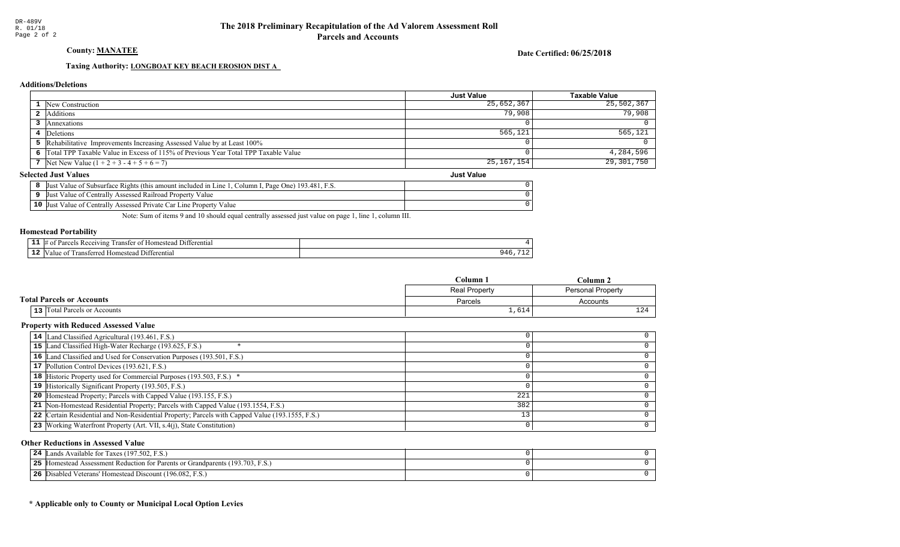County: MANATEE

Date Certified: 06/25/2018

Just Value

## Taxing Authority: LONGBOAT KEY BEACH EROSION DIST A

## **Additions/Deletions**

|                                                                                      | <b>Just Value</b> | Taxable Value |
|--------------------------------------------------------------------------------------|-------------------|---------------|
| <b>1</b> New Construction                                                            | 25,652,367        | 25,502,367    |
| 2 Additions                                                                          | 79,908            | 79,908        |
| Annexations                                                                          |                   |               |
| 4 Deletions                                                                          | 565,121           | 565, 121      |
| 5 Rehabilitative Improvements Increasing Assessed Value by at Least 100%             |                   |               |
| 6 Total TPP Taxable Value in Excess of 115% of Previous Year Total TPP Taxable Value |                   | 4,284,596     |
| 7 Net New Value $(1 + 2 + 3 - 4 + 5 + 6 = 7)$                                        | 25,167,154        | 29,301,750    |

## **Selected Just Values**

|    | 193.481.<br>Page One)<br>Column .<br>Value of Subsurface Rights (this amount included in Line.<br>IJust<br>- F.S. |  |
|----|-------------------------------------------------------------------------------------------------------------------|--|
|    | Value of Centrally Assessed Railroad r.<br>IJust<br>l Property<br>Value                                           |  |
| 10 | Value of Centrally Assessed Private Car L<br>Line Property<br> Just<br>Value                                      |  |

Note: Sum of items 9 and 10 should equal centrally assessed just value on page 1, line 1, column III.

### Homestead Portability

| - -<br>. . | . ) 1 †<br>vins<br>erentia<br>$v_{\rm 3L}$<br>rans<br>. me<br>10 |   |
|------------|------------------------------------------------------------------|---|
| $\sim$     | "<br>entia.<br>10me′<br>                                         | . |
|            |                                                                  |   |

|                                       | $C$ olumn            | Column                   |  |
|---------------------------------------|----------------------|--------------------------|--|
|                                       | <b>Real Property</b> | <b>Personal Property</b> |  |
| <b>Total Parcels or Accounts</b>      | Parcels              | Accounts                 |  |
| Total Parcels or Accounts<br>$13$ $ $ | ⊥,6⊥4                | $\sim$ $\lambda$<br>∸    |  |

### Property with Reduced Assessed Value

| 14 Land Classified Agricultural (193.461, F.S.)                                                 |     |  |
|-------------------------------------------------------------------------------------------------|-----|--|
| 15 Land Classified High-Water Recharge (193.625, F.S.)                                          |     |  |
| 16 Land Classified and Used for Conservation Purposes (193.501, F.S.)                           |     |  |
| 17 Pollution Control Devices (193.621, F.S.)                                                    |     |  |
| 18 Historic Property used for Commercial Purposes (193.503, F.S.) *                             |     |  |
| 19 Historically Significant Property (193.505, F.S.)                                            |     |  |
| <b>20</b> Homestead Property; Parcels with Capped Value (193.155, F.S.)                         | 221 |  |
| 21 Non-Homestead Residential Property; Parcels with Capped Value (193.1554, F.S.)               | 382 |  |
| 22 Certain Residential and Non-Residential Property; Parcels with Capped Value (193.1555, F.S.) |     |  |
| 23 Working Waterfront Property (Art. VII, s.4(j), State Constitution)                           |     |  |
|                                                                                                 |     |  |

## Other Reductions in Assessed Value

| Lands Available for Taxes (197.502, F.S.)<br>24                                  |  |
|----------------------------------------------------------------------------------|--|
| 25<br>Homestead Assessment Reduction for Parents or Grandparents (193.703, F.S.) |  |
| 26<br>Disabled Veterans' Homestead Discount (196.082, F.S.)                      |  |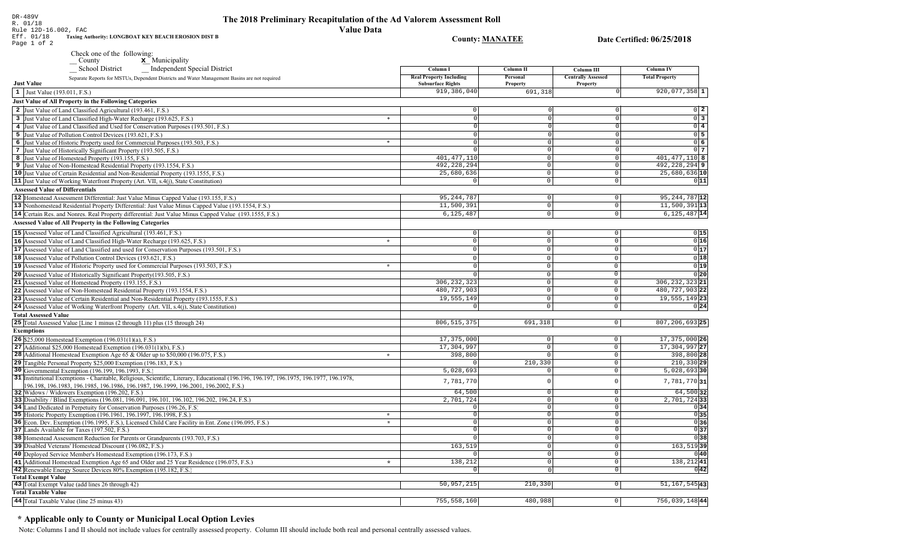| Rule 12D-16.002, FAC                   |                                                                                                                                                                                                                                 | <b>Value Data</b> |                                                            |                          |                                              |                                                                                                  |
|----------------------------------------|---------------------------------------------------------------------------------------------------------------------------------------------------------------------------------------------------------------------------------|-------------------|------------------------------------------------------------|--------------------------|----------------------------------------------|--------------------------------------------------------------------------------------------------|
| Eff. 01/18<br>Page 1 of 2              | Taxing Authority: LONGBOAT KEY BEACH EROSION DIST B                                                                                                                                                                             |                   | <b>County: MANATEE</b>                                     |                          |                                              | Date Certified: 06/25/2018                                                                       |
|                                        | Check one of the following:                                                                                                                                                                                                     |                   |                                                            |                          |                                              |                                                                                                  |
|                                        | $\mathbf{x}$ Municipality<br>$\frac{\text{Country}}{\text{[right]}}$                                                                                                                                                            |                   |                                                            |                          |                                              |                                                                                                  |
|                                        | <b>School District</b><br>_ Independent Special District                                                                                                                                                                        |                   | Column I                                                   | Column II                | Column III                                   | Column IV                                                                                        |
| <b>Just Value</b>                      | Separate Reports for MSTUs, Dependent Districts and Water Management Basins are not required                                                                                                                                    |                   | <b>Real Property Including</b><br><b>Subsurface Rights</b> | Personal<br>Property     | <b>Centrally Assessed</b><br><b>Property</b> | <b>Total Property</b>                                                                            |
| 1 Just Value (193.011, F.S.)           |                                                                                                                                                                                                                                 |                   | 919,386,040                                                | 691,318                  |                                              | $920,077,358$ 1                                                                                  |
|                                        | Just Value of All Property in the Following Categories                                                                                                                                                                          |                   |                                                            |                          |                                              |                                                                                                  |
|                                        | 2 Just Value of Land Classified Agricultural (193.461, F.S.)                                                                                                                                                                    |                   | U                                                          |                          |                                              |                                                                                                  |
|                                        | 3 Just Value of Land Classified High-Water Recharge (193.625, F.S.)                                                                                                                                                             | $*$               | $\Omega$                                                   |                          |                                              | $\begin{array}{c c} 0 & 2 \\ \hline 0 & 3 \\ \hline 0 & 4 \\ \hline 0 & 5 \\ \hline \end{array}$ |
|                                        | 4 Just Value of Land Classified and Used for Conservation Purposes (193.501, F.S.)                                                                                                                                              |                   | $\Omega$                                                   |                          |                                              |                                                                                                  |
|                                        | 5 Just Value of Pollution Control Devices (193.621, F.S.)                                                                                                                                                                       |                   | 0                                                          |                          |                                              |                                                                                                  |
|                                        | 6 Just Value of Historic Property used for Commercial Purposes (193.503, F.S.)                                                                                                                                                  | $*$               | $\overline{0}$                                             | $\Omega$                 |                                              | $\overline{0}$ 6                                                                                 |
|                                        | 7 Just Value of Historically Significant Property (193.505, F.S.)                                                                                                                                                               |                   | $\Omega$                                                   | 0                        | $\Omega$                                     | $0\overline{7}$                                                                                  |
|                                        | 8 Just Value of Homestead Property (193.155, F.S.)                                                                                                                                                                              |                   | 401, 477, 110                                              | $\circ$                  | $\Omega$                                     | $401, 477, 110$ 8                                                                                |
|                                        | 9 Just Value of Non-Homestead Residential Property (193.1554, F.S.)                                                                                                                                                             |                   | 492, 228, 294                                              | 0                        | $\circ$                                      | 492,228,294 9                                                                                    |
|                                        | 10 Just Value of Certain Residential and Non-Residential Property (193.1555, F.S.)                                                                                                                                              |                   | 25,680,636                                                 | 0                        | $^{\circ}$                                   | $25,680,636$ <sup>10</sup>                                                                       |
|                                        | 11 Just Value of Working Waterfront Property (Art. VII, s.4(j), State Constitution)                                                                                                                                             |                   | $\circ$                                                    | 0                        | $\circ$                                      | 0 11                                                                                             |
| <b>Assessed Value of Differentials</b> |                                                                                                                                                                                                                                 |                   |                                                            |                          |                                              |                                                                                                  |
|                                        | 12 Homestead Assessment Differential: Just Value Minus Capped Value (193.155, F.S.)                                                                                                                                             |                   | 95, 244, 787                                               | $\circ$                  | $\circ$                                      | 95, 244, 787 12                                                                                  |
|                                        | 13 Nonhomestead Residential Property Differential: Just Value Minus Capped Value (193.1554, F.S.)                                                                                                                               |                   | 11,500,391                                                 | 0                        | $\Omega$                                     | $11,500,391$  13                                                                                 |
|                                        | 14 Certain Res. and Nonres. Real Property differential: Just Value Minus Capped Value (193.1555, F.S.)                                                                                                                          |                   | 6,125,487                                                  | $\circ$                  | $\Omega$                                     | $6,125,487$ <sup>14</sup>                                                                        |
|                                        | <b>Assessed Value of All Property in the Following Categories</b>                                                                                                                                                               |                   |                                                            |                          |                                              |                                                                                                  |
|                                        | 15 Assessed Value of Land Classified Agricultural (193.461, F.S.)                                                                                                                                                               |                   | $\Omega$                                                   | 0                        | $\Omega$                                     | 0 15                                                                                             |
|                                        | 16 Assessed Value of Land Classified High-Water Recharge (193.625, F.S.)                                                                                                                                                        | $\star$           | $\circ$                                                    | $\Omega$                 | $\Omega$                                     | 0 16                                                                                             |
|                                        | 17 Assessed Value of Land Classified and used for Conservation Purposes (193.501, F.S.)                                                                                                                                         |                   | $\Omega$                                                   | $\mathbf{0}$             |                                              | 0 17                                                                                             |
|                                        |                                                                                                                                                                                                                                 |                   |                                                            |                          |                                              | 0 18                                                                                             |
|                                        | 18 Assessed Value of Pollution Control Devices (193.621, F.S.)                                                                                                                                                                  |                   | $\Omega$                                                   | $\mathbf{0}$<br>$\Omega$ |                                              |                                                                                                  |
|                                        | 19 Assessed Value of Historic Property used for Commercial Purposes (193.503, F.S.)                                                                                                                                             | $\star$           |                                                            |                          | $\Omega$                                     | 0 19                                                                                             |
|                                        | 20 Assessed Value of Historically Significant Property (193.505, F.S.)                                                                                                                                                          |                   |                                                            | 0                        | $\Omega$                                     | $\overline{0 20}$                                                                                |
|                                        | 21 Assessed Value of Homestead Property (193.155, F.S.)                                                                                                                                                                         |                   | 306, 232, 323                                              | 0                        | $\mathbf 0$                                  | 306, 232, 323 21                                                                                 |
|                                        | 22 Assessed Value of Non-Homestead Residential Property (193.1554, F.S.)                                                                                                                                                        |                   | 480, 727, 903                                              | $\Omega$                 | $\Omega$                                     | 480, 727, 903 22                                                                                 |
|                                        | 23 Assessed Value of Certain Residential and Non-Residential Property (193.1555, F.S.)                                                                                                                                          |                   | 19,555,149                                                 | 0                        | $\mathbf 0$                                  | 19, 555, 149 23                                                                                  |
|                                        | 24 Assessed Value of Working Waterfront Property (Art. VII, s.4(j), State Constitution)                                                                                                                                         |                   |                                                            | $\mathbf{0}$             | $\Omega$                                     | 0 24                                                                                             |
| <b>Total Assessed Value</b>            |                                                                                                                                                                                                                                 |                   |                                                            |                          |                                              |                                                                                                  |
|                                        | 25 Total Assessed Value [Line 1 minus (2 through 11) plus (15 through 24)                                                                                                                                                       |                   | 806, 515, 375                                              | 691,318                  | $\circ$                                      | 807,206,693 25                                                                                   |
| <b>Exemptions</b>                      |                                                                                                                                                                                                                                 |                   |                                                            |                          |                                              |                                                                                                  |
|                                        | <b>26</b> \$25,000 Homestead Exemption $(196.031(1)(a), F.S.)$                                                                                                                                                                  |                   | 17,375,000                                                 | 0                        | $\mathbf 0$                                  | 17, 375, 000 26                                                                                  |
|                                        | 27 Additional \$25,000 Homestead Exemption $(196.031(1)(b), F.S.)$                                                                                                                                                              |                   | 17,304,997                                                 | $\mathbf{0}$             | $\mathbf 0$                                  | 17,304,997 27                                                                                    |
|                                        | <b>28</b> Additional Homestead Exemption Age 65 & Older up to \$50,000 (196.075, F.S.)                                                                                                                                          | $\star$           | 398,800                                                    | $\Omega$                 | $\mathbf{0}$                                 | 398,800 28                                                                                       |
|                                        | 29 Tangible Personal Property \$25,000 Exemption (196.183, F.S.)                                                                                                                                                                |                   |                                                            | 210,330                  | $\mathbf 0$                                  | 210,330 29                                                                                       |
|                                        | 30 Governmental Exemption (196.199, 196.1993, F.S.)                                                                                                                                                                             |                   | 5,028,693                                                  | $\Omega$                 | $\Omega$                                     | $5,028,693$ 30                                                                                   |
|                                        | 31 Institutional Exemptions - Charitable, Religious, Scientific, Literary, Educational (196.196.196.197, 196.1975, 196.1977, 196.1978,<br>[196.198, 196.1983, 196.1985, 196.1986, 196.1987, 196.1999, 196.2001, 196.2002, F.S.) |                   | 7,781,770                                                  |                          |                                              | $7,781,770$ 31                                                                                   |
|                                        | 32 Widows / Widowers Exemption (196.202, F.S.)                                                                                                                                                                                  |                   | 64,500                                                     | 0                        | $^{\circ}$                                   | 64,500 32                                                                                        |
|                                        | 33 Disability / Blind Exemptions (196.081, 196.091, 196.101, 196.102, 196.202, 196.24, F.S.)                                                                                                                                    |                   | 2,701,724                                                  | $\Omega$                 | $\Omega$                                     | 2,701,724 33                                                                                     |
|                                        | 34 Land Dedicated in Perpetuity for Conservation Purposes (196.26, F.S)                                                                                                                                                         |                   | $\Omega$                                                   | 0                        | $\circ$                                      | 0 34                                                                                             |
|                                        | 35 Historic Property Exemption (196.1961, 196.1997, 196.1998, F.S.)                                                                                                                                                             | $\star$           | $\circ$                                                    | 0                        | $\circ$                                      | 0 35                                                                                             |
|                                        | 36 Econ. Dev. Exemption (196.1995, F.S.), Licensed Child Care Facility in Ent. Zone (196.095, F.S.)                                                                                                                             | $\star$           | $\circ$                                                    | 0                        | 0                                            | 036                                                                                              |
|                                        | 37 Lands Available for Taxes (197.502, F.S.)                                                                                                                                                                                    |                   | $\overline{0}$                                             | 0                        | 0                                            | 0 37                                                                                             |
|                                        | 38 Homestead Assessment Reduction for Parents or Grandparents (193.703, F.S.)                                                                                                                                                   |                   |                                                            | $\mathbf 0$              | $\overline{0}$                               | 038                                                                                              |
|                                        | 39 Disabled Veterans' Homestead Discount (196.082, F.S.)                                                                                                                                                                        |                   | 163,519                                                    | 0                        | 0                                            | 163,51939                                                                                        |
|                                        | 40 Deployed Service Member's Homestead Exemption (196.173, F.S.)                                                                                                                                                                |                   | $\circ$                                                    | 0                        | 0                                            | 0 40                                                                                             |
|                                        | 41 Additional Homestead Exemption Age 65 and Older and 25 Year Residence (196.075, F.S.)                                                                                                                                        | $\star$           | 138,212                                                    | 0                        | 0                                            | $138,212$ 41                                                                                     |
|                                        | 42 Renewable Energy Source Devices 80% Exemption (195.182, F.S.)                                                                                                                                                                |                   | $\Omega$                                                   | 0                        | 0                                            | 0 42                                                                                             |
| <b>Total Exempt Value</b>              |                                                                                                                                                                                                                                 |                   |                                                            |                          |                                              |                                                                                                  |
|                                        | 43 Total Exempt Value (add lines 26 through 42)                                                                                                                                                                                 |                   | 50, 957, 215                                               | 210, 330                 | $\circ$                                      | 51, 167, 545 43                                                                                  |
| <b>Total Taxable Value</b>             |                                                                                                                                                                                                                                 |                   |                                                            |                          |                                              |                                                                                                  |

 $755, 558, 160$ 

480,988

 $756,039,148$ <sup>44</sup>

 $\overline{0}$ 

The 2018 Preliminary Recapitulation of the Ad Valorem Assessment Roll

## \* Applicable only to County or Municipal Local Option Levies

44 Total Taxable Value (line 25 minus 43)

DR-489V<br>R. 01/18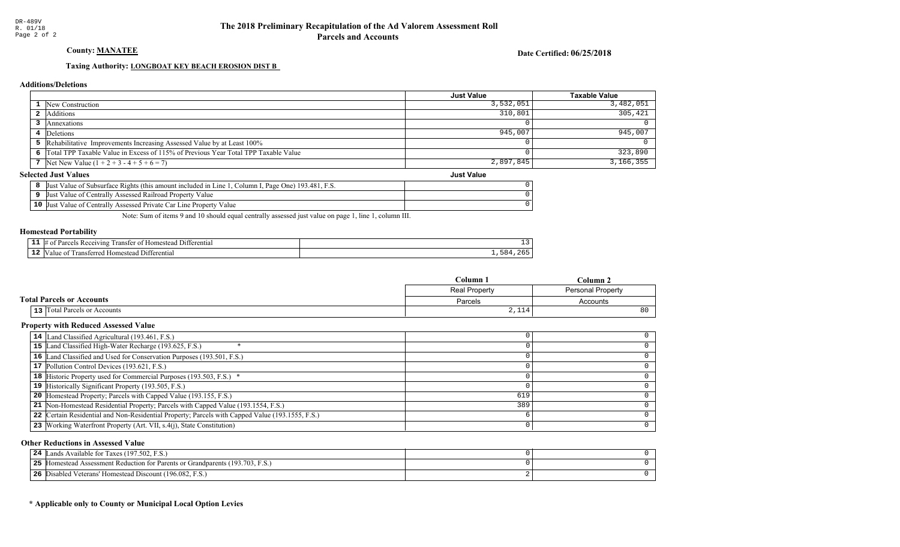County: MANATEE

Date Certified: 06/25/2018

## Taxing Authority: **LONGBOAT KEY BEACH EROSION DIST B**

## **Additions/Deletions**

|                                                                                      | <b>Just Value</b> | <b>Taxable Value</b> |
|--------------------------------------------------------------------------------------|-------------------|----------------------|
| 1 New Construction                                                                   | 3,532,051         | 3,482,051            |
| <b>2</b> Additions                                                                   | 310,801           | 305,421              |
| Annexations                                                                          |                   |                      |
| 4 Deletions                                                                          | 945,007           | 945,007              |
| 5 Rehabilitative Improvements Increasing Assessed Value by at Least 100%             |                   |                      |
| 6 Total TPP Taxable Value in Excess of 115% of Previous Year Total TPP Taxable Value |                   | 323,890              |
| 7 Net New Value $(1 + 2 + 3 - 4 + 5 + 6 = 7)$                                        | 2,897,845         | 3,166,355            |
| lected Just Values<br><b>Just Value</b>                                              |                   |                      |

### **Selected Just Values**

|    | FS<br>193.481.1<br>Page One)<br>Column I.<br>Just<br>Value of Subsurface Rights (this amount included in L<br>L <sub>1</sub> ne |  |
|----|---------------------------------------------------------------------------------------------------------------------------------|--|
|    | Assessed Railroad Property Value<br>Just<br>Value of Centrally                                                                  |  |
| 10 | Value of Centrally Assessed Private Car Line Property<br>Just<br>Value                                                          |  |

Note: Sum of items 9 and 10 should equal centrally assessed just value on page 1, line 1, column III.

### Homestead Portability

| - -<br>. . | <i>Herentia</i> .<br>ang<br>ansı<br>иπ |  |
|------------|----------------------------------------|--|
| --         | rentiai<br>-111<br>ш                   |  |

|                                  | $C$ olumn<br>Column. |                   |
|----------------------------------|----------------------|-------------------|
|                                  | Real Property        | Personal Property |
| <b>Total Parcels or Accounts</b> | Parcels              | Accounts          |
| 13 Total Parcels or Accounts     | $   -$<br>2,114      | 80                |

### Property with Reduced Assessed Value

| 14 Land Classified Agricultural (193.461, F.S.)                                                 |     |  |
|-------------------------------------------------------------------------------------------------|-----|--|
| 15 Land Classified High-Water Recharge (193.625, F.S.)                                          |     |  |
| 16 Land Classified and Used for Conservation Purposes (193.501, F.S.)                           |     |  |
| 17 Pollution Control Devices (193.621, F.S.)                                                    |     |  |
| 18 Historic Property used for Commercial Purposes (193.503, F.S.) *                             |     |  |
| 19 Historically Significant Property (193.505, F.S.)                                            |     |  |
| <b>20</b> Homestead Property; Parcels with Capped Value (193.155, F.S.)                         | 619 |  |
| 21 Non-Homestead Residential Property; Parcels with Capped Value (193.1554, F.S.)               | 389 |  |
| 22 Certain Residential and Non-Residential Property; Parcels with Capped Value (193.1555, F.S.) |     |  |
| 23 Working Waterfront Property (Art. VII, s.4(j), State Constitution)                           |     |  |

## Other Reductions in Assessed Value

| Lands Available for Taxes (197.502, F.S.)<br>24                                    |  |
|------------------------------------------------------------------------------------|--|
| 25<br>5 Homestead Assessment Reduction for Parents or Grandparents (193.703, F.S.) |  |
| 26<br>Disabled Veterans' Homestead Discount (196.082, F.S.)                        |  |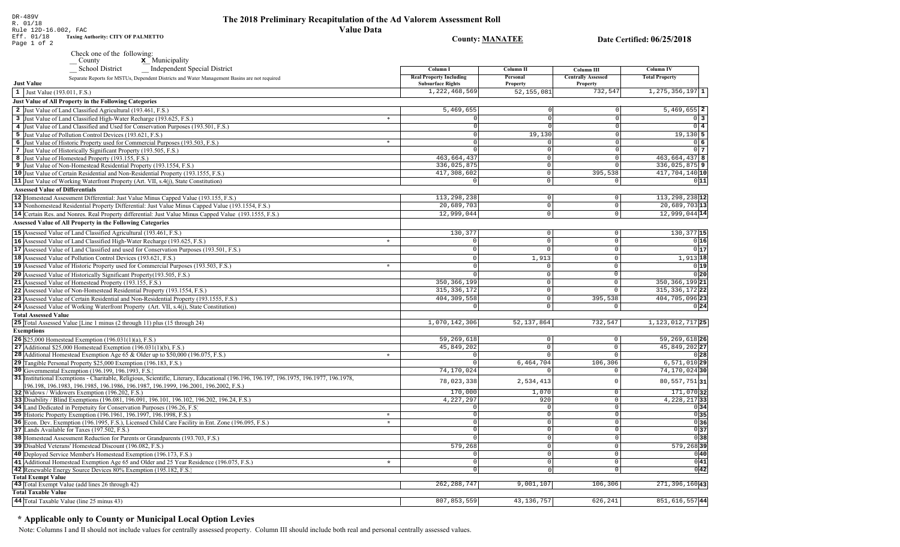DR-489V<br>R. 01/18<br>Rule 12D-16.002, FAC<br>Eff. 01/18 Taxing Authority: CITY OF PALMETTO<br>Page 1 of 2

**County: MANATEE** 

Date Certified: 06/25/2018

| Check one of the following: |                           |
|-----------------------------|---------------------------|
| County                      | $\mathbf{x}$ Municipality |

 $\mathbf{x}$ ишпегрангу

| <b>Independent Special District</b><br><b>School District</b>                                                                          | Column I                                                   | <b>Column II</b>            | Column III                            | <b>Column IV</b>             |
|----------------------------------------------------------------------------------------------------------------------------------------|------------------------------------------------------------|-----------------------------|---------------------------------------|------------------------------|
| Separate Reports for MSTUs, Dependent Districts and Water Management Basins are not required<br><b>Just Value</b>                      | <b>Real Property Including</b><br><b>Subsurface Rights</b> | Personal<br><b>Property</b> | <b>Centrally Assessed</b><br>Property | <b>Total Property</b>        |
| 1 Just Value $(193.011, F.S.)$                                                                                                         | 1,222,468,569                                              | 52, 155, 081                | 732,547                               | $\overline{1,275,356,197}$ 1 |
| Just Value of All Property in the Following Categories                                                                                 |                                                            |                             |                                       |                              |
| 2 Just Value of Land Classified Agricultural (193.461, F.S.)                                                                           | 5,469,655                                                  | $^{\circ}$                  | $\Omega$                              | $5,469,655$ 2                |
| 3 Just Value of Land Classified High-Water Recharge (193.625, F.S.)                                                                    | $\ast$<br>$\mathbf 0$                                      | $\mathbf 0$                 | $\Omega$                              | $0 \vert 3$                  |
| 4 Just Value of Land Classified and Used for Conservation Purposes (193.501, F.S.)                                                     | $\overline{\mathfrak{o}}$                                  | $\Omega$                    | $\Omega$                              | $0$ 4                        |
| 5 Just Value of Pollution Control Devices (193.621, F.S.)                                                                              | $\overline{0}$                                             | 19,130                      | $\Omega$                              | $19,130$ 5                   |
| 6 Just Value of Historic Property used for Commercial Purposes (193.503, F.S.)                                                         | $\circ$<br>$\ast$                                          | 0                           | $\overline{0}$                        | 0 6                          |
| 7 Just Value of Historically Significant Property (193.505, F.S.)                                                                      | $\Omega$                                                   | 0                           |                                       | $0\overline{7}$              |
| 8 Just Value of Homestead Property (193.155, F.S.)                                                                                     | 463,664,437                                                | $\circ$                     | $\overline{0}$                        | 463, 664, 437 8              |
| 9 Just Value of Non-Homestead Residential Property (193.1554, F.S.)                                                                    | 336,025,875                                                | 0                           | $\Omega$                              | 336, 025, 875 9              |
| 10 Just Value of Certain Residential and Non-Residential Property (193.1555, F.S.)                                                     | 417,308,602                                                | 0                           | 395,538                               | $417,704,140$ 10             |
| <b>11</b> Just Value of Working Waterfront Property (Art. VII, s.4(j), State Constitution)                                             | $\Omega$                                                   | $\overline{0}$              | $\Omega$                              | 0 11                         |
| <b>Assessed Value of Differentials</b>                                                                                                 |                                                            |                             |                                       |                              |
| 12 Homestead Assessment Differential: Just Value Minus Capped Value (193.155, F.S.)                                                    | 113, 298, 238                                              | 0                           | $\overline{0}$                        | 113, 298, 238 12             |
|                                                                                                                                        | 20,689,703                                                 | $\overline{0}$              | $\overline{0}$                        | $20,689,703$ <sup>13</sup>   |
| 13 Nonhomestead Residential Property Differential: Just Value Minus Capped Value (193.1554, F.S.)                                      |                                                            |                             |                                       |                              |
| 14 Certain Res. and Nonres. Real Property differential: Just Value Minus Capped Value (193.1555, F.S.)                                 | 12,999,044                                                 | 0                           | $\overline{0}$                        | $12,999,044$ 14              |
| <b>Assessed Value of All Property in the Following Categories</b>                                                                      |                                                            |                             |                                       |                              |
| 15 Assessed Value of Land Classified Agricultural (193.461, F.S.)                                                                      | 130,377                                                    | 0                           | $\mathbb O$                           | 130, 377 15                  |
| 16 Assessed Value of Land Classified High-Water Recharge (193.625, F.S.)                                                               | $\Omega$<br>$\star$                                        | $\circ$                     | $\circ$                               | 0 16                         |
| 17 Assessed Value of Land Classified and used for Conservation Purposes (193.501, F.S.)                                                | $\Omega$                                                   | $\circ$                     | $\mathbf{0}$                          | 0 17                         |
| 18 Assessed Value of Pollution Control Devices (193.621, F.S.)                                                                         | $\circ$                                                    | 1,913                       | $\mathbb O$                           | $1,913$ 18                   |
| 19 Assessed Value of Historic Property used for Commercial Purposes (193.503, F.S.)                                                    | $\Omega$<br>$\star$                                        | $\circ$                     | $\mathbf 0$                           | 0 19                         |
| 20 Assessed Value of Historically Significant Property (193.505, F.S.)                                                                 | $\Omega$                                                   | $\overline{0}$              | $\overline{0}$                        | $0$ <sub>20</sub>            |
| 21 Assessed Value of Homestead Property (193.155, F.S.)                                                                                | 350, 366, 199                                              | $\circ$                     | $\mathsf 0$                           | 350, 366, 199 21             |
| 22 Assessed Value of Non-Homestead Residential Property (193.1554, F.S.)                                                               | 315, 336, 172                                              | 0                           | $\mathsf 0$                           | 315, 336, 172 22             |
| 23 Assessed Value of Certain Residential and Non-Residential Property (193.1555, F.S.)                                                 | 404, 309, 558                                              | 0                           | 395,538                               | 404,705,096 23               |
| 24 Assessed Value of Working Waterfront Property (Art. VII, s.4(j), State Constitution)                                                | $\mathbf 0$                                                | $\circ$                     | $\Omega$                              | 0 24                         |
|                                                                                                                                        |                                                            |                             |                                       |                              |
| <b>Total Assessed Value</b>                                                                                                            |                                                            |                             |                                       |                              |
| 25 Total Assessed Value [Line 1 minus (2 through 11) plus (15 through 24)                                                              | 1,070,142,306                                              | 52, 137, 864                | 732,547                               | $1,123,012,717$  25          |
| <b>Exemptions</b>                                                                                                                      |                                                            |                             |                                       |                              |
| 26 \$25,000 Homestead Exemption (196.031(1)(a), F.S.)                                                                                  | 59,269,618                                                 | 0                           | $\circ$                               | 59, 269, 618 26              |
| 27 Additional \$25,000 Homestead Exemption $(196.031(1)(b), F.S.)$                                                                     | 45,849,202                                                 | 0                           | $\mathbf 0$                           | 45,849,202 27                |
| <b>28</b> Additional Homestead Exemption Age 65 & Older up to \$50,000 (196.075, F.S.)                                                 | $\Omega$<br>$\star$                                        | $\circ$                     | $\circ$                               | 0 28                         |
| 29 Tangible Personal Property \$25,000 Exemption (196.183, F.S.)                                                                       | $\Omega$                                                   | 6,464,704                   | 106,306                               | $6,571,010$ <sub>29</sub>    |
| 30 Governmental Exemption (196.199, 196.1993, F.S.)                                                                                    | 74,170,024                                                 | $\overline{0}$              | $\circ$                               | 74,170,02430                 |
| 31 Institutional Exemptions - Charitable, Religious, Scientific, Literary, Educational (196.196.197, 196.1975, 196.1977, 196.1978,     | 78,023,338                                                 | 2,534,413                   | $\Omega$                              | $80,557,751$ 31              |
| 196.198, 196.1983, 196.1985, 196.1986, 196.1987, 196.1999, 196.2001, 196.2002, F.S.)<br>32 Widows / Widowers Exemption (196.202, F.S.) | 170,000                                                    | 1,070                       | $\circ$                               | 171,070 32                   |
| 33 Disability / Blind Exemptions (196.081, 196.091, 196.101, 196.102, 196.202, 196.24, F.S.)                                           | 4,227,297                                                  | 920                         | $\mathbb O$                           | 4, 228, 217 33               |
| 34 Land Dedicated in Perpetuity for Conservation Purposes (196.26, F.S.)                                                               | $\Omega$                                                   | 0                           | $\Omega$                              | 0 34                         |
| 35 Historic Property Exemption (196.1961, 196.1997, 196.1998, F.S.)                                                                    | $\circ$<br>$\star$                                         | 0                           | $\Omega$                              | 035                          |
| 36 Econ. Dev. Exemption (196.1995, F.S.), Licensed Child Care Facility in Ent. Zone (196.095, F.S.)                                    | $\overline{0}$<br>$\star$                                  | $\overline{0}$              | $\Omega$                              | 0 36                         |
| 37 Lands Available for Taxes (197.502, F.S.)                                                                                           | $\overline{0}$                                             | $\overline{0}$              | $\Omega$                              | 0 37                         |
| 38 Homestead Assessment Reduction for Parents or Grandparents (193.703, F.S.)                                                          | $\overline{0}$                                             | $\overline{0}$              | $\Omega$                              | 036                          |
| 39 Disabled Veterans' Homestead Discount (196.082, F.S.)                                                                               | 579,268                                                    | 0                           | $\mathbf 0$                           | 579,26839                    |
| 40 Deployed Service Member's Homestead Exemption (196.173, F.S.)                                                                       | $\mathsf 0$                                                | 0                           | $\mathsf{O}\xspace$                   | 0 40                         |
| 41 Additional Homestead Exemption Age 65 and Older and 25 Year Residence (196.075, F.S.)                                               | $\overline{0}$<br>$\star$                                  | 0                           | $\circ$                               | 0 41                         |
| 42 Renewable Energy Source Devices 80% Exemption (195.182, F.S.)                                                                       | $\circ$                                                    | 0                           | $\overline{0}$                        | 0 42                         |
| <b>Total Exempt Value</b>                                                                                                              |                                                            |                             |                                       |                              |
| 43 Total Exempt Value (add lines 26 through 42)                                                                                        | 262, 288, 747                                              | 9,001,107                   | 106,306                               | 271, 396, 160 43             |
| <b>Total Taxable Value</b>                                                                                                             |                                                            |                             |                                       |                              |
| 44 Total Taxable Value (line 25 minus 43)                                                                                              | 807,853,559                                                | 43, 136, 757                | 626.241                               | 851, 616, 557 44             |
|                                                                                                                                        |                                                            |                             |                                       |                              |

# \* Applicable only to County or Municipal Local Option Levies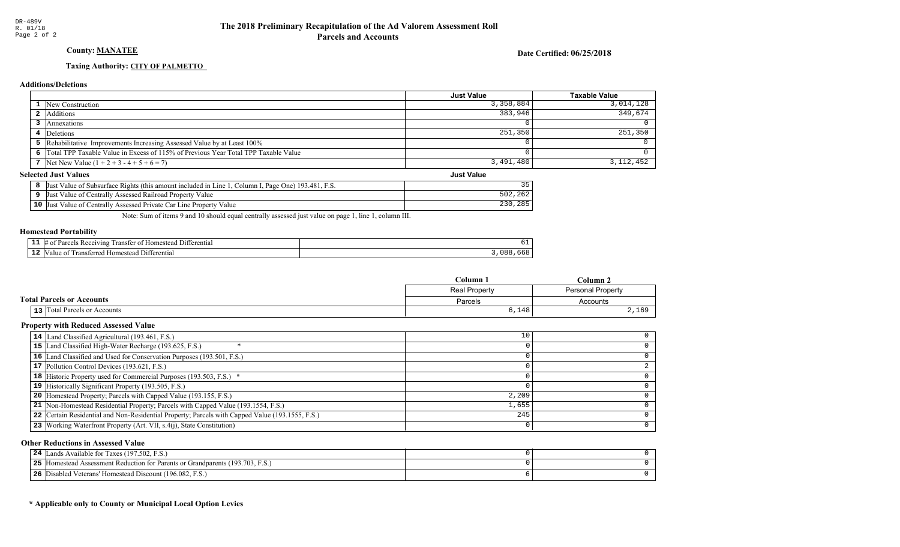## County: MANATEE

Date Certified: 06/25/2018

Just Value

## Taxing Authority: CITY OF PALMETTO

## **Additions/Deletions**

|                                                                                      | <b>Just Value</b> | Taxable Value |
|--------------------------------------------------------------------------------------|-------------------|---------------|
| 1 New Construction                                                                   | 3,358,884         | 3,014,128     |
| <b>2</b> Additions                                                                   | 383,946           | 349.674       |
| Annexations                                                                          |                   |               |
| 4 Deletions                                                                          | 251,350           | $251,350$     |
| 5 Rehabilitative Improvements Increasing Assessed Value by at Least 100%             |                   |               |
| 6 Total TPP Taxable Value in Excess of 115% of Previous Year Total TPP Taxable Value |                   |               |
| 7 Net New Value $(1 + 2 + 3 - 4 + 5 + 6 = 7)$                                        | 3,491,480         | 3,112,452     |

## **Selected Just Values**

| Page One) 193.481, F.S.<br>Just Value of Subsurface Rights (this amount included in Line 1)<br>Column I |                       |
|---------------------------------------------------------------------------------------------------------|-----------------------|
| Just Value of Centrally Assessed Railroad Property Value                                                | , 202                 |
| 10 Just Value of Centrally Assessed Private Car Line Property Value                                     | $985$<br>つつの<br>, 200 |

Note: Sum of items 9 and 10 should equal centrally assessed just value on page 1, line 1, column III.

### Homestead Portability

| -<br>--- | $\mathbf{H}$<br>… ⊓omestee i<br>™erentia.     | ັບ⊥ |
|----------|-----------------------------------------------|-----|
| .        | terenti<br>-rarr<br>nm<br>`aln<br>гге<br>81 C | nn. |

|                                  | C <b>olumn</b> 1     | ' Jolumn .        |
|----------------------------------|----------------------|-------------------|
|                                  | <b>Real Property</b> | Personal Property |
| <b>Total Parcels or Accounts</b> | Parcels              | Accounts          |
| 13   Total Parcels or Accounts   | 6,148                | 2,169             |

### Property with Reduced Assessed Value

| 14 Land Classified Agricultural (193.461, F.S.)                                                 | 10    |  |
|-------------------------------------------------------------------------------------------------|-------|--|
| 15 Land Classified High-Water Recharge (193.625, F.S.)                                          |       |  |
| 16 Land Classified and Used for Conservation Purposes (193.501, F.S.)                           |       |  |
| 17 Pollution Control Devices (193.621, F.S.)                                                    |       |  |
| 18 Historic Property used for Commercial Purposes (193.503, F.S.) *                             |       |  |
| 19 Historically Significant Property (193.505, F.S.)                                            |       |  |
| <b>20</b> Homestead Property; Parcels with Capped Value (193.155, F.S.)                         | 2,209 |  |
| 21 Non-Homestead Residential Property; Parcels with Capped Value (193.1554, F.S.)               | 1,655 |  |
| 22 Certain Residential and Non-Residential Property; Parcels with Capped Value (193.1555, F.S.) | 245   |  |
| 23 Working Waterfront Property (Art. VII, s.4(j), State Constitution)                           |       |  |
|                                                                                                 |       |  |

### Other Reductions in Assessed Value

| Lands Available for Taxes (197.502, F.S.)<br>24                                    |  |
|------------------------------------------------------------------------------------|--|
| 25<br>5 Homestead Assessment Reduction for Parents or Grandparents (193.703, F.S.) |  |
| 26<br>Disabled Veterans' Homestead Discount (196.082, F.S.)                        |  |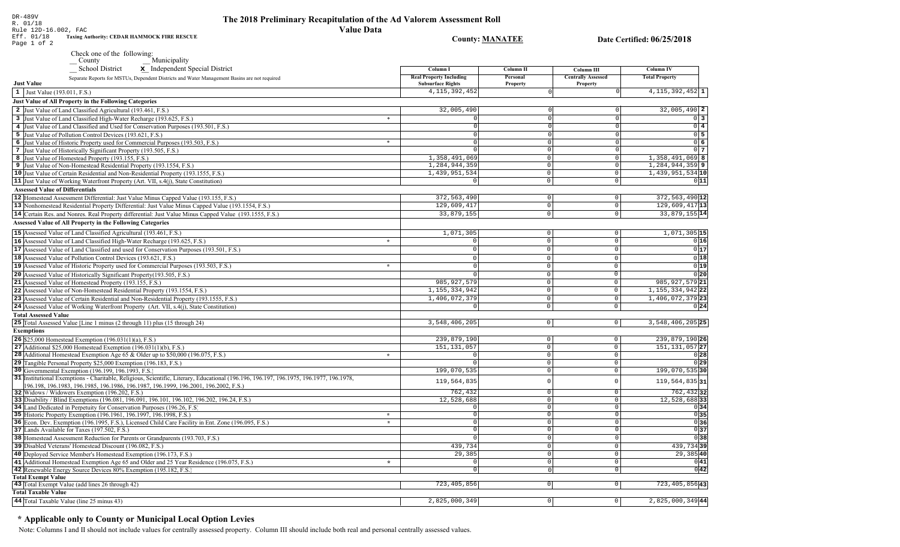## The 2018 Preliminary Recapitulation of the Ad Valorem Assessment Roll **Value Data**

County: **MANATEE** 

Date Certified: 06/25/2018

DR-489V<br>R. 01/18<br>Rule 12D-16.002, FAC<br>Eff. 01/18 **Taxing**A<br>Page 1 of 2 Taxing Authority: CEDAR HAMMOCK FIRE RESCUE

Check one of the following:

County<br>
School District<br> **x** Independent Speci

| School District<br><b>x</b> Independent Special District                                                                                       | Column I                                                   | Column II                     | Column III                                   | Column IV             |
|------------------------------------------------------------------------------------------------------------------------------------------------|------------------------------------------------------------|-------------------------------|----------------------------------------------|-----------------------|
| Separate Reports for MSTUs, Dependent Districts and Water Management Basins are not required<br><b>Just Value</b>                              | <b>Real Property Including</b><br><b>Subsurface Rights</b> | Personal<br>Property          | <b>Centrally Assessed</b><br><b>Property</b> | <b>Total Property</b> |
| 1 Just Value (193.011, F.S.)                                                                                                                   | 4, 115, 392, 452                                           |                               |                                              | $4,115,392,452$ 1     |
| Just Value of All Property in the Following Categories                                                                                         |                                                            |                               |                                              |                       |
| 2 Just Value of Land Classified Agricultural (193.461, F.S.)                                                                                   | 32,005,490                                                 |                               |                                              | $32,005,490$ 2        |
| 3 Just Value of Land Classified High-Water Recharge (193.625, F.S.)<br>$\ast$                                                                  |                                                            | $\Omega$                      |                                              | $\overline{0}$ 3      |
| 4 Just Value of Land Classified and Used for Conservation Purposes (193.501, F.S.)                                                             | $\Omega$                                                   | $\Omega$                      |                                              | $\overline{0}$ 4      |
| 5 Just Value of Pollution Control Devices (193.621, F.S.)                                                                                      | $\circ$                                                    | $\Omega$                      |                                              | 05                    |
| $\ast$<br>6 Just Value of Historic Property used for Commercial Purposes (193.503, F.S.)                                                       | $\Omega$                                                   | $\Omega$                      |                                              | 06                    |
| 7 Just Value of Historically Significant Property (193.505, F.S.)                                                                              | $\Omega$                                                   | 0                             | $\Omega$                                     | $0\overline{7}$       |
| 8 Just Value of Homestead Property (193.155, F.S.)                                                                                             | 1,358,491,069                                              | $\mathbf 0$                   | $\Omega$                                     | $1,358,491,069$ 8     |
| 9 Just Value of Non-Homestead Residential Property (193.1554, F.S.)                                                                            | 1,284,944,359                                              | $\mathbf 0$                   | $\Omega$                                     | 1,284,944,359 9       |
| 10 Just Value of Certain Residential and Non-Residential Property (193.1555, F.S.)                                                             | 1,439,951,534                                              | $\mathsf 0$                   | $\overline{0}$                               | 1,439,951,534 10      |
| 11 Just Value of Working Waterfront Property (Art. VII, s.4(j), State Constitution)                                                            | $\Omega$                                                   | $\mathbb O$                   | $\overline{0}$                               | 0 11                  |
| <b>Assessed Value of Differentials</b>                                                                                                         |                                                            |                               |                                              |                       |
| 12 Homestead Assessment Differential: Just Value Minus Capped Value (193.155, F.S.)                                                            | 372, 563, 490                                              | $\mathbf 0$                   | $\overline{0}$                               | 372, 563, 490 12      |
| 13 Nonhomestead Residential Property Differential: Just Value Minus Capped Value (193.1554, F.S.)                                              | 129,609,417                                                | $\overline{0}$                | $\overline{0}$                               | 129,609,417 13        |
| 14 Certain Res. and Nonres. Real Property differential: Just Value Minus Capped Value (193.1555, F.S.)                                         | 33,879,155                                                 | 0                             | $\circ$                                      | 33,879,155 14         |
| <b>Assessed Value of All Property in the Following Categories</b>                                                                              |                                                            |                               |                                              |                       |
|                                                                                                                                                |                                                            |                               |                                              |                       |
| 15 Assessed Value of Land Classified Agricultural (193.461, F.S.)                                                                              | 1,071,305                                                  | $\mathsf 0$<br>$\overline{0}$ | $\mathbb O$                                  | $1,071,305$ 15        |
| 16 Assessed Value of Land Classified High-Water Recharge (193.625, F.S.)<br>$\star$                                                            | $\overline{0}$                                             |                               | $\Omega$                                     | 0 16                  |
| 17 Assessed Value of Land Classified and used for Conservation Purposes (193.501, F.S.)                                                        | $\overline{0}$                                             | $\mathbb O$                   | $\mathbf{0}$                                 | 0 17                  |
| 18 Assessed Value of Pollution Control Devices (193.621, F.S.)                                                                                 | $\Omega$                                                   | $\mathbf 0$                   | $\Omega$                                     | 0 18                  |
| 19 Assessed Value of Historic Property used for Commercial Purposes (193.503, F.S.)<br>$\star$                                                 | $\Omega$                                                   | $\mathbf 0$                   | $\Omega$                                     | 0 19                  |
| 20 Assessed Value of Historically Significant Property (193.505, F.S.)                                                                         |                                                            | $\mathbb O$                   | $\Omega$                                     | 0 20                  |
| 21 Assessed Value of Homestead Property (193.155, F.S.)                                                                                        | 985, 927, 579                                              | $\mathbb O$                   | $\mathbf 0$                                  | 985, 927, 579 21      |
| 22 Assessed Value of Non-Homestead Residential Property (193.1554, F.S.)                                                                       | 1, 155, 334, 942                                           | $\mathbb O$                   | $\mathsf 0$                                  | 1, 155, 334, 942 22   |
| 23 Assessed Value of Certain Residential and Non-Residential Property (193.1555, F.S.)                                                         | 1,406,072,379                                              | $\mathbb O$                   | $\mathsf 0$                                  | 1,406,072,379 23      |
| 24 Assessed Value of Working Waterfront Property (Art. VII, s.4(j), State Constitution)                                                        |                                                            | $\Omega$                      | $\mathbf{0}$                                 | 0 24                  |
| <b>Total Assessed Value</b>                                                                                                                    |                                                            |                               |                                              |                       |
| <b>25</b> Total Assessed Value [Line 1 minus (2 through 11) plus (15 through 24)                                                               | 3,548,406,205                                              | 0                             | 0                                            | 3,548,406,205 25      |
| <b>Exemptions</b>                                                                                                                              |                                                            |                               |                                              |                       |
| 26 \$25,000 Homestead Exemption $(196.031(1)(a), F.S.)$                                                                                        | 239,879,190                                                | $\mathbb O$                   | $\circ$                                      | 239,879,190 26        |
| 27 Additional \$25,000 Homestead Exemption $(196.031(1)(b), F.S.)$                                                                             | 151, 131, 057                                              | $\overline{0}$                | $\circ$                                      | 151, 131, 057 27      |
| 28 Additional Homestead Exemption Age 65 & Older up to \$50,000 (196.075, F.S.)<br>$\star$                                                     | $\Omega$                                                   | $\mathbf 0$                   | $\circ$                                      | 0 28                  |
| 29 Tangible Personal Property \$25,000 Exemption (196.183, F.S.)                                                                               |                                                            | $\Omega$                      | $\overline{0}$                               | 0 29                  |
| 30 Governmental Exemption (196.199, 196.1993, F.S.)                                                                                            | 199,070,535                                                | $\mathbf 0$                   | $\mathsf{O}$                                 | 199,070,535 30        |
| 31 Institutional Exemptions - Charitable, Religious, Scientific, Literary, Educational (196.196.197.196.1975, 196.1977, 196.1978,              | 119,564,835                                                | $\Omega$                      | $\Omega$                                     | 119,564,835 31        |
| 196.198, 196.1983, 196.1985, 196.1986, 196.1987, 196.1999, 196.2001, 196.2002, F.S.)                                                           | 762,432                                                    | $\mathbf 0$                   | $\mathbf 0$                                  | 762, 432 32           |
| 32 Widows / Widowers Exemption (196.202, F.S.)<br>33 Disability / Blind Exemptions (196.081, 196.091, 196.101, 196.102, 196.202, 196.24, F.S.) | 12,528,688                                                 | $\mathbf{0}$                  | $\circ$                                      | 12,528,688 33         |
| 34 Land Dedicated in Perpetuity for Conservation Purposes (196.26, F.S.)                                                                       | $\Omega$                                                   | $\Omega$                      | $\circ$                                      | 0 34                  |
| 35 Historic Property Exemption (196.1961, 196.1997, 196.1998, F.S.)<br>$\star$                                                                 | $\Omega$                                                   | $\Omega$                      | $\mathbf{0}$                                 | 0 35                  |
| 36 Econ. Dev. Exemption (196.1995, F.S.), Licensed Child Care Facility in Ent. Zone (196.095, F.S.)                                            | $\star$<br>$\Omega$                                        | $\Omega$                      | $\overline{0}$                               | 0 36                  |
| 37 Lands Available for Taxes (197.502, F.S.)                                                                                                   | $\Omega$                                                   | $\Omega$                      | $\Omega$                                     | 0 37                  |
| 38 Homestead Assessment Reduction for Parents or Grandparents (193.703, F.S.)                                                                  | $\Omega$                                                   | $\mathbf 0$                   | $\overline{0}$                               | 0 38                  |
| 39 Disabled Veterans' Homestead Discount (196.082, F.S.)                                                                                       | 439,734                                                    | $\Omega$                      | $\overline{0}$                               | 439,73439             |
| 40 Deployed Service Member's Homestead Exemption (196.173, F.S.)                                                                               | 29,385                                                     | $\Omega$                      | $\circ$                                      | 29,385 40             |
| 41 Additional Homestead Exemption Age 65 and Older and 25 Year Residence (196.075, F.S.)<br>$\star$                                            | $\Omega$                                                   | $\Omega$                      | $\overline{0}$                               | 0 41                  |
| 42 Renewable Energy Source Devices 80% Exemption (195.182, F.S.)                                                                               | $\circ$                                                    | $\Omega$                      | $\overline{\mathfrak{o}}$                    | 0 42                  |
| <b>Total Exempt Value</b>                                                                                                                      |                                                            |                               |                                              |                       |
| 43 Total Exempt Value (add lines 26 through 42)                                                                                                | 723, 405, 856                                              | $\circ$                       | $\circ$                                      | 723, 405, 856 43      |
| <b>Total Taxable Value</b>                                                                                                                     |                                                            |                               |                                              |                       |
| 44 Total Taxable Value (line 25 minus 43)                                                                                                      | 2,825,000,349                                              | $\Omega$                      | $\circ$                                      | $2,825,000,349$ 44    |
|                                                                                                                                                |                                                            |                               |                                              |                       |

## \* Applicable only to County or Municipal Local Option Levies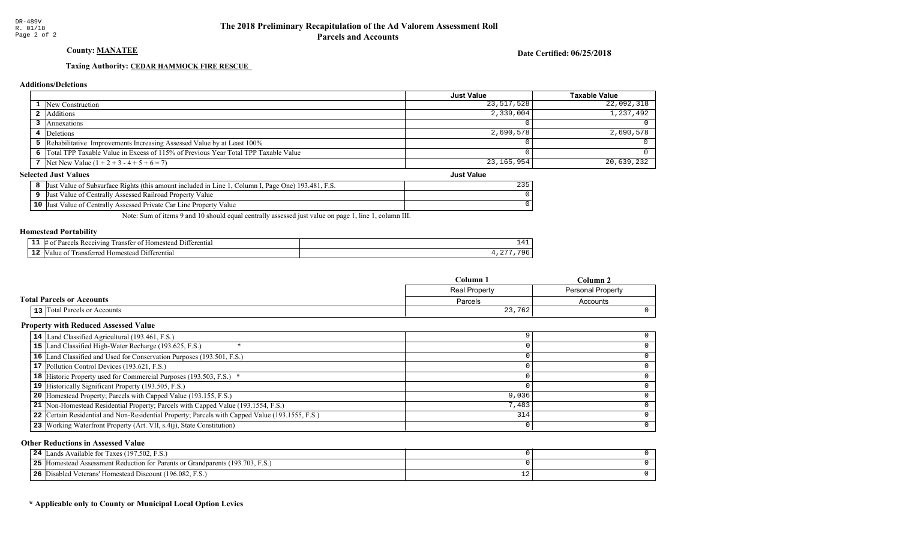County: MANATEE

Date Certified: 06/25/2018

## Taxing Authority: CEDAR HAMMOCK FIRE RESCUE

## **Additions/Deletions**

|                                                                                      | Just Value        | <b>Taxable Value</b> |
|--------------------------------------------------------------------------------------|-------------------|----------------------|
| 1 New Construction                                                                   | 23,517,528        | 22,092,318           |
| 2 Additions                                                                          | 2,339,004         | 1,237,492            |
| Annexations                                                                          |                   |                      |
| 4 Deletions                                                                          | 2,690,578         | 2,690,578            |
| 5 Rehabilitative Improvements Increasing Assessed Value by at Least 100%             |                   |                      |
| 6 Total TPP Taxable Value in Excess of 115% of Previous Year Total TPP Taxable Value |                   |                      |
| 7 Net New Value $(1 + 2 + 3 - 4 + 5 + 6 = 7)$                                        | 23, 165, 954      | 20,639,232           |
| lected Just Values                                                                   | <b>Just Value</b> |                      |

## **Selected Just Values**

|    | It Value of Subsurface Rights (this amount included in Line 1<br>193.481. F.S.<br>Page One)<br>Column<br>IJust | $\cap$ $\cap$ $\cap$ |
|----|----------------------------------------------------------------------------------------------------------------|----------------------|
|    | t Value of Centrally Assessed Railroad Property Value<br><b>Just</b>                                           |                      |
| 10 | I Value of Centrally Assessed Private Car Line Property<br>Value<br>- IJust                                    |                      |

Note: Sum of items 9 and 10 should equal centrally assessed just value on page 1, line 1, column III.

### Homestead Portability

| - -<br>. . | rentia.<br>. ) 1 t<br>71 n s<br>$v_{\rm 31}$<br>япч<br>me<br> |  |
|------------|---------------------------------------------------------------|--|
| - 4        | 11.<br>entiai<br>-10me،<br>                                   |  |

|                                  | $C$ olumn.    | ``olumn .                |  |
|----------------------------------|---------------|--------------------------|--|
|                                  | Real Property | <b>Personal Property</b> |  |
| <b>Total Parcels or Accounts</b> | Parcels       | Accounts                 |  |
| 13 Total Parcels or Accounts     | 23,762        |                          |  |

### Property with Reduced Assessed Value

| 14 Land Classified Agricultural (193.461, F.S.)                                                 |       |  |
|-------------------------------------------------------------------------------------------------|-------|--|
| 15 Land Classified High-Water Recharge (193.625, F.S.)                                          |       |  |
| 16 Land Classified and Used for Conservation Purposes (193.501, F.S.)                           |       |  |
| 17 Pollution Control Devices (193.621, F.S.)                                                    |       |  |
| 18 Historic Property used for Commercial Purposes (193.503, F.S.) *                             |       |  |
| 19 Historically Significant Property (193.505, F.S.)                                            |       |  |
| <b>20</b> Homestead Property; Parcels with Capped Value (193.155, F.S.)                         | 9,036 |  |
| 21 Non-Homestead Residential Property; Parcels with Capped Value (193.1554, F.S.)               | 7,483 |  |
| 22 Certain Residential and Non-Residential Property; Parcels with Capped Value (193.1555, F.S.) | 314   |  |
| 23 Working Waterfront Property (Art. VII, s.4(j), State Constitution)                           |       |  |
|                                                                                                 |       |  |

## Other Reductions in Assessed Value

| Lands Available for Taxes (197.502, F.S.)<br>24             |    |  |
|-------------------------------------------------------------|----|--|
| 25<br>Figure 193.703, F.S.                                  |    |  |
| 26<br>Disabled Veterans' Homestead Discount (196.082, F.S.) | ᅩᄼ |  |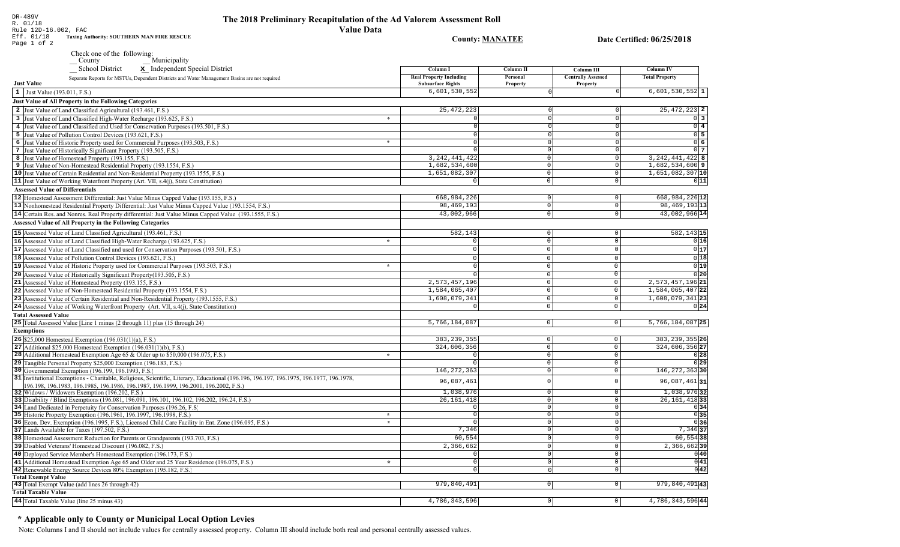**County: MANATEE** 

Date Certified: 06/25/2018

Rule 12D-16.002, FAC Eff. 01/18<br>Page 1 of 2 Taxing Authority: SOUTHERN MAN FIRE RESCUE

DR-489V<br>R. 01/18

School District

| School District $\mathbf x$ Independent Special District                                                                                                                                                                  | Column I                                                   | <b>Column II</b>     | Column III                            | <b>Column IV</b>                          |
|---------------------------------------------------------------------------------------------------------------------------------------------------------------------------------------------------------------------------|------------------------------------------------------------|----------------------|---------------------------------------|-------------------------------------------|
| Separate Reports for MSTUs, Dependent Districts and Water Management Basins are not required<br><b>Just Value</b>                                                                                                         | <b>Real Property Including</b><br><b>Subsurface Rights</b> | Personal<br>Property | <b>Centrally Assessed</b><br>Property | <b>Total Property</b>                     |
| 1 Just Value (193.011, F.S.)                                                                                                                                                                                              | 6,601,530,552                                              | $\Omega$             |                                       | $6,601,530,552$ 1                         |
| Just Value of All Property in the Following Categories                                                                                                                                                                    |                                                            |                      |                                       |                                           |
| 2 Just Value of Land Classified Agricultural (193.461, F.S.)                                                                                                                                                              | 25, 472, 223                                               |                      | $\Omega$                              | $25,472,223$ 2                            |
|                                                                                                                                                                                                                           | $\ast$                                                     | $\cap$               | $\Omega$                              |                                           |
| 3 Just Value of Land Classified High-Water Recharge (193.625, F.S.)                                                                                                                                                       | $\mathbf 0$                                                |                      | $\overline{0}$                        | $0 \mid 3$<br>$0$ 4                       |
| 4 Just Value of Land Classified and Used for Conservation Purposes (193.501, F.S.)                                                                                                                                        |                                                            |                      |                                       | $0\overline{5}$                           |
| 5 Just Value of Pollution Control Devices (193.621, F.S.)                                                                                                                                                                 | $\Omega$<br>$\ast$                                         | $\cap$               | $\mathbb O$<br>$\overline{0}$         |                                           |
| 6 Just Value of Historic Property used for Commercial Purposes (193.503, F.S.)                                                                                                                                            | $\Omega$                                                   |                      |                                       | 06                                        |
| 7 Just Value of Historically Significant Property (193.505, F.S.)                                                                                                                                                         | $\Omega$                                                   | $\Omega$             | $\mathsf 0$                           | $0\vert 7$                                |
| 8 Just Value of Homestead Property (193.155, F.S.)                                                                                                                                                                        | 3, 242, 441, 422                                           | $\Omega$             | $\overline{0}$                        | $3, 242, 441, 422$ 8<br>$1,682,534,600$ 9 |
| 9 Just Value of Non-Homestead Residential Property (193.1554, F.S.)                                                                                                                                                       | 1,682,534,600                                              | 0                    | $\mathbb O$                           |                                           |
| 10 Just Value of Certain Residential and Non-Residential Property (193.1555, F.S.)                                                                                                                                        | 1,651,082,307                                              | $\Omega$             | $\mathbf 0$                           | 1,651,082,307 10                          |
| <b>11</b> Just Value of Working Waterfront Property (Art. VII, s.4(j), State Constitution)                                                                                                                                | $\Omega$                                                   | $\mathbf 0$          | $\mathsf 0$                           | 0 11                                      |
| <b>Assessed Value of Differentials</b>                                                                                                                                                                                    |                                                            |                      |                                       |                                           |
| 12 Homestead Assessment Differential: Just Value Minus Capped Value (193.155, F.S.)                                                                                                                                       | 668,984,226                                                | - 0 l                | $\circ$                               | 668,984,226 12                            |
| 13 Nonhomestead Residential Property Differential: Just Value Minus Capped Value (193.1554, F.S.)                                                                                                                         | 98, 469, 193                                               | -o l                 | $\circ$                               | 98, 469, 193 13                           |
| 14 Certain Res. and Nonres. Real Property differential: Just Value Minus Capped Value (193.1555, F.S.)                                                                                                                    | 43,002,966                                                 | $\circ$              | $\circ$                               | 43,002,966 14                             |
| Assessed Value of All Property in the Following Categories                                                                                                                                                                |                                                            |                      |                                       |                                           |
| 15 Assessed Value of Land Classified Agricultural (193.461, F.S.)                                                                                                                                                         | 582,143                                                    | $\circ$              | $\mathbf 0$                           | 582, 143 15                               |
| 16 Assessed Value of Land Classified High-Water Recharge (193.625, F.S.)                                                                                                                                                  | $\Omega$<br>$\star$                                        | $\circ$              | $\mathbb O$                           | 0 16                                      |
| 17 Assessed Value of Land Classified and used for Conservation Purposes (193.501, F.S.)                                                                                                                                   | $\Omega$                                                   | $\Omega$             | $\mathbf 0$                           | 0 17                                      |
|                                                                                                                                                                                                                           |                                                            |                      |                                       |                                           |
| <b>18</b> Assessed Value of Pollution Control Devices (193.621, F.S.)                                                                                                                                                     | $\Omega$                                                   | $\mathbf 0$          | $\mathbb O$                           | 0 18                                      |
| 19 Assessed Value of Historic Property used for Commercial Purposes (193.503, F.S.)                                                                                                                                       | $\Omega$<br>$\star$                                        | $\Omega$             | $\mathbf{0}$                          | 0 19                                      |
| 20 Assessed Value of Historically Significant Property (193.505, F.S.)                                                                                                                                                    | $\Omega$                                                   | $\Omega$             | $\overline{0}$                        | 0 20                                      |
| 21 Assessed Value of Homestead Property (193.155, F.S.)                                                                                                                                                                   | 2,573,457,196                                              | $\circ$              | $\overline{0}$                        | 2,573,457,196 21                          |
| 22 Assessed Value of Non-Homestead Residential Property (193.1554, F.S.)                                                                                                                                                  | 1,584,065,407                                              | $\Omega$             | $\mathsf{O}$                          | $1,584,065,407$ 22                        |
| 23 Assessed Value of Certain Residential and Non-Residential Property (193.1555, F.S.)                                                                                                                                    | 1,608,079,341                                              | $\mathbf 0$          | $\overline{0}$                        | 1,608,079,341 23                          |
| 24 Assessed Value of Working Waterfront Property (Art. VII, s.4(j), State Constitution)                                                                                                                                   | $\Omega$                                                   | $\circ$              | $\mathbf 0$                           | 0 24                                      |
| <b>Total Assessed Value</b>                                                                                                                                                                                               |                                                            |                      |                                       |                                           |
| 25 Total Assessed Value [Line 1 minus (2 through 11) plus (15 through 24)                                                                                                                                                 | 5,766,184,087                                              | 0                    | $\mathbf 0$                           | $5,766,184,087$  25                       |
| <b>Exemptions</b>                                                                                                                                                                                                         |                                                            |                      |                                       |                                           |
| <b>26</b> \$25,000 Homestead Exemption $(196.031(1)(a), F.S.)$                                                                                                                                                            | 383, 239, 355                                              | $\mathbf 0$          | $\mathsf 0$                           | 383, 239, 355 26                          |
| 27 Additional \$25,000 Homestead Exemption $(196.031(1)(b), F.S.)$                                                                                                                                                        | 324,606,356                                                | $\circ$              | $\mathsf{O}\xspace$                   | 324,606,356 27                            |
| 28 Additional Homestead Exemption Age 65 & Older up to \$50,000 (196.075, F.S.)                                                                                                                                           | $\star$<br>$\Omega$                                        | $\circ$              | $\mathbf 0$                           | 0 28                                      |
| 29 Tangible Personal Property \$25,000 Exemption (196.183, F.S.)                                                                                                                                                          | $\Omega$                                                   | $\circ$              | $\mathbf 0$                           | 0 29                                      |
| 30 Governmental Exemption (196.199, 196.1993, F.S.)                                                                                                                                                                       | 146, 272, 363                                              | $\circ$              | $\mathsf{O}\xspace$                   | 146, 272, 363 30                          |
| 31 Institutional Exemptions - Charitable, Religious, Scientific, Literary, Educational (196.196.197.196.1975, 196.1977, 196.1978,<br>196.198, 196.1983, 196.1985, 196.1986, 196.1987, 196.1999, 196.2001, 196.2002, F.S.) | 96,087,461                                                 | $\cap$               | $\overline{0}$                        | $96,087,461$ 31                           |
| 32 Widows / Widowers Exemption (196.202, F.S.)                                                                                                                                                                            | 1,038,976                                                  | $\Omega$             | $\overline{0}$                        | 1,038,97632                               |
| 33 Disability / Blind Exemptions (196.081, 196.091, 196.101, 196.102, 196.202, 196.24, F.S.)                                                                                                                              | 26, 161, 418                                               | 0                    | $\mathsf{O}\xspace$                   | 26, 161, 418 33                           |
| 34 Land Dedicated in Perpetuity for Conservation Purposes (196.26, F.S.                                                                                                                                                   |                                                            | $\cap$               | $\overline{0}$                        | 0 34                                      |
| 35 Historic Property Exemption (196.1961, 196.1997, 196.1998, F.S.)                                                                                                                                                       | $\circ$<br>$\star$                                         | $\circ$              | $\mathbb O$                           | 0 35                                      |
| 36 Econ. Dev. Exemption (196.1995, F.S.), Licensed Child Care Facility in Ent. Zone (196.095, F.S.)                                                                                                                       | $\star$<br>$\Omega$                                        | $\Omega$             | $\mathsf{O}\xspace$                   | 0 36                                      |
| 37 Lands Available for Taxes (197.502, F.S.)                                                                                                                                                                              | 7.346                                                      | $\Omega$             | $\mathbf{0}$                          | $7,346$ 37                                |
| 38 Homestead Assessment Reduction for Parents or Grandparents (193.703, F.S.)                                                                                                                                             | 60, 554                                                    | $\Omega$             | $\mathsf{O}\xspace$                   | $60, 554$ 38                              |
| 39 Disabled Veterans' Homestead Discount (196.082, F.S.)                                                                                                                                                                  | 2,366,662                                                  | $\Omega$             | $\mathsf 0$                           | 2,366,66239                               |
| 40 Deployed Service Member's Homestead Exemption (196.173, F.S.)                                                                                                                                                          |                                                            | $\Omega$             | $\overline{0}$                        | 0 40                                      |
| 41 Additional Homestead Exemption Age 65 and Older and 25 Year Residence (196.075, F.S.)                                                                                                                                  | $\Omega$<br>$\star$                                        | - 0 l                | $\overline{0}$                        | 0 41                                      |
| 42 Renewable Energy Source Devices 80% Exemption (195.182, F.S.)                                                                                                                                                          | $\Omega$                                                   | 0                    | $\mathbf 0$                           | 0 42                                      |
| <b>Total Exempt Value</b>                                                                                                                                                                                                 |                                                            |                      |                                       |                                           |
| 43 Total Exempt Value (add lines 26 through 42)                                                                                                                                                                           | 979,840,491                                                | $\circ$              | $\overline{0}$                        | 979,840,49143                             |
| <b>Total Taxable Value</b>                                                                                                                                                                                                |                                                            |                      |                                       |                                           |
| 44 Total Taxable Value (line 25 minus 43)                                                                                                                                                                                 | 4,786,343,596                                              | 0                    | $\circ$                               | 4,786,343,596 44                          |

# \* Applicable only to County or Municipal Local Option Levies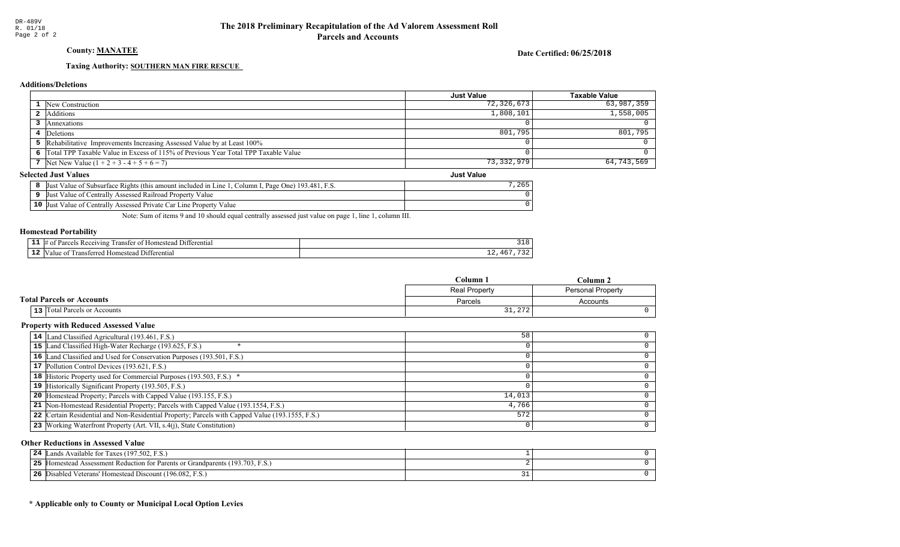## County: MANATEE

### Date Certified: 06/25/2018

## Taxing Authority: SOUTHERN MAN FIRE RESCUE

## **Additions/Deletions**

|                                                                                      | <b>Just Value</b> | Taxable Value |
|--------------------------------------------------------------------------------------|-------------------|---------------|
| 1 New Construction                                                                   | 72,326,673        | 63,987,359    |
| 2 Additions                                                                          | 1,808,101         | 1,558,005     |
| Annexations                                                                          |                   |               |
| Deletions                                                                            | 801,795           | 801,795       |
| 5 Rehabilitative Improvements Increasing Assessed Value by at Least 100%             |                   |               |
| 6 Total TPP Taxable Value in Excess of 115% of Previous Year Total TPP Taxable Value |                   |               |
| 7 Net New Value $(1 + 2 + 3 - 4 + 5 + 6 = 7)$                                        | 73,332,979        | 64,743,569    |
| lected Just Values<br><b>Just Value</b>                                              |                   |               |

### **Selected Just Values**

| Just Value of Subsurface Rights (this amount included in Line 1, Column I, Page One) 193.481, F.S. |  |
|----------------------------------------------------------------------------------------------------|--|
| Just Value of Centrally Assessed Railroad Property Value                                           |  |
| <b>10</b> Just Value of Centrally Assessed Private Car Line Property Value                         |  |

Note: Sum of items 9 and 10 should equal centrally assessed just value on page 1, line 1, column III.

### Homestead Portability

| - -<br>. . | *terentia.<br>71 n o<br>япет<br>иπ |                |
|------------|------------------------------------|----------------|
| - 4        | entia.<br>-111<br>ш                | <b>__</b><br>- |

|                                  | Column-              | 'Jolumn'.                |  |
|----------------------------------|----------------------|--------------------------|--|
|                                  | <b>Real Property</b> | <b>Personal Property</b> |  |
| <b>Total Parcels or Accounts</b> | Parcels              | Accounts                 |  |
| 13 Total Parcels or Accounts     | 31,272               |                          |  |

### Property with Reduced Assessed Value

| 14 Land Classified Agricultural (193.461, F.S.)                                   |                                                                                                 | 58     |  |
|-----------------------------------------------------------------------------------|-------------------------------------------------------------------------------------------------|--------|--|
| 15 Land Classified High-Water Recharge (193.625, F.S.)                            |                                                                                                 |        |  |
| 16 Land Classified and Used for Conservation Purposes (193.501, F.S.)             |                                                                                                 |        |  |
| 17 Pollution Control Devices (193.621, F.S.)                                      |                                                                                                 |        |  |
| 18 Historic Property used for Commercial Purposes (193.503, F.S.) *               |                                                                                                 |        |  |
| 19 Historically Significant Property (193.505, F.S.)                              |                                                                                                 |        |  |
| <b>20</b> Homestead Property; Parcels with Capped Value (193.155, F.S.)           |                                                                                                 | 14,013 |  |
| 21 Non-Homestead Residential Property; Parcels with Capped Value (193.1554, F.S.) |                                                                                                 | 4,766  |  |
|                                                                                   | 22 Certain Residential and Non-Residential Property; Parcels with Capped Value (193.1555, F.S.) | 572    |  |
| 23 Working Waterfront Property (Art. VII, s.4(j), State Constitution)             |                                                                                                 |        |  |
|                                                                                   |                                                                                                 |        |  |

### Other Reductions in Assessed Value

| 24 | Lands Available for Taxes (197.502, F.S.)                                     |  |
|----|-------------------------------------------------------------------------------|--|
|    | 25 Homestead Assessment Reduction for Parents or Grandparents (193.703, F.S.) |  |
|    | 26 Disabled Veterans' Homestead Discount (196.082, F.S.)                      |  |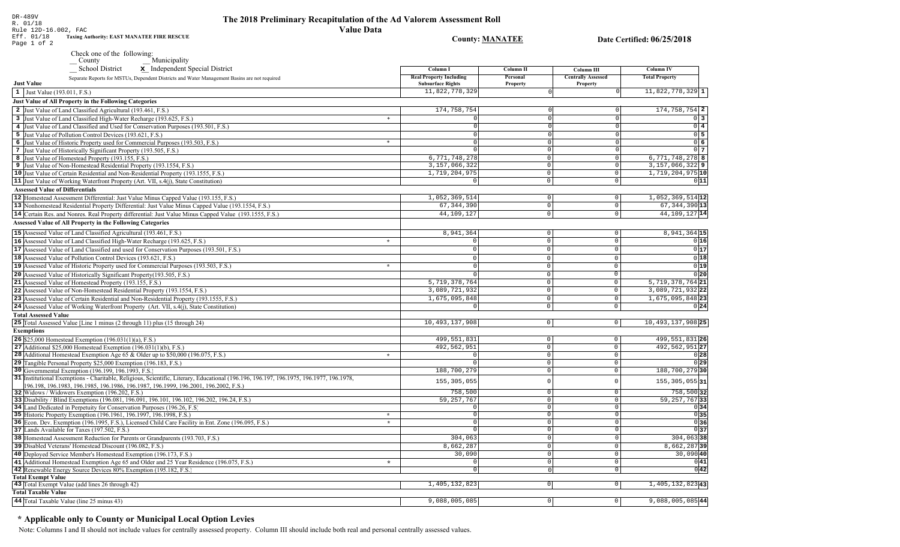County: **MANATEE** 

Date Certified: 06/25/2018

DR-489V R. 01/18 Rule 12D-16.002, FAC Eff. 01/18 Page 1 of 2 Taxing Authority: EAST MANATEE FIRE RESCUE

Check one of the following:

County<br>
School District<br> **x** Independent Speci

|                             | School District<br>x Independent Special District                                                                                                                                                                          |         | Column I                                                   | Column II            | Column III                            | Column IV                     |
|-----------------------------|----------------------------------------------------------------------------------------------------------------------------------------------------------------------------------------------------------------------------|---------|------------------------------------------------------------|----------------------|---------------------------------------|-------------------------------|
| <b>Just Value</b>           | Separate Reports for MSTUs, Dependent Districts and Water Management Basins are not required                                                                                                                               |         | <b>Real Property Including</b><br><b>Subsurface Rights</b> | Personal<br>Property | <b>Centrally Assessed</b><br>Property | <b>Total Property</b>         |
|                             | 1 Just Value (193.011, F.S.)                                                                                                                                                                                               |         | 11,822,778,329                                             |                      |                                       | $11,822,778,329$ 1            |
|                             | Just Value of All Property in the Following Categories                                                                                                                                                                     |         |                                                            |                      |                                       |                               |
|                             | 2 Just Value of Land Classified Agricultural (193.461, F.S.)                                                                                                                                                               |         | 174,758,754                                                |                      |                                       | $174, 758, 754$ 2             |
|                             | 3 Just Value of Land Classified High-Water Recharge (193.625, F.S.)                                                                                                                                                        | $\ast$  |                                                            | $\cap$               |                                       | $0\overline{3}$               |
|                             | 4 Just Value of Land Classified and Used for Conservation Purposes (193.501, F.S.)                                                                                                                                         |         | $\Omega$                                                   | $\Omega$             |                                       | $0$ 4                         |
|                             | 5 Just Value of Pollution Control Devices (193.621, F.S.)                                                                                                                                                                  |         | $\Omega$                                                   | $\Omega$             |                                       | $0\overline{5}$               |
|                             | 6 Just Value of Historic Property used for Commercial Purposes (193.503, F.S.)                                                                                                                                             | $\ast$  | $\Omega$                                                   | $\Omega$             | $\cap$                                | 06                            |
|                             | 7 Just Value of Historically Significant Property (193.505, F.S.)                                                                                                                                                          |         | $\Omega$                                                   | $\Omega$             | $\Omega$                              | $\overline{0}$   7            |
|                             | 8 Just Value of Homestead Property (193.155, F.S.)                                                                                                                                                                         |         | 6,771,748,278                                              | $\Omega$             | $\Omega$                              | 6, 771, 748, 278 8            |
|                             | 9 Just Value of Non-Homestead Residential Property (193.1554, F.S.)                                                                                                                                                        |         | 3,157,066,322                                              | 0                    | $\overline{0}$                        | $3,157,066,322$ 9             |
|                             | 10 Just Value of Certain Residential and Non-Residential Property (193.1555, F.S.)                                                                                                                                         |         | 1,719,204,975                                              | 0                    | $\mathbb O$                           | 1,719,204,975 10              |
|                             | 11 Just Value of Working Waterfront Property (Art. VII, s.4(j), State Constitution)                                                                                                                                        |         | $\Omega$                                                   | $\mathbf 0$          | $\mathbf 0$                           | 0 11                          |
|                             | <b>Assessed Value of Differentials</b>                                                                                                                                                                                     |         |                                                            |                      |                                       |                               |
|                             | 12 Homestead Assessment Differential: Just Value Minus Capped Value (193.155, F.S.)                                                                                                                                        |         | 1,052,369,514                                              | 0                    | $\,0\,$                               | $1,052,369,514$ <sup>12</sup> |
|                             | 13 Nonhomestead Residential Property Differential: Just Value Minus Capped Value (193.1554, F.S.)                                                                                                                          |         | 67, 344, 390                                               | 0                    | $\overline{0}$                        | $67, 344, 390$ 13             |
|                             | 14 Certain Res. and Nonres. Real Property differential: Just Value Minus Capped Value (193.1555, F.S.)                                                                                                                     |         | 44,109,127                                                 | 0                    | $\mathbb O$                           | 44, 109, 127 14               |
|                             | <b>Assessed Value of All Property in the Following Categories</b>                                                                                                                                                          |         |                                                            |                      |                                       |                               |
|                             |                                                                                                                                                                                                                            |         |                                                            |                      |                                       |                               |
|                             | 15 Assessed Value of Land Classified Agricultural (193.461, F.S.)                                                                                                                                                          |         | 8,941,364                                                  | 0                    | $\overline{0}$                        | 8,941,364 15                  |
|                             | 16 Assessed Value of Land Classified High-Water Recharge (193.625, F.S.)                                                                                                                                                   | $\star$ | $\Omega$                                                   | $\Omega$             | $\Omega$                              | 016                           |
|                             | 17 Assessed Value of Land Classified and used for Conservation Purposes (193.501, F.S.)                                                                                                                                    |         | 0                                                          | $\mathbf{0}$         | $\mathbb O$                           | 0 17                          |
|                             | 18 Assessed Value of Pollution Control Devices (193.621, F.S.)                                                                                                                                                             |         | $\overline{0}$                                             | $\mathbf{0}$         | $\Omega$                              | $\overline{0 18}$             |
|                             | 19 Assessed Value of Historic Property used for Commercial Purposes (193.503, F.S.)                                                                                                                                        | $\star$ | $\mathbf 0$                                                | $\Omega$             | $\Omega$                              | 0 19                          |
|                             | 20 Assessed Value of Historically Significant Property (193.505, F.S.)                                                                                                                                                     |         | $\Omega$                                                   | $\Omega$             | $\overline{0}$                        | 0 20                          |
|                             | 21 Assessed Value of Homestead Property (193.155, F.S.)                                                                                                                                                                    |         | 5,719,378,764                                              | $\Omega$             | $\mathbf 0$                           | 5, 719, 378, 764 21           |
|                             | 22 Assessed Value of Non-Homestead Residential Property (193.1554, F.S.)                                                                                                                                                   |         | 3,089,721,932                                              | $\mathbb O$          | $\mathbb O$                           | 3,089,721,932 22              |
|                             | 23 Assessed Value of Certain Residential and Non-Residential Property (193.1555, F.S.)                                                                                                                                     |         | 1,675,095,848                                              | $\Omega$             | $\mathbb O$                           | 1,675,095,848 23              |
|                             | 24 Assessed Value of Working Waterfront Property (Art. VII, s.4(j), State Constitution)                                                                                                                                    |         |                                                            | $\circ$              | $\mathsf 0$                           | 0 24                          |
| <b>Total Assessed Value</b> |                                                                                                                                                                                                                            |         |                                                            |                      |                                       |                               |
|                             | 25 Total Assessed Value [Line 1 minus (2 through 11) plus (15 through 24)                                                                                                                                                  |         | 10,493,137,908                                             | 0                    | 0                                     | 10, 493, 137, 908 25          |
| <b>Exemptions</b>           |                                                                                                                                                                                                                            |         |                                                            |                      |                                       |                               |
|                             | 26 \$25,000 Homestead Exemption (196.031(1)(a), F.S.)                                                                                                                                                                      |         | 499, 551, 831                                              | $\mathbf{0}$         | $\mathsf 0$                           | 499, 551, 831 26              |
|                             | 27 Additional $$25,000$ Homestead Exemption (196.031(1)(b), F.S.)                                                                                                                                                          |         | 492, 562, 951                                              | $\overline{0}$       | $\overline{0}$                        | 492, 562, 951 27              |
|                             | 28 Additional Homestead Exemption Age 65 & Older up to \$50,000 (196.075, F.S.)                                                                                                                                            | $\star$ | $\Omega$                                                   | $\mathbf 0$          | $\mathsf 0$                           | 0 28                          |
|                             | 29 Tangible Personal Property \$25,000 Exemption (196.183, F.S.)                                                                                                                                                           |         | $\Omega$                                                   | $\Omega$             | $\mathsf 0$                           | 0 29                          |
|                             | 30 Governmental Exemption (196.199, 196.1993, F.S.)                                                                                                                                                                        |         | 188,700,279                                                | $\Omega$             | $\mathsf 0$                           | 188,700,279 30                |
|                             | 31 Institutional Exemptions - Charitable, Religious, Scientific, Literary, Educational (196.196.197, 196.1975, 196.1977, 196.1978,<br>196.198, 196.1983, 196.1985, 196.1986, 196.1987, 196.1999, 196.2001, 196.2002, F.S.) |         | 155, 305, 055                                              |                      | $\Omega$                              | $155, 305, 055$  31           |
|                             | 32 Widows / Widowers Exemption (196.202, F.S.)                                                                                                                                                                             |         | 758,500                                                    | $\Omega$             | $\mathbb O$                           | 758,500 32                    |
|                             | 33 Disability / Blind Exemptions (196.081, 196.091, 196.101, 196.102, 196.202, 196.24, F.S.)                                                                                                                               |         | 59, 257, 767                                               | $\Omega$             | $\mathbb O$                           | 59, 257, 767 33               |
|                             | 34 Land Dedicated in Perpetuity for Conservation Purposes (196.26, F.S.)                                                                                                                                                   |         | $\Omega$                                                   | $\Omega$             | $\mathbf 0$                           | 0 34                          |
|                             | 35 Historic Property Exemption (196.1961, 196.1997, 196.1998, F.S.)                                                                                                                                                        | $\star$ | $\Omega$                                                   | $\Omega$             | $\mathsf 0$                           | 0 35                          |
|                             | 36 Econ. Dev. Exemption (196.1995, F.S.), Licensed Child Care Facility in Ent. Zone (196.095, F.S.)                                                                                                                        | $\star$ | $\Omega$                                                   | $\Omega$             | $\mathbb O$                           | 0 36                          |
|                             | 37 Lands Available for Taxes (197.502, F.S.)                                                                                                                                                                               |         | $\Omega$                                                   | $\Omega$             | $\Omega$                              | 0 37                          |
|                             | 38 Homestead Assessment Reduction for Parents or Grandparents (193.703, F.S.)                                                                                                                                              |         | 304,063                                                    | $\Omega$             | $\overline{0}$                        | $304,063$ 38                  |
|                             | 39 Disabled Veterans' Homestead Discount (196.082, F.S.)                                                                                                                                                                   |         | 8,662,287                                                  | $\Omega$             | $\mathsf 0$                           | $8,662,287$ 39                |
|                             | 40 Deployed Service Member's Homestead Exemption (196.173, F.S.)                                                                                                                                                           |         | 30,090                                                     | $\Omega$             | $\mathsf 0$                           | 30,090 40                     |
|                             | 41 Additional Homestead Exemption Age 65 and Older and 25 Year Residence (196.075, F.S.)                                                                                                                                   | $\star$ | $\Omega$                                                   | $\Omega$             | $\mathsf 0$                           | 0 41                          |
|                             | 42 Renewable Energy Source Devices 80% Exemption (195.182, F.S.)                                                                                                                                                           |         | $\overline{0}$                                             | $\Omega$             | $\overline{o}$                        | $0\overline{42}$              |
| <b>Total Exempt Value</b>   |                                                                                                                                                                                                                            |         |                                                            |                      |                                       |                               |
|                             | 43 Total Exempt Value (add lines 26 through 42)                                                                                                                                                                            |         | 1,405,132,823                                              | $\circ$              | $\circ$                               | 1,405,132,82343               |
| <b>Total Taxable Value</b>  |                                                                                                                                                                                                                            |         |                                                            |                      |                                       |                               |
|                             | 44 Total Taxable Value (line 25 minus 43)                                                                                                                                                                                  |         | 9,088,005,085                                              | $\Omega$             | $\mathsf{O}\xspace$                   | 9,088,005,085 44              |

## \* Applicable only to County or Municipal Local Option Levies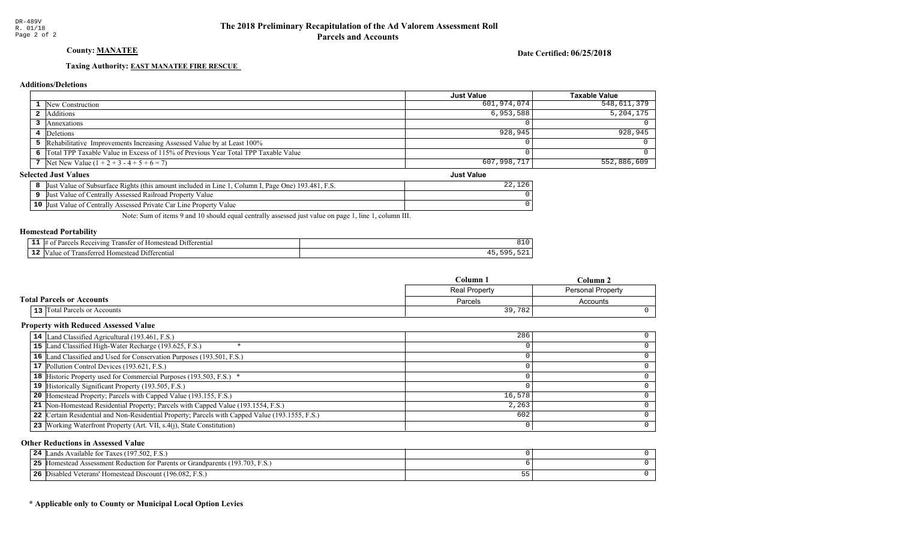## County: MANATEE

### Date Certified: 06/25/2018

Just Value

## Taxing Authority: **EAST MANATEE FIRE RESCUE**

## **Additions/Deletions**

| 548,611,379 |
|-------------|
| 5, 204, 175 |
|             |
| 928,945     |
|             |
|             |
| 552,886,609 |
|             |

## **Selected Just Values**

| If Value of Subsurface Rights (this amount included in Line 1<br>Page One) $193.481$ , F.S.<br>Column I<br> Just |  |
|------------------------------------------------------------------------------------------------------------------|--|
| t Value of Centrally Assessed Railroad Property Value<br>Just.                                                   |  |
| $10$ Just<br>t Value of Centrally Assessed Private Car Line Property Value                                       |  |

Note: Sum of items 9 and 10 should equal centrally assessed just value on page 1, line 1, column III.

### Homestead Portability

| - -<br>. . | *ferentia<br>71 n o<br>япет<br>иπ |  |
|------------|-----------------------------------|--|
| --         | entia.<br>-111<br>ш               |  |

|                                  | $C$ olumn.<br>``olumn . |                          |
|----------------------------------|-------------------------|--------------------------|
|                                  | Real Property           | <b>Personal Property</b> |
| <b>Total Parcels or Accounts</b> | Parcels                 | Accounts                 |
| 13 Total Parcels or Accounts     | 39,782                  |                          |

### Property with Reduced Assessed Value

| 14 Land Classified Agricultural (193.461, F.S.)                                                 | 286    |  |
|-------------------------------------------------------------------------------------------------|--------|--|
| 15 Land Classified High-Water Recharge (193.625, F.S.)                                          |        |  |
| 16 Land Classified and Used for Conservation Purposes (193.501, F.S.)                           |        |  |
| 17 Pollution Control Devices (193.621, F.S.)                                                    |        |  |
| 18 Historic Property used for Commercial Purposes (193.503, F.S.) *                             |        |  |
| 19 Historically Significant Property (193.505, F.S.)                                            |        |  |
| 20 Homestead Property; Parcels with Capped Value (193.155, F.S.)                                | 16,578 |  |
| 21 Non-Homestead Residential Property; Parcels with Capped Value (193.1554, F.S.)               | 2,263  |  |
| 22 Certain Residential and Non-Residential Property; Parcels with Capped Value (193.1555, F.S.) | 602    |  |
| 23 Working Waterfront Property (Art. VII, s.4(j), State Constitution)                           |        |  |
|                                                                                                 |        |  |

### Other Reductions in Assessed Value

| Lands Available for Taxes (197.502, F.S.)<br>24             |  |
|-------------------------------------------------------------|--|
| 25<br>Figure 193.703, F.S.                                  |  |
| 26<br>Disabled Veterans' Homestead Discount (196.082, F.S.) |  |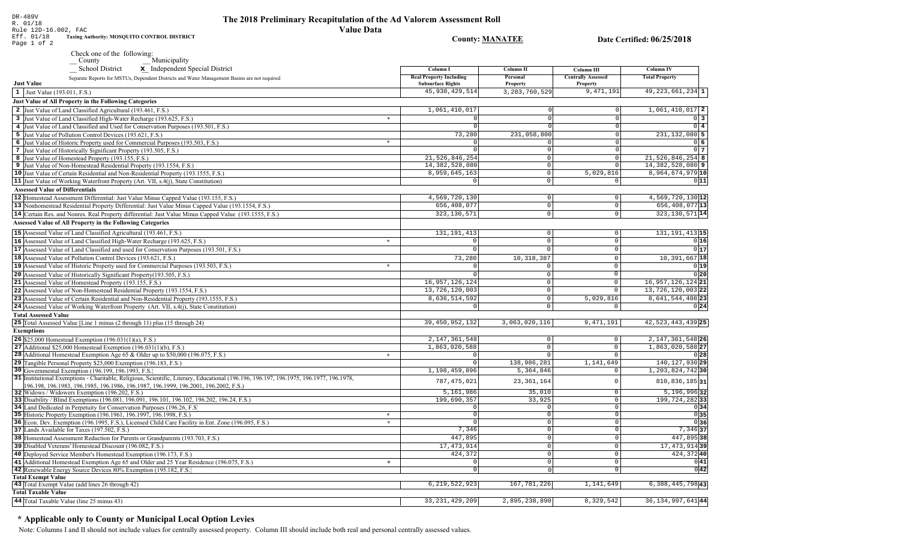## The 2018 Preliminary Recapitulation of the Ad Valorem Assessment Roll **Value Data**

**County: MANATEE** 

Date Certified: 06/25/2018

Rule 12D-16.002, FAC<br>Eff. 01/18 Taxing Aur<br>Page 1 of 2 Taxing Authority: MOSQUITO CONTROL DISTRICT

DR-489V<br>R. 01/18

Check one of the following:<br>  $-\frac{\text{Country}}{\text{School District}}$   $\frac{\text{Municipality}}{\text{x}}$  Independent Special District

| $\mathbf x$ independent special District                                                                                           |         | Column 1                                                   | Column 11            | Column III                            | Column 1V                     |
|------------------------------------------------------------------------------------------------------------------------------------|---------|------------------------------------------------------------|----------------------|---------------------------------------|-------------------------------|
| Separate Reports for MSTUs, Dependent Districts and Water Management Basins are not required<br><b>Just Value</b>                  |         | <b>Real Property Including</b><br><b>Subsurface Rights</b> | Personal<br>Property | <b>Centrally Assessed</b><br>Property | <b>Total Property</b>         |
| 1 Just Value (193.011, F.S.)                                                                                                       |         | 45, 930, 429, 514                                          | 3, 283, 760, 529     | 9,471,191                             | $49, 223, 661, 234$ 1         |
| <b>Just Value of All Property in the Following Categories</b>                                                                      |         |                                                            |                      |                                       |                               |
| 2 Just Value of Land Classified Agricultural (193.461, F.S.)                                                                       |         | 1,061,410,017                                              |                      | $\mathbf 0$                           | $1,061,410,017$ 2             |
| 3 Just Value of Land Classified High-Water Recharge (193.625, F.S.)                                                                | $\ast$  |                                                            |                      | $\Omega$                              | $0\vert 3 \vert$              |
| 4 Just Value of Land Classified and Used for Conservation Purposes (193.501, F.S.)                                                 |         |                                                            |                      | $\Omega$                              | $0\sqrt{4}$                   |
| 5 Just Value of Pollution Control Devices (193.621, F.S.)                                                                          |         | 73,280                                                     | 231,058,800          | $\Omega$                              | $231, 132, 080$ 5             |
| 6 Just Value of Historic Property used for Commercial Purposes (193.503, F.S.)                                                     | $\ast$  |                                                            |                      | $\overline{0}$                        | 0 6                           |
| 7 Just Value of Historically Significant Property (193.505, F.S.)                                                                  |         |                                                            | $\cap$               | $\mathsf 0$                           | $0\vert 7$                    |
| 8 Just Value of Homestead Property (193.155, F.S.)                                                                                 |         | 21,526,846,254                                             | $\Omega$             | $\overline{0}$                        | $21,526,846,254$ 8            |
| 9 Just Value of Non-Homestead Residential Property (193.1554, F.S.)                                                                |         | 14, 382, 528, 080                                          | $\overline{0}$       | $\mathbf 0$                           | $14,382,528,080$ 9            |
| 10 Just Value of Certain Residential and Non-Residential Property (193.1555, F.S.)                                                 |         | 8,959,645,163                                              | $\circ$              | 5,029,816                             | $8,964,674,979$ <sup>10</sup> |
| 11 Just Value of Working Waterfront Property (Art. VII, s.4(j), State Constitution)                                                |         | $\Omega$                                                   | $\Omega$             | $\mathbf 0$                           | 0 11                          |
| <b>Assessed Value of Differentials</b>                                                                                             |         |                                                            |                      |                                       |                               |
| 12 Homestead Assessment Differential: Just Value Minus Capped Value (193.155, F.S.)                                                |         | 4,569,720,130                                              | 0                    | $\mathbf 0$                           | $4,569,720,130$ <sup>12</sup> |
| 13 Nonhomestead Residential Property Differential: Just Value Minus Capped Value (193.1554, F.S.)                                  |         | 656,408,077                                                | 0                    | $\mathbb O$                           | 656,408,077 13                |
|                                                                                                                                    |         | 323, 130, 571                                              | $\circ$              | $\mathbb O$                           | 323, 130, 571 14              |
| 14 Certain Res. and Nonres. Real Property differential: Just Value Minus Capped Value (193.1555, F.S.)                             |         |                                                            |                      |                                       |                               |
| <b>Assessed Value of All Property in the Following Categories</b>                                                                  |         |                                                            |                      |                                       |                               |
| 15 Assessed Value of Land Classified Agricultural (193.461, F.S.)                                                                  |         | 131, 191, 413                                              | $\circ$              | $\mathsf{O}\xspace$                   | 131, 191, 413 15              |
| 16 Assessed Value of Land Classified High-Water Recharge (193.625, F.S.)                                                           | $\star$ | $\Omega$                                                   | $\circ$              | $\overline{0}$                        | 0 16                          |
| 17 Assessed Value of Land Classified and used for Conservation Purposes (193.501, F.S.)                                            |         | $\mathbf 0$                                                | $\circ$              | $\mathbb O$                           | 0 17                          |
| 18 Assessed Value of Pollution Control Devices (193.621, F.S.)                                                                     |         | 73,280                                                     | 10, 318, 387         | $\overline{0}$                        | $10,391,667$ 18               |
| 19 Assessed Value of Historic Property used for Commercial Purposes (193.503, F.S.)                                                | $\star$ | $\Omega$                                                   | $\mathbf 0$          | $\mathbb O$                           | 0 19                          |
| 20 Assessed Value of Historically Significant Property (193.505, F.S.)                                                             |         |                                                            | $\mathbf 0$          | $\overline{0}$                        | 0 20                          |
| 21 Assessed Value of Homestead Property (193.155, F.S.)                                                                            |         | 16, 957, 126, 124                                          | $\mathbf 0$          | $\mathbf 0$                           | 16, 957, 126, 124 21          |
| 22 Assessed Value of Non-Homestead Residential Property (193.1554, F.S.)                                                           |         | 13,726,120,003                                             | $\circ$              | $\overline{0}$                        | 13, 726, 120, 003 22          |
| 23 Assessed Value of Certain Residential and Non-Residential Property (193.1555, F.S.)                                             |         | 8,636,514,592                                              | $\circ$              | 5,029,816                             | 8,641,544,408 23              |
| 24 Assessed Value of Working Waterfront Property (Art. VII, s.4(j), State Constitution)                                            |         |                                                            |                      | 0                                     | 0 24                          |
| <b>Total Assessed Value</b>                                                                                                        |         |                                                            |                      |                                       |                               |
| 25 Total Assessed Value [Line 1 minus (2 through 11) plus (15 through 24)                                                          |         | 39,450,952,132                                             | 3,063,020,116        | 9,471,191                             | 42, 523, 443, 439 25          |
| <b>Exemptions</b>                                                                                                                  |         |                                                            |                      |                                       |                               |
| <b>26</b> \$25,000 Homestead Exemption $(196.031(1)(a), F.S.)$                                                                     |         | 2, 147, 361, 548                                           | 0                    | $\mathbb O$                           | 2, 147, 361, 548 26           |
| 27 Additional \$25,000 Homestead Exemption $(196.031(1)(b), F.S.)$                                                                 |         | 1,863,020,588                                              | $\circ$              | $\mathsf{O}\xspace$                   | 1,863,020,588 27              |
| <b>28</b> Additional Homestead Exemption Age 65 & Older up to \$50,000 (196.075, F.S.)                                             | $\star$ | $\Omega$                                                   | $\circ$              | $\mathsf{O}$                          | 0 28                          |
| 29 Tangible Personal Property \$25,000 Exemption (196.183, F.S.)                                                                   |         | $\Omega$                                                   | 138,986,281          | 1,141,649                             | 140, 127, 930 29              |
| 30 Governmental Exemption (196.199, 196.1993, F.S.)                                                                                |         | 1,198,459,896                                              | 5,364,846            | $\mathbf 0$                           | 1, 203, 824, 742 30           |
| 31 Institutional Exemptions - Charitable, Religious, Scientific, Literary, Educational (196.196.197, 196.1975, 196.1977, 196.1978, |         |                                                            |                      |                                       |                               |
| 196.198, 196.1983, 196.1985, 196.1986, 196.1987, 196.1999, 196.2001, 196.2002, F.S.)                                               |         | 787, 475, 021                                              | 23, 361, 164         | $\mathbf 0$                           | $810, 836, 185$  31           |
| 32 Widows / Widowers Exemption (196.202, F.S.)                                                                                     |         | 5,161,986                                                  | 35,010               | $\mathbb O$                           | $5,196,996$ 32                |
| 33 Disability / Blind Exemptions (196.081, 196.091, 196.101, 196.102, 196.202, 196.24, F.S.)                                       |         | 199,690,357                                                | 33,925               | $\mathbb O$                           | $\overline{199}$ , 724, 28233 |
| 34 Land Dedicated in Perpetuity for Conservation Purposes (196.26, F.S.)                                                           |         | $\Omega$                                                   | $\Omega$             | $\mathbf 0$                           | 0 34                          |
| 35 Historic Property Exemption (196.1961, 196.1997, 196.1998, F.S.)                                                                | $\star$ | $\Omega$                                                   | 0                    | $\mathbb O$                           | 0 35                          |
| 36 Econ. Dev. Exemption (196.1995, F.S.), Licensed Child Care Facility in Ent. Zone (196.095, F.S.)                                | $\star$ | $\Omega$                                                   | $\overline{0}$       | $\mathbf 0$                           | 036                           |
| 37 Lands Available for Taxes (197.502, F.S.)                                                                                       |         | 7,346                                                      | $\circ$              | $\mathbf 0$                           | $7,346$ 37                    |
| 38 Homestead Assessment Reduction for Parents or Grandparents (193.703, F.S.)                                                      |         | 447,895                                                    | $\Omega$             | $\overline{0}$                        | 447,895 38                    |
| 39 Disabled Veterans' Homestead Discount (196.082, F.S.)                                                                           |         | 17, 473, 914                                               | $\overline{0}$       | $\mathsf{O}\xspace$                   | 17, 473, 914 39               |
| 40 Deployed Service Member's Homestead Exemption (196.173, F.S.)                                                                   |         | 424,372                                                    | $\circ$              | $\circ$                               | 424,37240                     |
| 41 Additional Homestead Exemption Age 65 and Older and 25 Year Residence (196.075, F.S.)                                           | $\star$ | $\Omega$                                                   | $\Omega$             | $\overline{0}$                        | 0 41                          |
| 42 Renewable Energy Source Devices 80% Exemption (195.182, F.S.)                                                                   |         | $\Omega$                                                   | $\Omega$             | $\mathbf 0$                           | 0 42                          |
| <b>Total Exempt Value</b>                                                                                                          |         |                                                            |                      |                                       |                               |
| 43 Total Exempt Value (add lines 26 through 42)                                                                                    |         | 6, 219, 522, 923                                           | 167, 781, 226        | 1,141,649                             | 6, 388, 445, 798 43           |
| <b>Total Taxable Value</b>                                                                                                         |         |                                                            |                      |                                       |                               |
| 44 Total Taxable Value (line 25 minus 43)                                                                                          |         | 33, 231, 429, 209                                          | 2,895,238,890        | 8,329,542                             | 36, 134, 997, 641 44          |

# \* Applicable only to County or Municipal Local Option Levies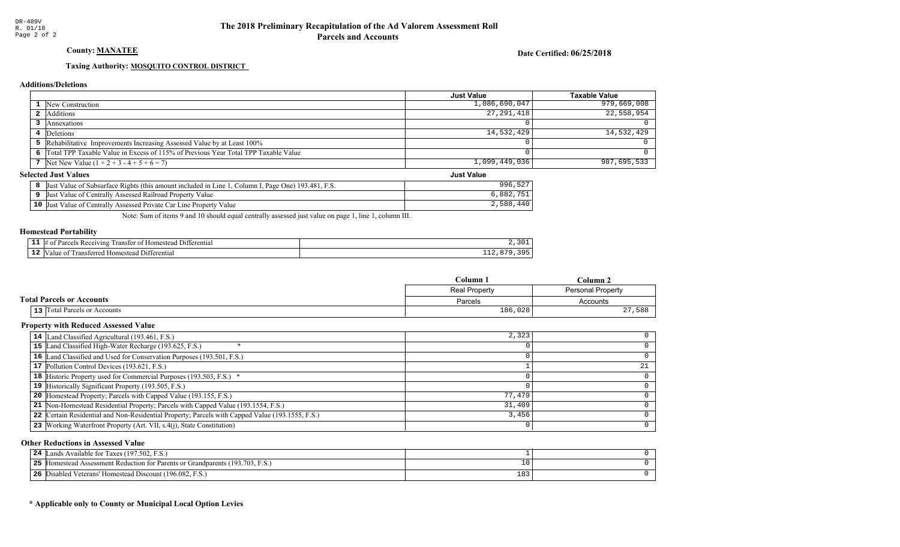## County: **MANATEE**

### Date Certified: 06/25/2018

Just Value

## Taxing Authority: **MOSQUITO CONTROL DISTRICT**

## **Additions/Deletions**

|                                                                                      | Just Value    | Taxable Value |
|--------------------------------------------------------------------------------------|---------------|---------------|
| 1 New Construction                                                                   | 1,086,690,047 | 979,669,008   |
| 2 Additions                                                                          | 27, 291, 418  | 22,558,954    |
| 3 Annexations                                                                        |               |               |
| Deletions                                                                            | 14,532,429    | 14,532,429    |
| 5 Rehabilitative Improvements Increasing Assessed Value by at Least 100%             |               |               |
| 6 Total TPP Taxable Value in Excess of 115% of Previous Year Total TPP Taxable Value |               |               |
| 7 Net New Value $(1 + 2 + 3 - 4 + 5 + 6 = 7)$                                        | 1,099,449,036 | 987,695,533   |

## **Selected Just Values**

| Page One) 193.481.<br>Column I<br>Value of Subsurface Rights (this amount included in Line )<br>-Just | $-0n$<br>996<br>- 22 |
|-------------------------------------------------------------------------------------------------------|----------------------|
| Assessed Railroad Property Value<br>Value of Centrally<br>IJust                                       | 882                  |
| $10$ Just<br>Assessed Private Car Line Property<br>Value<br>Value of Centrally                        | 2,588                |

Note: Sum of items 9 and 10 should equal centrally assessed just value on page 1, line 1, column III.

### Homestead Portability

|     | 111<br>rerentia.<br>rar<br>0.00111<br>ınc<br>31 F |     |
|-----|---------------------------------------------------|-----|
| -44 | rerenti<br>rans<br>om<br>'tar<br>atan.<br>-11.    | --- |

|                                  | Column-              | . olumn                  |
|----------------------------------|----------------------|--------------------------|
|                                  | <b>Real Property</b> | <b>Personal Property</b> |
| <b>Total Parcels or Accounts</b> | Parcels              | Accounts                 |
| 13 Total Parcels or Accounts     | 186,028              | 588<br>27                |

### Property with Reduced Assessed Value

| 14 Land Classified Agricultural (193.461, F.S.)                                                 | 2,323  |  |
|-------------------------------------------------------------------------------------------------|--------|--|
| 15 Land Classified High-Water Recharge (193.625, F.S.)                                          |        |  |
| 16 Land Classified and Used for Conservation Purposes (193.501, F.S.)                           |        |  |
| 17 Pollution Control Devices (193.621, F.S.)                                                    |        |  |
| 18 Historic Property used for Commercial Purposes (193.503, F.S.) *                             |        |  |
| 19 Historically Significant Property (193.505, F.S.)                                            |        |  |
| <b>20</b> Homestead Property; Parcels with Capped Value (193.155, F.S.)                         | 77,479 |  |
| 21 Non-Homestead Residential Property; Parcels with Capped Value (193.1554, F.S.)               | 31,409 |  |
| 22 Certain Residential and Non-Residential Property; Parcels with Capped Value (193.1555, F.S.) | 3,456  |  |
| 23 Working Waterfront Property (Art. VII, s.4(j), State Constitution)                           |        |  |

### Other Reductions in Assessed Value

| 24   Lands Available for Taxes $(197.502, F.S.)$                                  |            |  |
|-----------------------------------------------------------------------------------|------------|--|
| 25<br>[Homestead Assessment Reduction for Parents or Grandparents (193.703, F.S.) |            |  |
| 26 Disabled Veterans' Homestead Discount (196.082, F.S.)                          | າດາ<br>183 |  |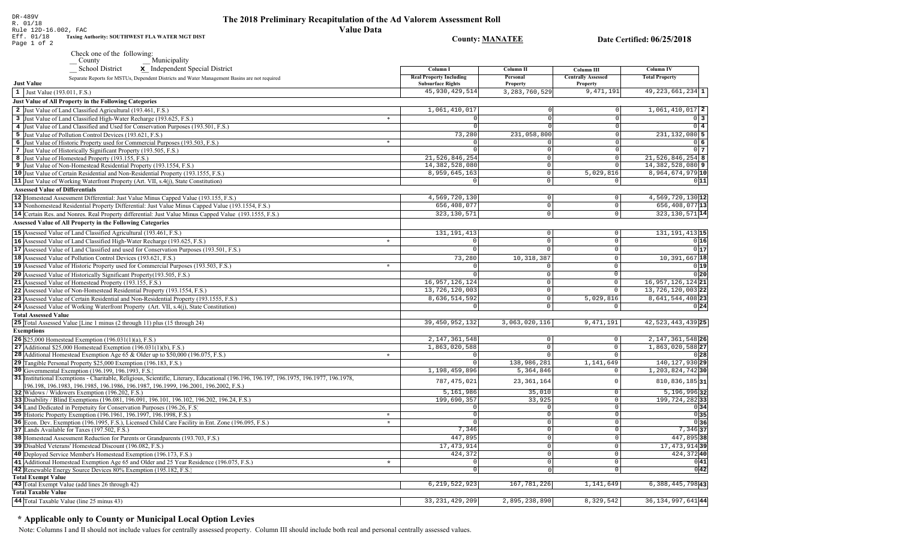## The 2018 Preliminary Recapitulation of the Ad Valorem Assessment Roll **Value Data**

**County: MANATEE** 

Date Certified: 06/25/2018

Rule 12D-16.002, FAC Eff. 01/18<br>Page 1 of 2 Taxing Authority: SOUTHWEST FLA WATER MGT DIST

DR-489V<br>R. 01/18

 $\overline{\mathbf{S}}$  School District  $\overline{\mathbf{x}}$  Independent Special District

| <b>School District</b><br>x Independent Special District                                                                                                                                                                        |         | Column I                                                   | Column II            | <b>Column III</b>                     | Column IV             |
|---------------------------------------------------------------------------------------------------------------------------------------------------------------------------------------------------------------------------------|---------|------------------------------------------------------------|----------------------|---------------------------------------|-----------------------|
| Separate Reports for MSTUs, Dependent Districts and Water Management Basins are not required<br><b>Just Value</b>                                                                                                               |         | <b>Real Property Including</b><br><b>Subsurface Rights</b> | Personal<br>Property | <b>Centrally Assessed</b><br>Property | <b>Total Property</b> |
| 1 Just Value (193.011, F.S.)                                                                                                                                                                                                    |         | 45, 930, 429, 514                                          | 3, 283, 760, 529     | 9,471,191                             | $49, 223, 661, 234$ 1 |
| <b>Just Value of All Property in the Following Categories</b>                                                                                                                                                                   |         |                                                            |                      |                                       |                       |
| 2 Just Value of Land Classified Agricultural (193.461, F.S.)                                                                                                                                                                    |         | 1,061,410,017                                              |                      | $\Omega$                              | $1,061,410,017$ 2     |
| 3 Just Value of Land Classified High-Water Recharge (193.625, F.S.)                                                                                                                                                             | $\ast$  |                                                            | $\Omega$             | $\Omega$                              | 0 3                   |
| 4 Just Value of Land Classified and Used for Conservation Purposes (193.501, F.S.)                                                                                                                                              |         | $\Omega$                                                   |                      | $\Omega$                              | $0\vert 4$            |
| 5 Just Value of Pollution Control Devices (193.621, F.S.)                                                                                                                                                                       |         | 73,280                                                     | 231,058,800          | $\Omega$                              | $231, 132, 080$ 5     |
| 6 Just Value of Historic Property used for Commercial Purposes (193.503, F.S.)                                                                                                                                                  | $\ast$  | $\Omega$                                                   |                      | $\Omega$                              | 0 6                   |
| 7 Just Value of Historically Significant Property (193.505, F.S.)                                                                                                                                                               |         | $\Omega$                                                   | $\Omega$             | $\Omega$                              | 0 <sub>1</sub>        |
| 8 Just Value of Homestead Property (193.155, F.S.)                                                                                                                                                                              |         | 21,526,846,254                                             | $\Omega$             | $\mathbb O$                           | $21,526,846,254$ 8    |
| 9 Just Value of Non-Homestead Residential Property (193.1554, F.S.)                                                                                                                                                             |         | 14, 382, 528, 080                                          | $\circ$              | $\mathbf 0$                           | $14,382,528,080$ 9    |
| 10 Just Value of Certain Residential and Non-Residential Property (193.1555, F.S.)                                                                                                                                              |         | 8,959,645,163                                              | $\Omega$             | 5,029,816                             | 8,964,674,979 10      |
| 11 Just Value of Working Waterfront Property (Art. VII, s.4(j), State Constitution)                                                                                                                                             |         | $\circ$                                                    | 0                    | $\mathbf 0$                           | 0 11                  |
| <b>Assessed Value of Differentials</b>                                                                                                                                                                                          |         |                                                            |                      |                                       |                       |
| 12 Homestead Assessment Differential: Just Value Minus Capped Value (193.155, F.S.)                                                                                                                                             |         | 4,569,720,130                                              | $\mathbf 0$          | $\mathsf{O}\xspace$                   | 4,569,720,130 12      |
|                                                                                                                                                                                                                                 |         | 656, 408, 077                                              | $\overline{0}$       | $\mathbf 0$                           | 656, 408, 077 13      |
| 13 Nonhomestead Residential Property Differential: Just Value Minus Capped Value (193.1554, F.S.)                                                                                                                               |         | 323, 130, 571                                              | $\circ$              | $\mathbf 0$                           | $323, 130, 571$ 14    |
| 14 Certain Res. and Nonres. Real Property differential: Just Value Minus Capped Value (193.1555, F.S.)                                                                                                                          |         |                                                            |                      |                                       |                       |
| <b>Assessed Value of All Property in the Following Categories</b>                                                                                                                                                               |         |                                                            |                      |                                       |                       |
| 15 Assessed Value of Land Classified Agricultural (193.461, F.S.)                                                                                                                                                               |         | 131, 191, 413                                              | $\Omega$             | $\mathbf 0$                           | 131, 191, 413 15      |
| 16 Assessed Value of Land Classified High-Water Recharge (193.625, F.S.)                                                                                                                                                        | $\star$ | $\Omega$                                                   | $\circ$              | $\Omega$                              | 0 16                  |
| 17 Assessed Value of Land Classified and used for Conservation Purposes (193.501, F.S.)                                                                                                                                         |         | $\mathbf 0$                                                | $\Omega$             | $\mathsf{O}\xspace$                   | 0 17                  |
| 18 Assessed Value of Pollution Control Devices (193.621, F.S.)                                                                                                                                                                  |         | 73,280                                                     | 10, 318, 387         | $\overline{0}$                        | 10,391,667 18         |
| 19 Assessed Value of Historic Property used for Commercial Purposes (193.503, F.S.)                                                                                                                                             | $\star$ | $\Omega$                                                   | $\mathbf 0$          | $\mathbb O$                           | 0 19                  |
| 20 Assessed Value of Historically Significant Property (193.505, F.S.)                                                                                                                                                          |         | $\Omega$                                                   | $\circ$              | $\mathbf 0$                           | 0 20                  |
| 21 Assessed Value of Homestead Property (193.155, F.S.)                                                                                                                                                                         |         | 16,957,126,124                                             | $\circ$              | $\mathbf 0$                           | 16, 957, 126, 124 21  |
| 22 Assessed Value of Non-Homestead Residential Property (193.1554, F.S.)                                                                                                                                                        |         | 13,726,120,003                                             | $\circ$              | $\overline{0}$                        | 13, 726, 120, 003 22  |
| 23 Assessed Value of Certain Residential and Non-Residential Property (193.1555, F.S.)                                                                                                                                          |         | 8,636,514,592                                              | 0                    | 5,029,816                             | 8,641,544,408 23      |
| 24 Assessed Value of Working Waterfront Property (Art. VII, s.4(j), State Constitution)                                                                                                                                         |         | $\Omega$                                                   | $\Omega$             | $\Omega$                              | 0 24                  |
| <b>Total Assessed Value</b>                                                                                                                                                                                                     |         |                                                            |                      |                                       |                       |
| 25 Total Assessed Value [Line 1 minus (2 through 11) plus (15 through 24)                                                                                                                                                       |         | 39, 450, 952, 132                                          | 3,063,020,116        | 9,471,191                             | 42, 523, 443, 439 25  |
|                                                                                                                                                                                                                                 |         |                                                            |                      |                                       |                       |
| <b>Exemptions</b>                                                                                                                                                                                                               |         |                                                            |                      |                                       |                       |
| <b>26</b> \$25,000 Homestead Exemption $(196.031(1)(a), F.S.)$                                                                                                                                                                  |         | 2, 147, 361, 548                                           | $\circ$              | $\mathbb O$                           | 2, 147, 361, 548 26   |
| 27 Additional \$25,000 Homestead Exemption (196.031(1)(b), F.S.)                                                                                                                                                                |         | 1,863,020,588                                              | $\circ$<br>$\Omega$  | $\overline{0}$<br>$\Omega$            | 1,863,020,588 27      |
| 28 Additional Homestead Exemption Age 65 & Older up to \$50,000 (196.075, F.S.)                                                                                                                                                 | $\star$ | $\Omega$                                                   |                      |                                       | 0 28                  |
| 29 Tangible Personal Property \$25,000 Exemption (196.183, F.S.)                                                                                                                                                                |         | $\overline{0}$                                             | 138,986,281          | 1,141,649                             | 140, 127, 930 29      |
| 30 Governmental Exemption (196.199, 196.1993, F.S.)                                                                                                                                                                             |         | 1,198,459,896                                              | 5,364,846            | $\mathsf 0$                           | 1, 203, 824, 742 30   |
| 31 Institutional Exemptions - Charitable, Religious, Scientific, Literary, Educational (196.196, 196.197, 196.1975, 196.1977, 196.1978,<br>196.198, 196.1983, 196.1985, 196.1986, 196.1987, 196.1999, 196.2001, 196.2002, F.S.) |         | 787, 475, 021                                              | 23, 361, 164         | $\mathbf{0}$                          | $810, 836, 185$ 31    |
| 32 Widows / Widowers Exemption (196.202, F.S.)                                                                                                                                                                                  |         | 5,161,986                                                  | 35,010               | $\mathbb O$                           | 5,196,99632           |
| 33 Disability / Blind Exemptions (196.081, 196.091, 196.101, 196.102, 196.202, 196.24, F.S.)                                                                                                                                    |         | 199,690,357                                                | 33,925               | $\mathsf{O}\xspace$                   | 199, 724, 282 33      |
| 34 Land Dedicated in Perpetuity for Conservation Purposes (196.26, F.S.)                                                                                                                                                        |         | $\Omega$                                                   | $\Omega$             | $\mathbf 0$                           | 0 34                  |
| 35 Historic Property Exemption (196.1961, 196.1997, 196.1998, F.S.)                                                                                                                                                             | $\star$ | $\Omega$                                                   | $\Omega$             | $\mathbf 0$                           | 0 35                  |
| 36 Econ. Dev. Exemption (196.1995, F.S.), Licensed Child Care Facility in Ent. Zone (196.095, F.S.)                                                                                                                             | $\star$ | $\Omega$                                                   | $\Omega$             | $\mathbf 0$                           | 0 36                  |
| 37 Lands Available for Taxes (197.502, F.S.)                                                                                                                                                                                    |         | 7,346                                                      | 0                    | $\mathbf 0$                           | $7,346$ 37            |
| 38 Homestead Assessment Reduction for Parents or Grandparents (193.703, F.S.)                                                                                                                                                   |         | 447,895                                                    | $\Omega$             | $\overline{0}$                        | 447,895 38            |
| 39 Disabled Veterans' Homestead Discount (196.082, F.S.)                                                                                                                                                                        |         | 17, 473, 914                                               | $\Omega$             | $\mathsf{O}\xspace$                   | 17, 473, 914 39       |
| 40 Deployed Service Member's Homestead Exemption (196.173, F.S.)                                                                                                                                                                |         | 424,372                                                    | 0                    | $\mathsf{O}\xspace$                   | 424,37240             |
| 41 Additional Homestead Exemption Age 65 and Older and 25 Year Residence (196.075, F.S.)                                                                                                                                        | $\star$ |                                                            | $\Omega$             | $\mathsf{O}\xspace$                   | 0 41                  |
| 42 Renewable Energy Source Devices 80% Exemption (195.182, F.S.)                                                                                                                                                                |         | $\mathbf 0$                                                | $\Omega$             | $\mathbb O$                           | 0 42                  |
| <b>Total Exempt Value</b>                                                                                                                                                                                                       |         |                                                            |                      |                                       |                       |
| 43 Total Exempt Value (add lines 26 through 42)                                                                                                                                                                                 |         | 6, 219, 522, 923                                           | 167, 781, 226        | 1,141,649                             | 6, 388, 445, 798 43   |
| <b>Total Taxable Value</b>                                                                                                                                                                                                      |         |                                                            |                      |                                       |                       |
| 44 Total Taxable Value (line 25 minus 43)                                                                                                                                                                                       |         | 33, 231, 429, 209                                          | 2,895,238,890        | 8,329,542                             | 36, 134, 997, 641 44  |
|                                                                                                                                                                                                                                 |         |                                                            |                      |                                       |                       |

## \* Applicable only to County or Municipal Local Option Levies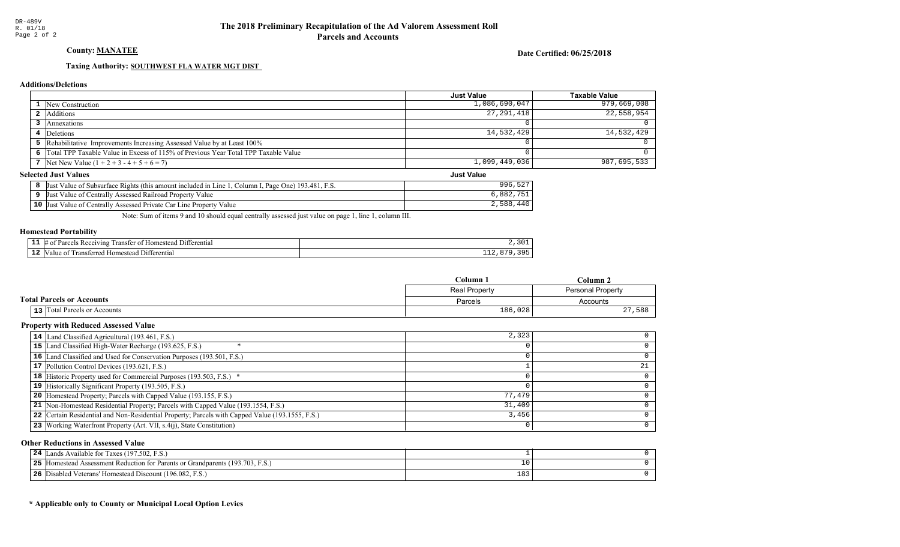## County: **MANATEE**

### Date Certified: 06/25/2018

Just Value

## Taxing Authority: SOUTHWEST FLA WATER MGT DIST

## **Additions/Deletions**

|                                                                                      | <b>Just Value</b> | Taxable Value |
|--------------------------------------------------------------------------------------|-------------------|---------------|
| <b>1</b> New Construction                                                            | 1,086,690,047     | 979,669,008   |
| 2 Additions                                                                          | 27, 291, 418      | 22,558,954    |
| Annexations                                                                          |                   |               |
| 4 Deletions                                                                          | 14,532,429        | 14,532,429    |
| 5 Rehabilitative Improvements Increasing Assessed Value by at Least 100%             |                   |               |
| 6 Total TPP Taxable Value in Excess of 115% of Previous Year Total TPP Taxable Value |                   |               |
| 7 Net New Value $(1 + 2 + 3 - 4 + 5 + 6 = 7)$                                        | 1,099,449,036     | 987,695,533   |

## **Selected Just Values**

| Page One) 193.481.<br>Column I<br>Value of Subsurface Rights (this amount included in Line )<br>-Just | $-0n$<br>996<br>- 22 |
|-------------------------------------------------------------------------------------------------------|----------------------|
| Assessed Railroad Property Value<br>Value of Centrally<br>IJust                                       | 882                  |
| $10$ Just<br>Assessed Private Car Line Property<br>Value<br>Value of Centrally                        | 2,588                |

Note: Sum of items 9 and 10 should equal centrally assessed just value on page 1, line 1, column III.

### Homestead Portability

|     | 111<br>rerentia.<br>rar<br>0.00111<br>ınc<br>31 F |     |
|-----|---------------------------------------------------|-----|
| -44 | rerenti<br>rans<br>om<br>'tar<br>atan.<br>-11.    | --- |

|                                  | Column<br>∴olumn     |            |
|----------------------------------|----------------------|------------|
|                                  | <b>Real Property</b> |            |
| <b>Total Parcels or Accounts</b> | Parcels              | Accounts   |
| 13 Total Parcels or Accounts     | 186,028              | 27,<br>588 |

### Property with Reduced Assessed Value

| 14 Land Classified Agricultural (193.461, F.S.)                                                 | 2,323  |  |
|-------------------------------------------------------------------------------------------------|--------|--|
| 15 Land Classified High-Water Recharge (193.625, F.S.)                                          |        |  |
| 16 Land Classified and Used for Conservation Purposes (193.501, F.S.)                           |        |  |
| 17 Pollution Control Devices (193.621, F.S.)                                                    |        |  |
| 18 Historic Property used for Commercial Purposes (193.503, F.S.) *                             |        |  |
| 19 Historically Significant Property (193.505, F.S.)                                            |        |  |
| <b>20</b> Homestead Property; Parcels with Capped Value (193.155, F.S.)                         | 77,479 |  |
| 21 Non-Homestead Residential Property; Parcels with Capped Value (193.1554, F.S.)               | 31,409 |  |
| 22 Certain Residential and Non-Residential Property; Parcels with Capped Value (193.1555, F.S.) | 3,456  |  |
| 23 Working Waterfront Property (Art. VII, s.4(j), State Constitution)                           |        |  |

### Other Reductions in Assessed Value

| ウム | T ands Available for Taxes (197.502, F.S.)                                    |            |  |
|----|-------------------------------------------------------------------------------|------------|--|
| 25 | If Homestead Assessment Reduction for Parents or Grandparents (193.703, F.S.) |            |  |
| 26 | Disabled Veterans' Homestead Discount (196.082, F.S.)                         | າດາ<br>183 |  |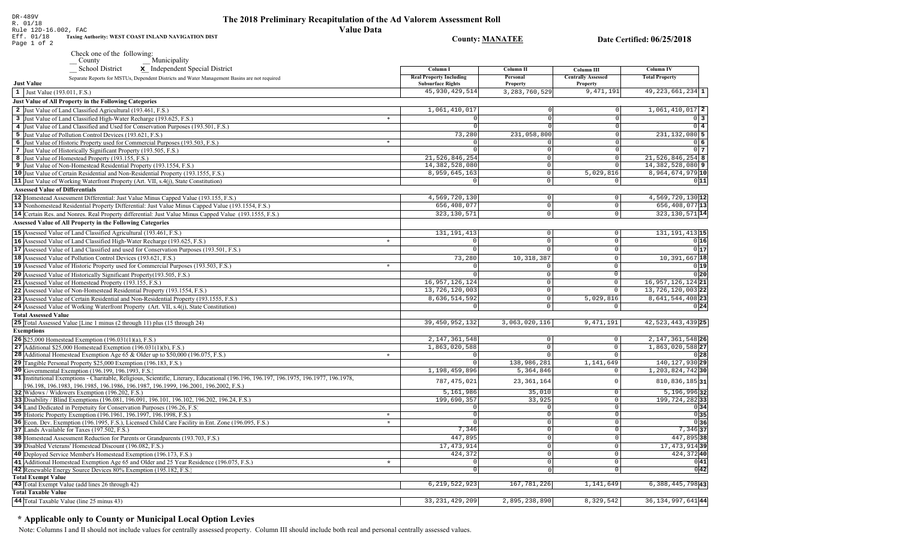| DR-489V<br>R. 01/18<br>Rule 12D-16.002, FAC                                      | The 2018 Preliminary Recapitulation of the Ad Valorem Assessment Roll<br>Value Data |
|----------------------------------------------------------------------------------|-------------------------------------------------------------------------------------|
| Eff. 01/18<br>Taxing Authority: WEST COAST INLAND NAVIGATION DIST<br>Page 1 of 2 | Countv: MANATEE                                                                     |

Date Certified: 06/25/2018

| Check one of the following: |              |
|-----------------------------|--------------|
| County                      | Municipality |

| <b>School District</b><br>x Independent Special District                                                                                       | Column I                                                   | <b>Column II</b>     | Column III                                   | <b>Column IV</b>      |
|------------------------------------------------------------------------------------------------------------------------------------------------|------------------------------------------------------------|----------------------|----------------------------------------------|-----------------------|
| Separate Reports for MSTUs, Dependent Districts and Water Management Basins are not required<br><b>Just Value</b>                              | <b>Real Property Including</b><br><b>Subsurface Rights</b> | Personal<br>Property | <b>Centrally Assessed</b><br><b>Property</b> | <b>Total Property</b> |
| 1 Just Value (193.011, F.S.)                                                                                                                   | 45, 930, 429, 514                                          | 3, 283, 760, 529     | 9,471,191                                    | $49, 223, 661, 234$ 1 |
| <b>Just Value of All Property in the Following Categories</b>                                                                                  |                                                            |                      |                                              |                       |
| 2 Just Value of Land Classified Agricultural (193.461, F.S.)                                                                                   | 1,061,410,017                                              | $\Omega$             | $\circ$                                      | $1,061,410,017$ 2     |
| 3 Just Value of Land Classified High-Water Recharge (193.625, F.S.)                                                                            | $\ast$<br>$\Omega$                                         | ΩI                   | $\Omega$                                     | $0\overline{3}$       |
| 4 Just Value of Land Classified and Used for Conservation Purposes (193.501, F.S.)                                                             | $\overline{0}$                                             | $\Omega$             | $\overline{0}$                               | $0$ 4                 |
| 5 Just Value of Pollution Control Devices (193.621, F.S.)                                                                                      | 73,280                                                     | 231,058,800          | $\Omega$                                     | $231, 132, 080$ 5     |
| 6 Just Value of Historic Property used for Commercial Purposes (193.503, F.S.)                                                                 | $\ast$<br>$\Omega$                                         | $\Omega$             | $\overline{0}$                               | 0 6                   |
| 7 Just Value of Historically Significant Property (193.505, F.S.)                                                                              | $\Omega$                                                   | $\overline{0}$       | $\circ$                                      | $0\vert 7$            |
| 8 Just Value of Homestead Property (193.155, F.S.)                                                                                             | 21, 526, 846, 254                                          | 0                    | $\mathbb O$                                  | $21,526,846,254$ 8    |
| 9 Just Value of Non-Homestead Residential Property (193.1554, F.S.)                                                                            | 14,382,528,080                                             | 0                    | $\Omega$                                     | $14,382,528,080$ 9    |
| 10 Just Value of Certain Residential and Non-Residential Property (193.1555, F.S.)                                                             | 8,959,645,163                                              | 0                    | 5,029,816                                    | 8,964,674,979 10      |
| 11 Just Value of Working Waterfront Property (Art. VII, s.4(j), State Constitution)                                                            | $\circ$                                                    | 0                    | $\circ$                                      | 0 11                  |
| <b>Assessed Value of Differentials</b>                                                                                                         |                                                            |                      |                                              |                       |
| 12 Homestead Assessment Differential: Just Value Minus Capped Value (193.155, F.S.)                                                            | 4,569,720,130                                              | 0                    | $\circ$                                      | 4,569,720,130 12      |
|                                                                                                                                                | 656,408,077                                                | 0                    | $\mathbb O$                                  | 656, 408, 077 13      |
| 13 Nonhomestead Residential Property Differential: Just Value Minus Capped Value (193.1554, F.S.)                                              |                                                            |                      | $\circ$                                      |                       |
| 14 Certain Res. and Nonres. Real Property differential: Just Value Minus Capped Value (193.1555, F.S.)                                         | 323, 130, 571                                              | 0                    |                                              | 323, 130, 571 14      |
| <b>Assessed Value of All Property in the Following Categories</b>                                                                              |                                                            |                      |                                              |                       |
| 15 Assessed Value of Land Classified Agricultural (193.461, F.S.)                                                                              | 131, 191, 413                                              | 0                    | $\circ$                                      | 131, 191, 413 15      |
| 16 Assessed Value of Land Classified High-Water Recharge (193.625, F.S.)                                                                       | 0<br>$\star$                                               | $\mathbf 0$          | $\mathsf 0$                                  | 0 16                  |
| 17 Assessed Value of Land Classified and used for Conservation Purposes (193.501, F.S.)                                                        | $\overline{0}$                                             | $\Omega$             | $\mathbf 0$                                  | 0 17                  |
| 18 Assessed Value of Pollution Control Devices (193.621, F.S.)                                                                                 | 73,280                                                     | 10, 318, 387         | $\mathbb O$                                  | 10, 391, 667 18       |
| 19 Assessed Value of Historic Property used for Commercial Purposes (193.503, F.S.)                                                            | $\star$<br>$\Omega$                                        | $\circ$              | $\mathbf{0}$                                 | 0 19                  |
| 20 Assessed Value of Historically Significant Property (193.505, F.S.)                                                                         | 0                                                          | 0                    | $\overline{0}$                               | 0 20                  |
| 21 Assessed Value of Homestead Property (193.155, F.S.)                                                                                        | 16, 957, 126, 124                                          | $\mathbf{0}$         | $\mathbf{0}$                                 | 16, 957, 126, 124 21  |
| 22 Assessed Value of Non-Homestead Residential Property (193.1554, F.S.)                                                                       | 13,726,120,003                                             | 0                    | $\overline{0}$                               | 13, 726, 120, 003 22  |
| 23 Assessed Value of Certain Residential and Non-Residential Property (193.1555, F.S.)                                                         | 8,636,514,592                                              | 0                    | 5,029,816                                    | 8,641,544,408 23      |
| 24 Assessed Value of Working Waterfront Property (Art. VII, s.4(j), State Constitution)                                                        | 0                                                          | 0                    | $\mathbf 0$                                  | 0 24                  |
|                                                                                                                                                |                                                            |                      |                                              |                       |
| <b>Total Assessed Value</b>                                                                                                                    | 39, 450, 952, 132                                          | 3,063,020,116        | 9, 471, 191                                  | 42, 523, 443, 439 25  |
| 25 Total Assessed Value [Line 1 minus (2 through 11) plus (15 through 24)                                                                      |                                                            |                      |                                              |                       |
| <b>Exemptions</b>                                                                                                                              |                                                            |                      |                                              |                       |
| <b>26</b> \$25,000 Homestead Exemption $(196.031(1)(a), F.S.)$                                                                                 | 2, 147, 361, 548                                           | 0                    | 0                                            | 2, 147, 361, 548 26   |
| 27 Additional \$25,000 Homestead Exemption (196.031(1)(b), F.S.)                                                                               | 1,863,020,588                                              | 0                    | 0                                            | 1,863,020,588 27      |
| 28 Additional Homestead Exemption Age 65 & Older up to \$50,000 (196.075, F.S.)                                                                | $\circ$<br>$\mathbf{d}_\mathrm{f}$                         | 0                    | $\mathbf 0$                                  | 0 28                  |
| 29 Tangible Personal Property \$25,000 Exemption (196.183, F.S.)                                                                               | $\circ$                                                    | 138,986,281          | 1,141,649                                    | 140, 127, 930 29      |
| 30 Governmental Exemption (196.199, 196.1993, F.S.)                                                                                            | 1,198,459,896                                              | 5,364,846            | 0                                            | 1, 203, 824, 742 30   |
| 31 Institutional Exemptions - Charitable, Religious, Scientific, Literary, Educational (196.196, 196.197, 196.1975, 196.1977, 196.1978,        | 787, 475, 021                                              | 23, 361, 164         | $\Omega$                                     | 810,836,185 31        |
| 196.198, 196.1983, 196.1985, 196.1986, 196.1987, 196.1999, 196.2001, 196.2002, F.S.)                                                           | 5,161,986                                                  | 35,010               | $\overline{0}$                               | $5, 196, 996$ 32      |
| 32 Widows / Widowers Exemption (196.202, F.S.)<br>33 Disability / Blind Exemptions (196.081, 196.091, 196.101, 196.102, 196.202, 196.24, F.S.) | 199,690,357                                                | 33,925               | $\mathbb O$                                  | 199, 724, 282 33      |
| 34 Land Dedicated in Perpetuity for Conservation Purposes (196.26, F.S.)                                                                       | $\circ$                                                    | $\circ$              | $\mathbb O$                                  | 0 34                  |
| 35 Historic Property Exemption (196.1961, 196.1997, 196.1998, F.S.)                                                                            | $\star$<br>$\overline{0}$                                  | $\overline{0}$       | $\overline{0}$                               | 0 35                  |
| 36 Econ. Dev. Exemption (196.1995, F.S.), Licensed Child Care Facility in Ent. Zone (196.095, F.S.)                                            | $\star$<br>$\overline{0}$                                  | $\overline{0}$       | $\overline{0}$                               | 0 36                  |
| 37 Lands Available for Taxes (197.502, F.S.)                                                                                                   | 7,346                                                      | 0                    | $\mathbb O$                                  | $7,346$ 37            |
| 38 Homestead Assessment Reduction for Parents or Grandparents (193.703, F.S.)                                                                  | 447,895                                                    | 0                    | $\overline{0}$                               | 447,895 38            |
| 39 Disabled Veterans' Homestead Discount (196.082, F.S.)                                                                                       | 17, 473, 914                                               | 0                    | $\mathbf 0$                                  | 17, 473, 914 39       |
| 40 Deployed Service Member's Homestead Exemption (196.173, F.S.)                                                                               | 424,372                                                    | 0                    | $\mathsf 0$                                  | 424,37240             |
|                                                                                                                                                | $\mathbf 0$<br>$\star$                                     | 0                    | $\overline{0}$                               | 0 41                  |
| 41 Additional Homestead Exemption Age 65 and Older and 25 Year Residence (196.075, F.S.)                                                       | $\Omega$                                                   | $\Omega$             | $\overline{0}$                               | 0 42                  |
| 42 Renewable Energy Source Devices 80% Exemption (195.182, F.S.)<br><b>Total Exempt Value</b>                                                  |                                                            |                      |                                              |                       |
| 43 Total Exempt Value (add lines 26 through 42)                                                                                                | 6, 219, 522, 923                                           | 167, 781, 226        | 1,141,649                                    | 6, 388, 445, 798 43   |
| <b>Total Taxable Value</b>                                                                                                                     |                                                            |                      |                                              |                       |
|                                                                                                                                                | 33, 231, 429, 209                                          | 2,895,238,890        | 8,329,542                                    | 36, 134, 997, 641 44  |
| 44 Total Taxable Value (line 25 minus 43)                                                                                                      |                                                            |                      |                                              |                       |

# \* Applicable only to County or Municipal Local Option Levies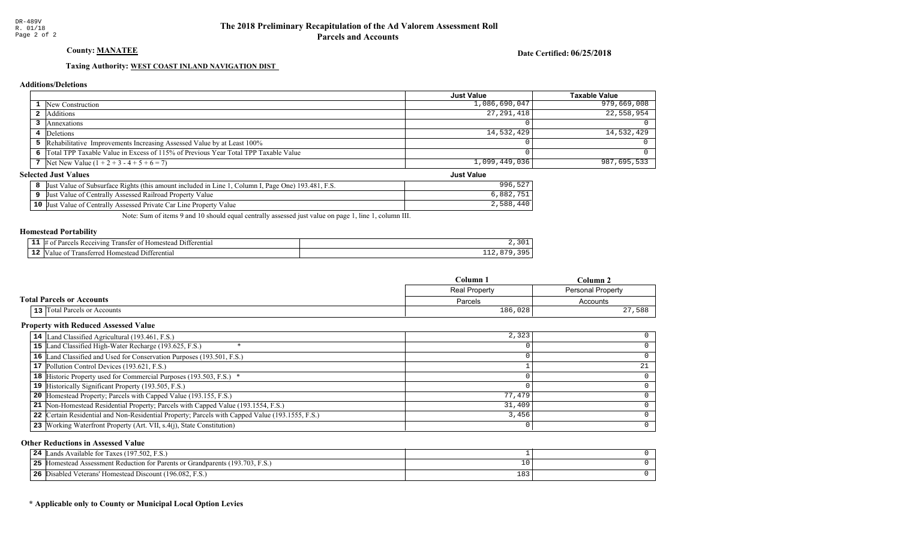County: **MANATEE** 

Date Certified: 06/25/2018

Just Value

## Taxing Authority: WEST COAST INLAND NAVIGATION DIST

## **Additions/Deletions**

|                                                                                      | <b>Just Value</b> | Taxable Value |
|--------------------------------------------------------------------------------------|-------------------|---------------|
| <b>1</b> New Construction                                                            | 1,086,690,047     | 979,669,008   |
| 2 Additions                                                                          | 27, 291, 418      | 22,558,954    |
| Annexations                                                                          |                   |               |
| 4 Deletions                                                                          | 14,532,429        | 14,532,429    |
| 5 Rehabilitative Improvements Increasing Assessed Value by at Least 100%             |                   |               |
| 6 Total TPP Taxable Value in Excess of 115% of Previous Year Total TPP Taxable Value |                   |               |
| 7 Net New Value $(1 + 2 + 3 - 4 + 5 + 6 = 7)$                                        | 1,099,449,036     | 987,695,533   |

## **Selected Just Values**

| Page One) 193.481.<br>Column I<br>Value of Subsurface Rights (this amount included in Line )<br>-Just | $-0n$<br>996<br>- 22 |
|-------------------------------------------------------------------------------------------------------|----------------------|
| Assessed Railroad Property Value<br>Value of Centrally<br>IJust                                       | 882                  |
| $10$ Just<br>Assessed Private Car Line Property<br>Value<br>Value of Centrally                        | 2,588                |

Note: Sum of items 9 and 10 should equal centrally assessed just value on page 1, line 1, column III.

### Homestead Portability

|     | 111<br>rerentia.<br>rar<br>0.00111<br>ınc<br>31 F |     |
|-----|---------------------------------------------------|-----|
| -44 | rerenti<br>rans<br>om<br>'tar<br>atan.<br>-11.    | --- |

|                                  | Column-              | $Column$ .        |
|----------------------------------|----------------------|-------------------|
|                                  | <b>Real Property</b> | Personal Property |
| <b>Total Parcels or Accounts</b> | Parcels              | Accounts          |
| 13 Total Parcels or Accounts     | 186,028              | 588<br>27         |

### Property with Reduced Assessed Value

| 14 Land Classified Agricultural (193.461, F.S.)                                                 | 2,323  |  |
|-------------------------------------------------------------------------------------------------|--------|--|
| 15 Land Classified High-Water Recharge (193.625, F.S.)                                          |        |  |
| 16 Land Classified and Used for Conservation Purposes (193.501, F.S.)                           |        |  |
| 17 Pollution Control Devices (193.621, F.S.)                                                    |        |  |
| 18 Historic Property used for Commercial Purposes (193.503, F.S.) *                             |        |  |
| 19 Historically Significant Property (193.505, F.S.)                                            |        |  |
| <b>20</b> Homestead Property; Parcels with Capped Value (193.155, F.S.)                         | 77,479 |  |
| 21 Non-Homestead Residential Property; Parcels with Capped Value (193.1554, F.S.)               | 31,409 |  |
| 22 Certain Residential and Non-Residential Property; Parcels with Capped Value (193.1555, F.S.) | 3,456  |  |
| 23 Working Waterfront Property (Art. VII, s.4(j), State Constitution)                           |        |  |

## Other Reductions in Assessed Value

| Lands Available for Taxes (197.502, F.S.)<br>24                                  |            |  |
|----------------------------------------------------------------------------------|------------|--|
| 25<br>Homestead Assessment Reduction for Parents or Grandparents (193.703, F.S.) |            |  |
| 26<br><b>6</b> Disabled Veterans' Homestead Discount (196.082, F.S.)             | າດາ<br>183 |  |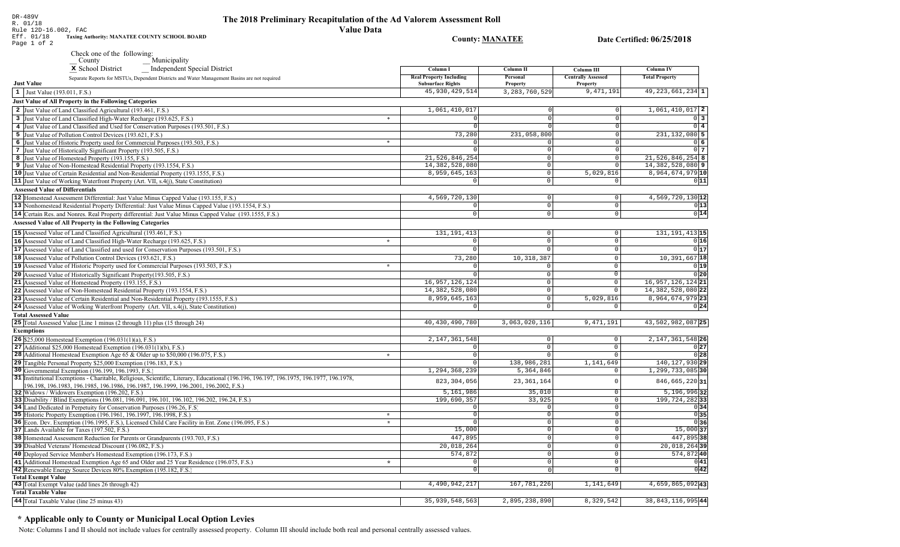# The 2018 Preliminary Recapitulation of the Ad Valorem Assessment Roll

**Column IV** 

**Total Property** 

49, 223, 661, 234 1

 $1,061,410,017$  2

 $231, 132, 080$  5

 $21,526,846,254$  8

14, 382, 528, 080 9

8,964,674,979 10

 $4,569,720,130$ <sup>12</sup>

 $\overline{0}$  3

 $0$  4

 $06$ 

 $0\overline{7}$ 

 $0|11|$ 

 $0|13|$ 

 $0|14$ 

R. 01/18 **Value Data** Rule 12D-16.002, FAC Eff. 01/18 Taxing Authority: MANATEE COUNTY SCHOOL BOARD **County: MANATEE** Date Certified: 06/25/2018 Page 1 of 2 Check one of the following:  $Municipality$ x School District Independent Special District Column I **Column II Column III Real Property Including** Personal **Centrally Assessed** Separate Reports for MSTUs, Dependent Districts and Water Management Basins are not required **Just Value Subsurface Rights** Property Property 1 Just Value (193.011, F.S.) 45, 930, 429, 514 3, 283, 760, 529 9,471,191 Just Value of All Property in the Following Categories 2 Just Value of Land Classified Agricultural (193.461, F.S.) 1,061,410,017  $\Omega$ 3 Just Value of Land Classified High-Water Recharge (193.625, F.S.)  $\overline{\phantom{1}}$ - O I 4 Just Value of Land Classified and Used for Conservation Purposes (193.501, F.S.) 5 Just Value of Pollution Control Devices (193.621, F.S.) 73,280 231,058,800 6 Just Value of Historic Property used for Commercial Purposes (193.503, F.S.)  $\overline{\ast}$ 7 Just Value of Historically Significant Property (193.505, F.S.) 0  $\Omega$ 21,526,846,254 8 Just Value of Homestead Property (193.155, F.S.)  $\Omega$  $\epsilon$ 14, 382, 528, 080 **9** Just Value of Non-Homestead Residential Property (193.1554, F.S.)  $\Omega$ 10 Just Value of Certain Residential and Non-Residential Property (193.1555, F.S.) 8,959,645,163  $|0|$  $5,029,816$ 11 Just Value of Working Waterfront Property (Art. VII, s.4(j), State Constitution)  $\overline{\circ}$  $\overline{0}$ **Assessed Value of Differentials** 12 Homestead Assessment Differential: Just Value Minus Capped Value (193.155, F.S.) 4,569,720,130  $\Omega$  $\Omega$ 13 Nonhomestead Residential Property Differential: Just Value Minus Capped Value (193.1554, F.S.)  $\mathbb O$  $\mathbb O$ 14 Certain Res. and Nonres. Real Property differential: Just Value Minus Capped Value (193.1555, F.S.)  $\overline{0}$  $\Omega$  $\mathbb O$ Assessed Value of All Property in the Following Categories  $15 \text{ A second Value of I and Classical partial (193.461. F.S.)}$  $131$  191 413  $\overline{\wedge}$  $\overline{1}$ 

| 15 Assessed Value of Land Classified Agricultural (193.461, F.S.)                                                                  | 131, 191, 413     |               |           | 131, 191, 413 15           |
|------------------------------------------------------------------------------------------------------------------------------------|-------------------|---------------|-----------|----------------------------|
| 16 Assessed Value of Land Classified High-Water Recharge (193.625, F.S.)<br>$\star$                                                |                   |               |           | 0 16                       |
| 17 Assessed Value of Land Classified and used for Conservation Purposes (193.501, F.S.)                                            |                   |               |           | 0 17                       |
| 18 Assessed Value of Pollution Control Devices (193.621, F.S.)                                                                     | 73,280            | 10,318,387    |           | 10, 391, 667 18            |
| 19 Assessed Value of Historic Property used for Commercial Purposes (193.503, F.S.)<br>$\star$                                     |                   |               |           | 0 19                       |
| <b>20</b> Assessed Value of Historically Significant Property (193.505, F.S.)                                                      |                   |               |           | 0 20                       |
| <b>21</b> Assessed Value of Homestead Property (193.155, F.S.)                                                                     | 16, 957, 126, 124 |               |           | 16, 957, 126, 124 21       |
| 22 Assessed Value of Non-Homestead Residential Property (193.1554, F.S.)                                                           | 14, 382, 528, 080 |               |           | 14, 382, 528, 080 22       |
| 23 Assessed Value of Certain Residential and Non-Residential Property (193.1555, F.S.)                                             | 8,959,645,163     |               | 5,029,816 | 8,964,674,979 23           |
| 24 Assessed Value of Working Waterfront Property (Art. VII, s.4(j), State Constitution)                                            |                   | $\Omega$      |           | 0 24                       |
| <b>Total Assessed Value</b>                                                                                                        |                   |               |           |                            |
| 25 Total Assessed Value [Line 1 minus (2 through 11) plus (15 through 24)                                                          | 40,430,490,780    | 3,063,020,116 | 9,471,191 | 43,502,982,087 25          |
| <b>Exemptions</b>                                                                                                                  |                   |               |           |                            |
| <b>26</b> \$25,000 Homestead Exemption $(196.031(1)(a), F.S.)$                                                                     | 2, 147, 361, 548  |               |           | 2, 147, 361, 548 26        |
| 27 Additional \$25,000 Homestead Exemption $(196.031(1)(b), F.S.)$                                                                 |                   |               |           | 0 27                       |
| <b>28</b> Additional Homestead Exemption Age 65 & Older up to \$50,000 (196.075, F.S.)<br>$\star$                                  |                   |               |           | 0 28                       |
| <b>29</b> Tangible Personal Property \$25,000 Exemption (196.183, F.S.)                                                            |                   | 138,986,281   | 1,141,649 | 140, 127, 930 29           |
| 30 Governmental Exemption (196.199, 196.1993, F.S.)                                                                                | 1,294,368,239     | 5,364,846     |           | 1,299,733,085 30           |
| 31 Institutional Exemptions - Charitable, Religious, Scientific, Literary, Educational (196.196.197, 196.1975, 196.1977, 196.1978, | 823, 304, 056     | 23, 361, 164  |           | 846, 665, 220 31           |
| 196.198, 196.1983, 196.1985, 196.1986, 196.1987, 196.1999, 196.2001, 196.2002, F.S.)                                               |                   |               |           |                            |
| 32 Widows / Widowers Exemption (196.202, F.S.)                                                                                     | 5,161,986         | 35,010        |           | 5, 196, 996 32             |
| 33 Disability / Blind Exemptions (196.081, 196.091, 196.101, 196.102, 196.202, 196.24, F.S.)                                       | 199,690,357       | 33,925        |           | 199, 724, 28233            |
| 34 Land Dedicated in Perpetuity for Conservation Purposes (196.26, F.S)                                                            |                   |               |           | 0 34                       |
| 35 Historic Property Exemption (196.1961, 196.1997, 196.1998, F.S.)<br>$\star$                                                     |                   |               |           | 0 35                       |
| 36 Econ. Dev. Exemption (196.1995, F.S.), Licensed Child Care Facility in Ent. Zone (196.095, F.S.)<br>$\Phi$                      |                   |               |           | 0 36                       |
| 37 Lands Available for Taxes (197.502, F.S.)                                                                                       | 15,000            |               |           | 15,000 37                  |
| 38 Homestead Assessment Reduction for Parents or Grandparents (193.703, F.S.)                                                      | 447,895           |               |           | 447,895 38                 |
| 39 Disabled Veterans' Homestead Discount (196.082, F.S.)                                                                           | 20,018,264        |               |           | $\overline{20,018,264}$ 39 |
| 40 Deployed Service Member's Homestead Exemption (196.173, F.S.)                                                                   | 574,872           |               |           | 574,87240                  |
| 41 Additional Homestead Exemption Age 65 and Older and 25 Year Residence (196.075, F.S.)<br>$\star$                                |                   |               |           | 0 41                       |
| 42 Renewable Energy Source Devices 80% Exemption (195.182, F.S.)                                                                   |                   |               |           | 0 42                       |
| <b>Total Exempt Value</b>                                                                                                          |                   |               |           |                            |
| 43 Total Exempt Value (add lines 26 through 42)                                                                                    | 4,490,942,217     | 167, 781, 226 | 1,141,649 | 4,659,865,09243            |
| <b>Total Taxable Value</b>                                                                                                         |                   |               |           |                            |
| $\vert$ 44 Total Taxable Value (line 25 minus 43)                                                                                  | 35, 939, 548, 563 | 2,895,238,890 | 8,329,542 | 38, 843, 116, 995 44       |

## \* Applicable only to County or Municipal Local Option Levies

DR-489V